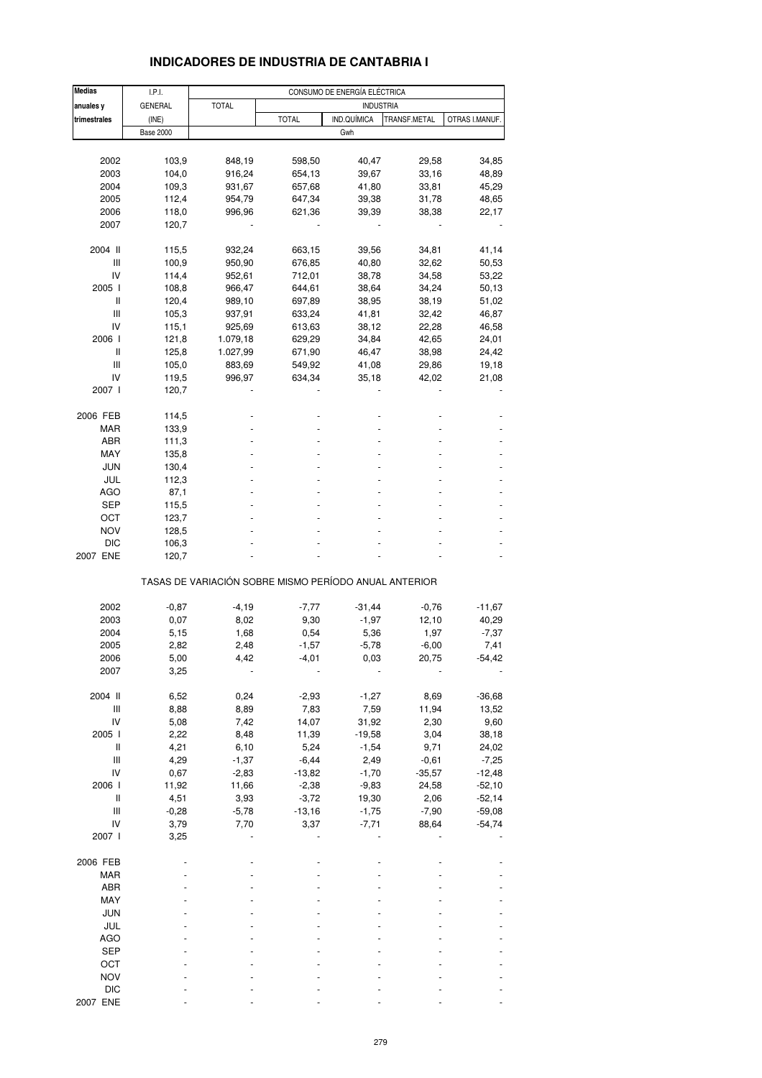| <b>Medias</b>                      | I.P.I.           |                                                       |              | CONSUMO DE ENERGÍA ELÉCTRICA |                  |                |
|------------------------------------|------------------|-------------------------------------------------------|--------------|------------------------------|------------------|----------------|
| anuales y                          | <b>GENERAL</b>   | <b>TOTAL</b>                                          |              |                              | <b>INDUSTRIA</b> |                |
| trimestrales                       | (INE)            |                                                       | <b>TOTAL</b> | IND.QUÍMICA                  | TRANSF.METAL     | OTRAS I.MANUF. |
|                                    | <b>Base 2000</b> |                                                       |              | Gwh                          |                  |                |
|                                    |                  |                                                       |              |                              |                  |                |
| 2002                               | 103,9            | 848,19                                                | 598,50       | 40,47                        | 29,58            | 34,85          |
| 2003                               | 104,0            | 916,24                                                | 654,13       | 39,67                        | 33,16            | 48,89          |
| 2004                               | 109,3            | 931,67                                                | 657,68       | 41,80                        | 33,81            | 45,29          |
| 2005                               | 112,4            | 954,79                                                | 647,34       | 39,38                        | 31,78            | 48,65          |
| 2006                               | 118,0            | 996,96                                                | 621,36       | 39,39                        | 38,38            | 22,17          |
| 2007                               | 120,7            |                                                       |              |                              |                  |                |
|                                    |                  |                                                       |              |                              |                  |                |
| 2004 II                            | 115,5            | 932,24                                                | 663,15       | 39,56                        | 34,81            | 41,14          |
| Ш                                  | 100,9            | 950,90                                                | 676,85       | 40,80                        | 32,62            | 50,53          |
| IV                                 | 114,4            | 952,61                                                | 712,01       | 38,78                        | 34,58            | 53,22          |
| 2005 l                             | 108,8            | 966,47                                                | 644,61       | 38,64                        | 34,24            | 50,13          |
| Ш                                  | 120,4            | 989,10                                                | 697,89       | 38,95                        | 38,19            | 51,02          |
| Ш                                  | 105,3            | 937,91                                                | 633,24       | 41,81                        | 32,42            | 46,87          |
| IV                                 | 115,1            | 925,69                                                | 613,63       | 38,12                        | 22,28            | 46,58          |
| 2006                               | 121,8            | 1.079,18                                              | 629,29       | 34,84                        | 42,65            | 24,01          |
| Ш                                  | 125,8            | 1.027,99                                              | 671,90       | 46,47                        | 38,98            | 24,42          |
| Ш                                  | 105,0            | 883,69                                                | 549,92       | 41,08                        | 29,86            | 19,18          |
| IV                                 | 119,5            | 996,97                                                | 634,34       | 35,18                        | 42,02            | 21,08          |
| 2007 l                             | 120,7            |                                                       |              |                              |                  |                |
|                                    |                  |                                                       |              |                              |                  |                |
| 2006 FEB                           | 114,5            |                                                       |              |                              |                  |                |
| MAR                                | 133,9            |                                                       |              |                              |                  |                |
| ABR                                | 111,3            |                                                       |              |                              |                  |                |
| MAY                                | 135,8            |                                                       |              |                              |                  |                |
| <b>JUN</b>                         | 130,4            |                                                       |              |                              |                  |                |
| JUL                                | 112,3            |                                                       |              |                              |                  |                |
| AGO                                | 87,1             |                                                       |              |                              |                  |                |
| SEP                                | 115,5            |                                                       |              |                              |                  |                |
| OCT                                | 123,7            |                                                       |              |                              |                  |                |
| <b>NOV</b>                         | 128,5            |                                                       |              |                              |                  |                |
| <b>DIC</b>                         | 106,3            |                                                       |              |                              |                  |                |
| 2007 ENE                           | 120,7            |                                                       |              |                              |                  |                |
|                                    |                  |                                                       |              |                              |                  |                |
|                                    |                  | TASAS DE VARIACIÓN SOBRE MISMO PERÍODO ANUAL ANTERIOR |              |                              |                  |                |
|                                    |                  |                                                       |              |                              |                  |                |
| 2002                               | $-0,87$          | $-4,19$                                               | $-7,77$      | $-31,44$                     | $-0,76$          | $-11,67$       |
| 2003                               | 0,07             | 8,02                                                  | 9,30         | $-1,97$                      | 12,10            | 40,29          |
| 2004                               | 5,15             | 1,68                                                  | 0,54         | 5,36                         | 1,97             | $-7,37$        |
| 2005                               | 2,82             | 2,48                                                  | $-1,57$      | $-5,78$                      | $-6,00$          | 7,41           |
| 2006                               | 5,00             | 4,42                                                  | -4,01        | 0,03                         | 20,75            | -54,42         |
| 2007                               | 3,25             |                                                       |              |                              |                  |                |
|                                    |                  |                                                       |              |                              |                  |                |
| 2004 II                            | 6,52             | 0,24                                                  | $-2,93$      | $-1,27$                      | 8,69             | $-36,68$       |
| $\ensuremath{\mathsf{III}}\xspace$ | 8,88             | 8,89                                                  | 7,83         | 7,59                         | 11,94            | 13,52          |
| IV                                 | 5,08             | 7,42                                                  | 14,07        | 31,92                        | 2,30             | 9,60           |
| 2005 l                             | 2,22             | 8,48                                                  | 11,39        | $-19,58$                     | 3,04             | 38,18          |
| Ш                                  | 4,21             | 6,10                                                  | 5,24         | $-1,54$                      | 9,71             | 24,02          |
| $\ensuremath{\mathsf{III}}\xspace$ | 4,29             | $-1,37$                                               | $-6,44$      | 2,49                         | $-0,61$          | $-7,25$        |
| IV                                 | 0,67             | $-2,83$                                               | $-13,82$     | $-1,70$                      | $-35,57$         | $-12,48$       |
| 2006 l                             | 11,92            | 11,66                                                 | $-2,38$      | $-9,83$                      | 24,58            | $-52,10$       |
| $\sf II$                           | 4,51             | 3,93                                                  | $-3,72$      | 19,30                        | 2,06             | $-52,14$       |
| $\ensuremath{\mathsf{III}}\xspace$ | $-0,28$          | $-5,78$                                               | $-13,16$     | $-1,75$                      | $-7,90$          | $-59,08$       |
| IV                                 | 3,79             | 7,70                                                  | 3,37         | $-7,71$                      | 88,64            | $-54,74$       |
| 2007 l                             | 3,25             |                                                       |              |                              |                  |                |
|                                    |                  |                                                       |              |                              |                  |                |
| 2006 FEB                           |                  |                                                       |              |                              |                  |                |
| <b>MAR</b>                         |                  |                                                       |              |                              |                  |                |
| ABR                                |                  |                                                       |              |                              |                  |                |
| MAY                                |                  |                                                       |              |                              |                  |                |
| <b>JUN</b>                         |                  |                                                       |              |                              |                  |                |
| JUL                                |                  |                                                       |              |                              |                  |                |
| <b>AGO</b>                         |                  |                                                       |              |                              |                  |                |
| <b>SEP</b>                         |                  |                                                       |              |                              |                  |                |
| OCT                                |                  |                                                       |              |                              |                  |                |
| <b>NOV</b>                         |                  |                                                       |              |                              |                  |                |
| <b>DIC</b>                         |                  |                                                       |              |                              |                  |                |
| 2007 ENE                           |                  |                                                       |              |                              |                  |                |

# **INDICADORES DE INDUSTRIA DE CANTABRIA I**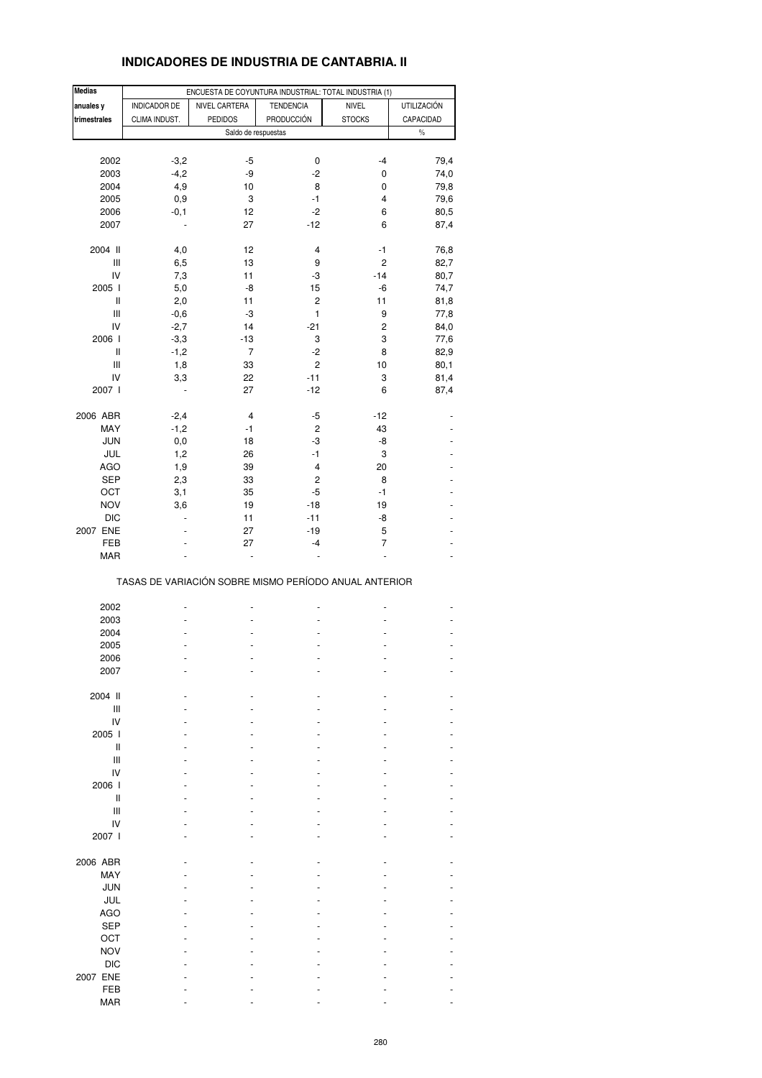# **INDICADORES DE INDUSTRIA DE CANTABRIA. II**

| <b>Medias</b> |                | ENCUESTA DE COYUNTURA INDUSTRIAL: TOTAL INDUSTRIA (1) |                   |                |                    |
|---------------|----------------|-------------------------------------------------------|-------------------|----------------|--------------------|
| anuales y     | INDICADOR DE   | NIVEL CARTERA                                         | <b>TENDENCIA</b>  | <b>NIVEL</b>   | <b>UTILIZACIÓN</b> |
| trimestrales  | CLIMA INDUST.  | <b>PEDIDOS</b>                                        | <b>PRODUCCIÓN</b> | <b>STOCKS</b>  | CAPACIDAD          |
|               |                | Saldo de respuestas                                   |                   |                | $\%$               |
|               |                |                                                       |                   |                |                    |
|               |                |                                                       |                   |                |                    |
| 2002          | $-3,2$         | $-5$                                                  | 0                 | $-4$           | 79,4               |
| 2003          | $-4,2$         | -9                                                    | $-2$              | 0              | 74,0               |
| 2004          | 4,9            | 10                                                    | 8                 | 0              | 79,8               |
| 2005          | 0,9            | 3                                                     | -1                | 4              | 79,6               |
| 2006          | $-0,1$         | 12                                                    | $-2$              | 6              | 80,5               |
| 2007          | $\overline{a}$ | 27                                                    | $-12$             | 6              | 87,4               |
|               |                |                                                       |                   |                |                    |
| 2004 II       | 4,0            | 12                                                    | 4                 | -1             | 76,8               |
| Ш             | 6,5            | 13                                                    | 9                 | $\overline{2}$ | 82,7               |
| IV            | 7,3            | 11                                                    | -3                | $-14$          | 80,7               |
| 2005 l        | 5,0            | -8                                                    | 15                | $-6$           | 74,7               |
| Ш             | 2,0            | 11                                                    | 2                 | 11             | 81,8               |
| Ш             | $-0,6$         | -3                                                    | 1                 | 9              | 77,8               |
| IV            | $-2,7$         | 14                                                    | $-21$             | $\overline{c}$ |                    |
|               |                |                                                       |                   |                | 84,0               |
| 2006          | $-3,3$         | $-13$                                                 | 3                 | 3              | 77,6               |
| Ш             | $-1,2$         | 7                                                     | $-2$              | 8              | 82,9               |
| Ш             | 1,8            | 33                                                    | 2                 | 10             | 80,1               |
| IV            | 3,3            | 22                                                    | $-11$             | 3              | 81,4               |
| 2007 l        |                | 27                                                    | $-12$             | 6              | 87,4               |
|               |                |                                                       |                   |                |                    |
| 2006 ABR      | $-2,4$         | 4                                                     | -5                | $-12$          |                    |
| MAY           | $-1,2$         | $-1$                                                  | $\overline{c}$    | 43             |                    |
| <b>JUN</b>    | 0,0            | 18                                                    | -3                | -8             |                    |
| JUL           | 1,2            | 26                                                    | -1                | 3              |                    |
| <b>AGO</b>    | 1,9            | 39                                                    | 4                 | 20             |                    |
| <b>SEP</b>    | 2,3            | 33                                                    | 2                 | 8              |                    |
|               |                |                                                       |                   |                |                    |
| OCT           | 3,1            | 35                                                    | -5                | $-1$           |                    |
| <b>NOV</b>    | 3,6            | 19                                                    | $-18$             | 19             |                    |
| <b>DIC</b>    | $\overline{a}$ | 11                                                    | $-11$             | -8             |                    |
| 2007 ENE      |                | 27                                                    | $-19$             | 5              |                    |
| FEB           |                | 27                                                    | $-4$              | $\overline{7}$ |                    |
| MAR           |                |                                                       |                   | Ē,             |                    |
|               |                | TASAS DE VARIACIÓN SOBRE MISMO PERÍODO ANUAL ANTERIOR |                   |                |                    |
| 2002          |                |                                                       |                   |                |                    |
| 2003          |                |                                                       |                   |                |                    |
| 2004          |                |                                                       |                   |                |                    |
| 2005          |                |                                                       | $\overline{a}$    |                |                    |
|               |                |                                                       |                   |                |                    |
| 2006          |                |                                                       |                   |                |                    |
| 2007          |                |                                                       |                   |                |                    |
|               |                |                                                       |                   |                |                    |
| 2004 II       |                |                                                       |                   |                |                    |
| Ш             |                |                                                       |                   |                |                    |
| IV            |                |                                                       |                   |                |                    |
| 2005 l        |                |                                                       |                   |                |                    |
| Ш             |                |                                                       |                   |                |                    |
| Ш             |                |                                                       |                   |                |                    |
| IV            |                |                                                       |                   |                |                    |
| 2006          |                |                                                       |                   |                |                    |
| Ш             |                |                                                       |                   |                |                    |
| Ш             |                |                                                       |                   |                |                    |
| IV            |                |                                                       |                   |                |                    |
|               |                |                                                       |                   |                |                    |
| 2007 l        |                |                                                       |                   |                |                    |
|               |                |                                                       |                   |                |                    |
| 2006 ABR      |                |                                                       |                   |                |                    |
| MAY           |                |                                                       |                   |                |                    |
| <b>JUN</b>    |                |                                                       |                   |                |                    |
| JUL           |                |                                                       |                   |                |                    |
| <b>AGO</b>    |                |                                                       |                   |                |                    |
| <b>SEP</b>    |                |                                                       |                   |                |                    |
| OCT           |                |                                                       |                   |                |                    |
| <b>NOV</b>    |                |                                                       |                   |                |                    |
|               |                |                                                       |                   |                |                    |
| <b>DIC</b>    |                |                                                       |                   |                |                    |
| 2007 ENE      |                |                                                       |                   |                |                    |
| FEB           |                |                                                       |                   |                |                    |
| MAR           |                |                                                       |                   |                |                    |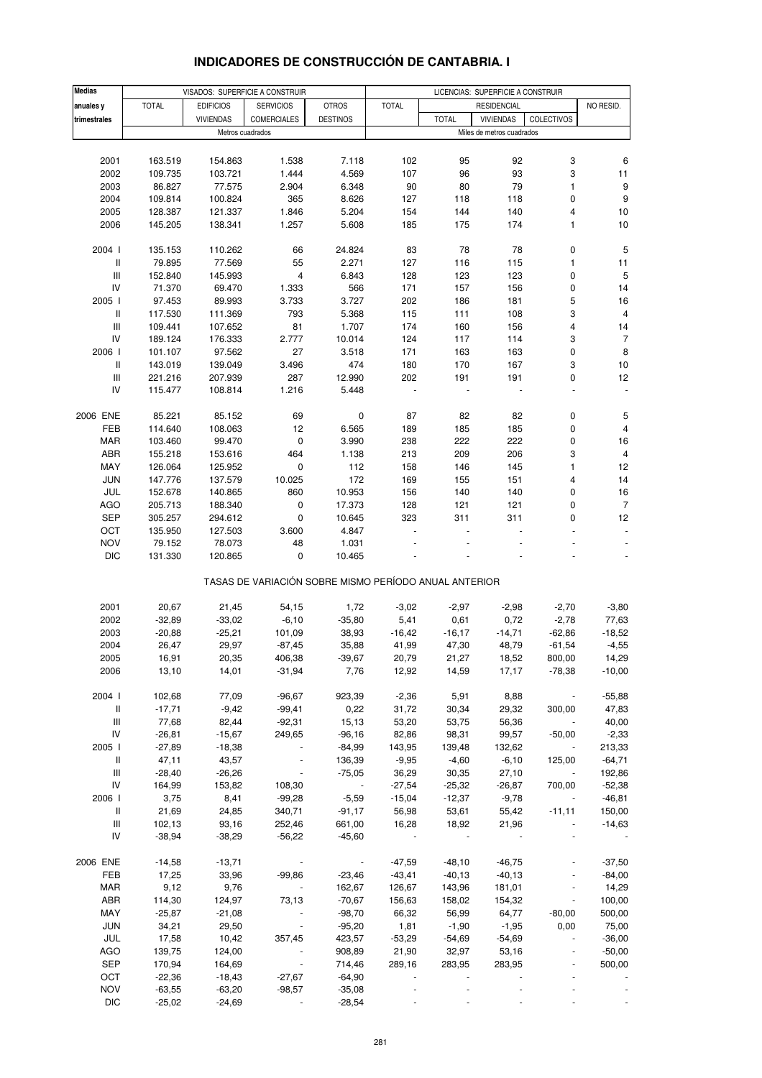| <b>Medias</b>                      |              | VISADOS: SUPERFICIE A CONSTRUIR |                                                       |                       | LICENCIAS: SUPERFICIE A CONSTRUIR |                 |                           |                          |                      |
|------------------------------------|--------------|---------------------------------|-------------------------------------------------------|-----------------------|-----------------------------------|-----------------|---------------------------|--------------------------|----------------------|
| anuales y                          | <b>TOTAL</b> | <b>EDIFICIOS</b>                | <b>SERVICIOS</b>                                      | <b>OTROS</b>          | <b>TOTAL</b>                      |                 | <b>RESIDENCIAL</b>        |                          | NO RESID.            |
| trimestrales                       |              | <b>VIVIENDAS</b>                | <b>COMERCIALES</b>                                    | <b>DESTINOS</b>       |                                   | <b>TOTAL</b>    | <b>VIVIENDAS</b>          | <b>COLECTIVOS</b>        |                      |
|                                    |              | Metros cuadrados                |                                                       |                       |                                   |                 | Miles de metros cuadrados |                          |                      |
|                                    |              |                                 |                                                       |                       |                                   |                 |                           |                          |                      |
| 2001                               | 163.519      | 154.863                         | 1.538                                                 | 7.118                 | 102                               | 95              | 92                        | 3                        | 6                    |
| 2002                               | 109.735      | 103.721                         | 1.444                                                 | 4.569                 | 107                               | 96              | 93                        | 3                        | 11                   |
| 2003                               | 86.827       | 77.575                          | 2.904                                                 | 6.348                 | 90                                | 80              | 79                        | 1                        | 9                    |
| 2004                               | 109.814      | 100.824                         | 365                                                   | 8.626                 | 127                               | 118             | 118                       | 0                        | $\boldsymbol{9}$     |
| 2005                               | 128.387      | 121.337                         | 1.846                                                 | 5.204                 | 154                               | 144             | 140                       | 4                        | 10                   |
|                                    |              |                                 |                                                       |                       |                                   |                 |                           |                          |                      |
| 2006                               | 145.205      | 138.341                         | 1.257                                                 | 5.608                 | 185                               | 175             | 174                       | 1                        | 10                   |
| 2004 l                             | 135.153      | 110.262                         | 66                                                    | 24.824                | 83                                | 78              | 78                        | 0                        | 5                    |
| Ш                                  | 79.895       | 77.569                          | 55                                                    | 2.271                 | 127                               | 116             | 115                       | 1                        | 11                   |
| Ш                                  | 152.840      | 145.993                         | 4                                                     | 6.843                 | 128                               | 123             | 123                       | 0                        | $\,$ 5 $\,$          |
| IV                                 | 71.370       | 69.470                          | 1.333                                                 | 566                   | 171                               | 157             | 156                       | 0                        | 14                   |
| 2005 l                             | 97.453       | 89.993                          | 3.733                                                 | 3.727                 | 202                               | 186             | 181                       | 5                        | 16                   |
| Ш                                  | 117.530      | 111.369                         | 793                                                   | 5.368                 | 115                               | 111             | 108                       | 3                        | $\overline{4}$       |
|                                    |              |                                 | 81                                                    | 1.707                 | 174                               |                 | 156                       | 4                        |                      |
| Ш<br>IV                            | 109.441      | 107.652                         |                                                       |                       |                                   | 160             |                           |                          | 14<br>$\overline{7}$ |
|                                    | 189.124      | 176.333                         | 2.777                                                 | 10.014                | 124                               | 117             | 114                       | 3                        |                      |
| 2006                               | 101.107      | 97.562                          | 27                                                    | 3.518                 | 171                               | 163             | 163                       | 0                        | 8                    |
| Ш                                  | 143.019      | 139.049                         | 3.496                                                 | 474                   | 180                               | 170             | 167                       | 3                        | 10                   |
| $\ensuremath{\mathsf{III}}\xspace$ | 221.216      | 207.939                         | 287                                                   | 12.990                | 202                               | 191             | 191                       | 0                        | 12                   |
| IV                                 | 115.477      | 108.814                         | 1.216                                                 | 5.448                 |                                   |                 |                           | ä,                       | $\blacksquare$       |
| 2006 ENE                           | 85.221       | 85.152                          | 69                                                    | 0                     | 87                                | 82              | 82                        | 0                        | 5                    |
| FEB                                | 114.640      | 108.063                         | 12                                                    | 6.565                 | 189                               | 185             | 185                       | 0                        | 4                    |
| MAR                                | 103.460      | 99.470                          | 0                                                     | 3.990                 | 238                               | 222             | 222                       | 0                        | 16                   |
| ABR                                | 155.218      | 153.616                         | 464                                                   | 1.138                 | 213                               | 209             | 206                       | 3                        | $\overline{4}$       |
| MAY                                |              |                                 |                                                       |                       |                                   |                 | 145                       | 1                        | 12                   |
|                                    | 126.064      | 125.952                         | 0                                                     | 112                   | 158                               | 146             |                           |                          |                      |
| <b>JUN</b>                         | 147.776      | 137.579                         | 10.025                                                | 172                   | 169                               | 155             | 151                       | 4                        | 14                   |
| JUL                                | 152.678      | 140.865                         | 860                                                   | 10.953                | 156                               | 140             | 140                       | 0                        | 16                   |
| AGO                                | 205.713      | 188.340                         | 0                                                     | 17.373                | 128                               | 121             | 121                       | 0                        | $\overline{7}$       |
| <b>SEP</b>                         | 305.257      | 294.612                         | 0                                                     | 10.645                | 323                               | 311             | 311                       | 0                        | 12                   |
| OCT                                | 135.950      | 127.503                         | 3.600                                                 | 4.847                 |                                   |                 |                           |                          |                      |
| <b>NOV</b>                         | 79.152       | 78.073                          | 48                                                    | 1.031                 |                                   |                 |                           |                          |                      |
| <b>DIC</b>                         | 131.330      | 120.865                         | 0                                                     | 10.465                |                                   |                 |                           |                          |                      |
|                                    |              |                                 | TASAS DE VARIACIÓN SOBRE MISMO PERÍODO ANUAL ANTERIOR |                       |                                   |                 |                           |                          |                      |
| 2001                               | 20,67        | 21,45                           | 54,15                                                 | 1,72                  | $-3,02$                           | $-2,97$         | $-2,98$                   | $-2,70$                  | $-3,80$              |
| 2002                               | $-32,89$     | $-33,02$                        | $-6,10$                                               | $-35,80$              | 5,41                              | 0,61            | 0,72                      | $-2,78$                  | 77,63                |
| 2003                               | $-20,88$     | $-25,21$                        | 101,09                                                | 38,93                 | $-16,42$                          | $-16,17$        | $-14,71$                  | $-62,86$                 | $-18,52$             |
| 2004                               |              | 29,97                           |                                                       |                       |                                   |                 |                           |                          |                      |
|                                    | 26,47        |                                 | $-87,45$                                              | 35,88                 | 41,99                             | 47,30           | 48,79                     | $-61,54$                 | $-4,55$              |
| 2005                               | 16,91        | 20,35                           | 406,38                                                | $-39,67$              | 20,79                             | 21,27           | 18,52                     | 800,00                   | 14,29                |
| 2006                               | 13,10        | 14,01                           | $-31,94$                                              | 7,76                  | 12,92                             | 14,59           | 17,17                     | $-78,38$                 | $-10,00$             |
| 2004 l                             | 102,68       | 77,09                           | $-96,67$                                              | 923,39                | $-2,36$                           | 5,91            | 8,88                      | $\sim$                   | $-55,88$             |
| $\parallel$                        | $-17,71$     | $-9,42$                         | $-99,41$                                              | 0,22                  | 31,72                             | 30,34           | 29,32                     | 300,00                   | 47,83                |
| Ш                                  | 77,68        | 82,44                           | $-92,31$                                              | 15,13                 | 53,20                             | 53,75           | 56,36                     |                          | 40,00                |
| ${\sf IV}$                         | $-26,81$     | $-15,67$                        | 249,65                                                | $-96,16$              | 82,86                             | 98,31           | 99,57                     | $-50,00$                 | $-2,33$              |
| 2005                               | $-27,89$     | $-18,38$                        | $\blacksquare$                                        | $-84,99$              | 143,95                            | 139,48          | 132,62                    | $\sim$                   | 213,33               |
| Ш                                  | 47,11        | 43,57                           |                                                       | 136,39                | $-9,95$                           | $-4,60$         | $-6,10$                   | 125,00                   | $-64,71$             |
| $\ensuremath{\mathsf{III}}\xspace$ | $-28,40$     | $-26,26$                        |                                                       | $-75,05$              | 36,29                             | 30,35           | 27,10                     |                          | 192,86               |
| IV                                 | 164,99       | 153,82                          | 108,30                                                | $\sim 100$ km $^{-1}$ | $-27,54$                          | $-25,32$        | $-26,87$                  | 700,00                   | $-52,38$             |
| 2006                               | 3,75         | 8,41                            | $-99,28$                                              | $-5,59$               | $-15,04$                          | $-12,37$        | $-9,78$                   |                          | $-46,81$             |
| Ш                                  | 21,69        | 24,85                           | 340,71                                                | $-91,17$              | 56,98                             | 53,61           | 55,42                     | $-11,11$                 | 150,00               |
|                                    |              |                                 |                                                       |                       |                                   |                 |                           | $\ddot{\phantom{1}}$     |                      |
| Ш<br>IV                            | 102,13       | 93,16                           | 252,46                                                | 661,00                | 16,28                             | 18,92<br>$\sim$ | 21,96                     |                          | $-14,63$             |
|                                    | $-38,94$     | $-38,29$                        | $-56,22$                                              | $-45,60$              |                                   |                 |                           |                          |                      |
| 2006 ENE                           | $-14,58$     | $-13,71$                        | $\sim 100$                                            | $\sim$                | $-47,59$                          | $-48,10$        | $-46,75$                  |                          | $-37,50$             |
| FEB                                | 17,25        | 33,96                           | $-99,86$                                              | $-23,46$              | $-43,41$                          | $-40,13$        | $-40, 13$                 |                          | $-84,00$             |
| MAR                                | 9,12         | 9,76                            | $\sim 100$                                            | 162,67                | 126,67                            | 143,96          | 181,01                    |                          | 14,29                |
| ABR                                | 114,30       | 124,97                          | 73,13                                                 | $-70,67$              | 156,63                            | 158,02          | 154,32                    | $\overline{\phantom{a}}$ | 100,00               |
| MAY                                | $-25,87$     | $-21,08$                        |                                                       | $-98,70$              | 66,32                             | 56,99           | 64,77                     | $-80,00$                 | 500,00               |
| JUN                                | 34,21        | 29,50                           |                                                       | $-95,20$              | 1,81                              | $-1,90$         | $-1,95$                   | 0,00                     | 75,00                |
| JUL                                | 17,58        | 10,42                           | 357,45                                                | 423,57                | $-53,29$                          | $-54,69$        | $-54,69$                  | $\blacksquare$           | $-36,00$             |
| <b>AGO</b>                         | 139,75       | 124,00                          |                                                       | 908,89                | 21,90                             | 32,97           | 53,16                     |                          | $-50,00$             |
| SEP                                | 170,94       | 164,69                          | $\sim$                                                | 714,46                | 289,16                            | 283,95          | 283,95                    |                          | 500,00               |
| OCT                                | $-22,36$     | $-18,43$                        | $-27,67$                                              | $-64,90$              |                                   |                 |                           | $\blacksquare$           |                      |
| <b>NOV</b>                         | $-63,55$     | $-63,20$                        | $-98,57$                                              | $-35,08$              |                                   |                 |                           |                          |                      |
| <b>DIC</b>                         | $-25,02$     | $-24,69$                        |                                                       | $-28,54$              |                                   |                 |                           |                          |                      |
|                                    |              |                                 |                                                       |                       |                                   |                 |                           |                          |                      |

## **INDICADORES DE CONSTRUCCIÓN DE CANTABRIA. I**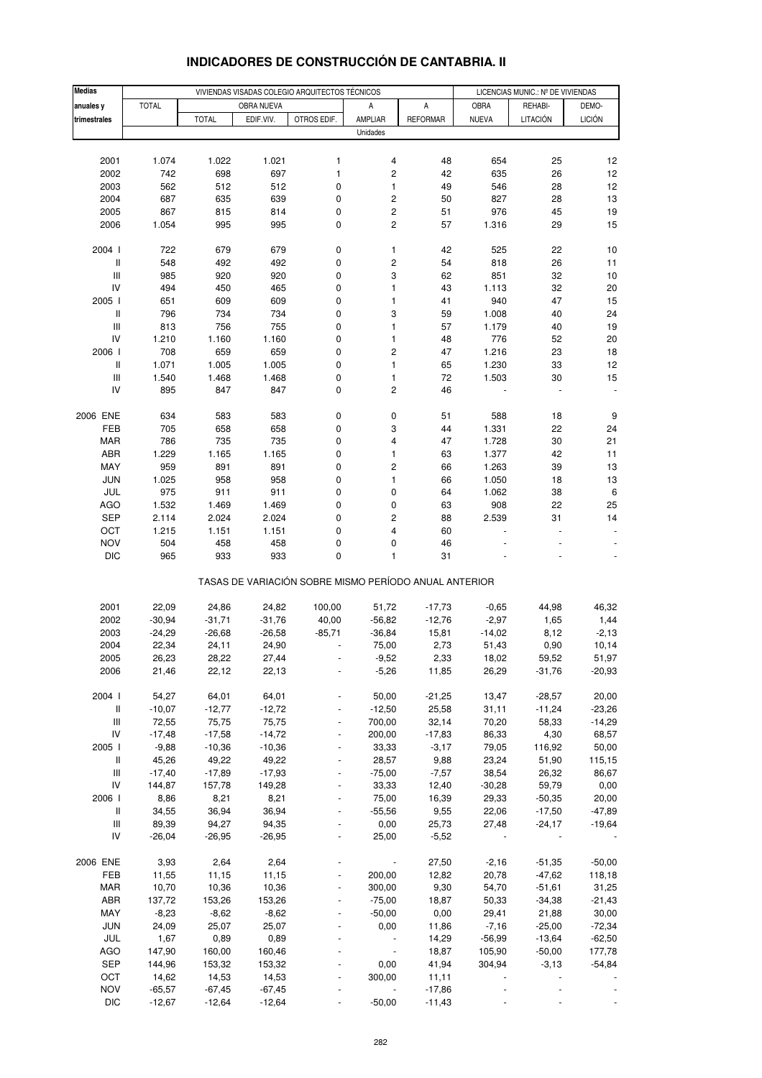| <b>Medias</b>                      |                   |                   |                   | VIVIENDAS VISADAS COLEGIO ARQUITECTOS TÉCNICOS        |             | LICENCIAS MUNIC.: Nº DE VIVIENDAS |              |          |               |
|------------------------------------|-------------------|-------------------|-------------------|-------------------------------------------------------|-------------|-----------------------------------|--------------|----------|---------------|
| anuales y                          | <b>TOTAL</b>      |                   | OBRA NUEVA        |                                                       | Α           | А                                 | OBRA         | REHABI-  | DEMO-         |
| trimestrales                       |                   | <b>TOTAL</b>      | EDIF.VIV.         | OTROS EDIF.                                           | AMPLIAR     | <b>REFORMAR</b>                   | <b>NUEVA</b> | LITACIÓN | <b>LICIÓN</b> |
|                                    |                   |                   |                   |                                                       | Unidades    |                                   |              |          |               |
|                                    |                   |                   |                   |                                                       |             |                                   |              |          |               |
| 2001                               | 1.074             | 1.022             | 1.021             | 1                                                     | 4           | 48                                | 654          | 25       | 12            |
| 2002                               | 742               | 698               | 697               | $\mathbf{1}$                                          | 2           | 42                                | 635          | 26       | 12            |
| 2003                               | 562               | 512               | 512               | 0                                                     | 1           | 49                                | 546          | 28       | 12            |
| 2004                               | 687               | 635               | 639               | $\pmb{0}$                                             | 2           | 50                                | 827          | 28       | 13            |
| 2005                               | 867               | 815               | 814               | 0                                                     | $\mathbf 2$ | 51                                | 976          | 45       | 19            |
| 2006                               | 1.054             | 995               | 995               | $\mathbf 0$                                           | 2           | 57                                | 1.316        | 29       | 15            |
|                                    |                   |                   |                   |                                                       |             |                                   |              |          |               |
| 2004 l                             | 722               | 679               | 679               | 0                                                     | 1           | 42                                | 525          | 22       | 10            |
| $\mathsf{I}$                       | 548               | 492               | 492               | $\pmb{0}$                                             | 2           | 54                                | 818          | 26       | 11            |
| $\ensuremath{\mathsf{III}}\xspace$ | 985               | 920               | 920               | 0                                                     | 3           | 62                                | 851          | 32       | 10            |
| IV                                 | 494               | 450               | 465               | 0                                                     | 1           | 43                                | 1.113        | 32       | 20            |
| 2005 l                             | 651               | 609               | 609               | $\pmb{0}$                                             | 1           | 41                                | 940          | 47       | 15            |
| $\,$ $\,$ $\,$                     | 796               | 734               | 734               | 0                                                     | 3           | 59                                | 1.008        | 40       | 24            |
| $\ensuremath{\mathsf{III}}\xspace$ | 813               | 756               | 755               | 0                                                     | 1           | 57                                | 1.179        | 40       | 19            |
| IV                                 | 1.210             | 1.160             | 1.160             | $\pmb{0}$                                             | 1           | 48                                | 776          | 52       | 20            |
| 2006                               | 708               | 659               | 659               | 0                                                     | 2           | 47                                | 1.216        | 23       | 18            |
| $\, \parallel$                     | 1.071             | 1.005             | 1.005             | 0                                                     | 1           | 65                                | 1.230        | 33       | 12            |
| $\ensuremath{\mathsf{III}}\xspace$ | 1.540             | 1.468             | 1.468             | 0                                                     | 1           | 72                                | 1.503        | 30       | 15            |
| IV                                 | 895               | 847               | 847               | 0                                                     | 2           | 46                                |              |          |               |
|                                    |                   |                   |                   |                                                       |             |                                   |              |          |               |
| 2006 ENE                           | 634               | 583               | 583               | 0                                                     | 0           | 51                                | 588          | 18       | 9             |
| FEB                                | 705               | 658               | 658               | $\pmb{0}$                                             | 3           | 44                                | 1.331        | 22       | 24            |
| <b>MAR</b>                         | 786               | 735               | 735               | 0                                                     | 4           | 47                                | 1.728        | 30       | 21            |
| ABR                                | 1.229             | 1.165             | 1.165             | 0                                                     | 1           | 63                                | 1.377        | 42       | 11            |
| MAY                                | 959               | 891               | 891               | $\pmb{0}$                                             | 2           | 66                                | 1.263        | 39       | 13            |
| <b>JUN</b>                         | 1.025             | 958               | 958               | $\pmb{0}$                                             | 1           | 66                                | 1.050        | 18       | 13            |
| JUL                                | 975               | 911               | 911               | 0                                                     | 0           | 64                                | 1.062        | 38       | $\,6\,$       |
| AGO                                | 1.532             | 1.469             | 1.469             | $\mathbf 0$                                           | 0           | 63                                | 908          | 22       | 25            |
| <b>SEP</b>                         | 2.114             | 2.024             | 2.024             | 0                                                     | 2           | 88                                | 2.539        | 31       | 14            |
| OCT                                | 1.215             | 1.151             | 1.151             | 0                                                     | 4           | 60                                |              |          |               |
| <b>NOV</b>                         | 504               | 458               | 458               | 0                                                     | 0           | 46                                |              |          |               |
| <b>DIC</b>                         | 965               | 933               | 933               | $\pmb{0}$                                             | 1           | 31                                |              |          |               |
|                                    |                   |                   |                   | TASAS DE VARIACIÓN SOBRE MISMO PERÍODO ANUAL ANTERIOR |             |                                   |              |          |               |
| 2001                               | 22,09             | 24,86             | 24,82             | 100,00                                                | 51,72       | $-17,73$                          | $-0,65$      | 44,98    | 46,32         |
| 2002                               | $-30,94$          | $-31,71$          | $-31,76$          | 40,00                                                 | $-56,82$    | $-12,76$                          | $-2,97$      | 1,65     | 1,44          |
| 2003                               | $-24,29$          | $-26,68$          | $-26,58$          | $-85,71$                                              | $-36,84$    | 15,81                             | $-14,02$     | 8,12     | $-2,13$       |
| 2004                               | 22,34             | 24,11             | 24,90             |                                                       | 75,00       | 2,73                              | 51,43        | 0,90     | 10,14         |
| 2005                               | 26,23             | 28,22             | 27,44             |                                                       | $-9,52$     | 2,33                              | 18,02        | 59,52    | 51,97         |
| 2006                               | 21,46             | 22,12             | 22,13             |                                                       | $-5,26$     | 11,85                             | 26,29        | $-31,76$ | $-20,93$      |
|                                    |                   |                   |                   |                                                       |             |                                   |              |          |               |
| 2004 l                             | 54,27             | 64,01             | 64,01             |                                                       | 50,00       | $-21,25$                          | 13,47        | $-28,57$ | 20,00         |
| $\, \parallel$                     | $-10,07$          | $-12,77$          | $-12,72$          |                                                       | $-12,50$    | 25,58                             | 31,11        | $-11,24$ | $-23,26$      |
| $\ensuremath{\mathsf{III}}\xspace$ | 72,55             | 75,75             | 75,75             |                                                       | 700,00      | 32,14                             | 70,20        | 58,33    | $-14,29$      |
| IV                                 | $-17,48$          | $-17,58$          | $-14,72$          |                                                       | 200,00      | $-17,83$                          | 86,33        | 4,30     | 68,57         |
| 2005                               | $-9,88$           | $-10,36$          | $-10,36$          |                                                       | 33,33       | $-3,17$                           | 79,05        | 116,92   | 50,00         |
| $\, \parallel$                     | 45,26             | 49,22             | 49,22             |                                                       | 28,57       | 9,88                              | 23,24        | 51,90    | 115,15        |
| Ш                                  | $-17,40$          | $-17,89$          | $-17,93$          |                                                       | $-75,00$    | $-7,57$                           | 38,54        | 26,32    | 86,67         |
| IV                                 | 144,87            | 157,78            | 149,28            |                                                       | 33,33       | 12,40                             | $-30,28$     | 59,79    | 0,00          |
| 2006                               | 8,86              | 8,21              | 8,21              |                                                       | 75,00       | 16,39                             | 29,33        | $-50,35$ | 20,00         |
| Ш                                  | 34,55             | 36,94             | 36,94             |                                                       | $-55,56$    | 9,55                              | 22,06        | $-17,50$ | $-47,89$      |
| Ш                                  | 89,39             | 94,27             | 94,35             |                                                       | 0,00        | 25,73                             | 27,48        | $-24,17$ | $-19,64$      |
| IV                                 | $-26,04$          | $-26,95$          | $-26,95$          |                                                       | 25,00       | $-5,52$                           |              |          |               |
|                                    |                   |                   |                   |                                                       |             |                                   |              |          |               |
| 2006 ENE                           | 3,93              | 2,64              | 2,64              |                                                       |             | 27,50                             | $-2,16$      | $-51,35$ | $-50,00$      |
| FEB                                | 11,55             | 11,15             | 11,15             |                                                       | 200,00      | 12,82                             | 20,78        | $-47,62$ | 118,18        |
| <b>MAR</b>                         | 10,70             | 10,36             | 10,36             |                                                       | 300,00      | 9,30                              | 54,70        | $-51,61$ | 31,25         |
| ABR                                | 137,72            | 153,26            | 153,26            |                                                       | $-75,00$    | 18,87                             | 50,33        | $-34,38$ | $-21,43$      |
| MAY                                | $-8,23$           | $-8,62$           | $-8,62$           |                                                       | $-50,00$    | 0,00                              | 29,41        | 21,88    | 30,00         |
| <b>JUN</b>                         | 24,09             | 25,07             | 25,07             |                                                       | 0,00        | 11,86                             | $-7,16$      | $-25,00$ | $-72,34$      |
| JUL                                | 1,67              | 0,89              | 0,89              |                                                       |             | 14,29                             | $-56,99$     | $-13,64$ | $-62,50$      |
| AGO                                | 147,90            | 160,00            | 160,46            |                                                       |             | 18,87                             | 105,90       | $-50,00$ | 177,78        |
| SEP                                | 144,96            | 153,32            | 153,32            |                                                       | 0,00        | 41,94                             | 304,94       | $-3,13$  | $-54,84$      |
| OCT<br><b>NOV</b>                  | 14,62<br>$-65,57$ | 14,53<br>$-67,45$ | 14,53<br>$-67,45$ |                                                       | 300,00      | 11,11<br>$-17,86$                 |              |          |               |
| <b>DIC</b>                         | $-12,67$          | $-12,64$          | $-12,64$          |                                                       | $-50,00$    | $-11,43$                          |              |          |               |
|                                    |                   |                   |                   |                                                       |             |                                   |              |          |               |

# **INDICADORES DE CONSTRUCCIÓN DE CANTABRIA. II**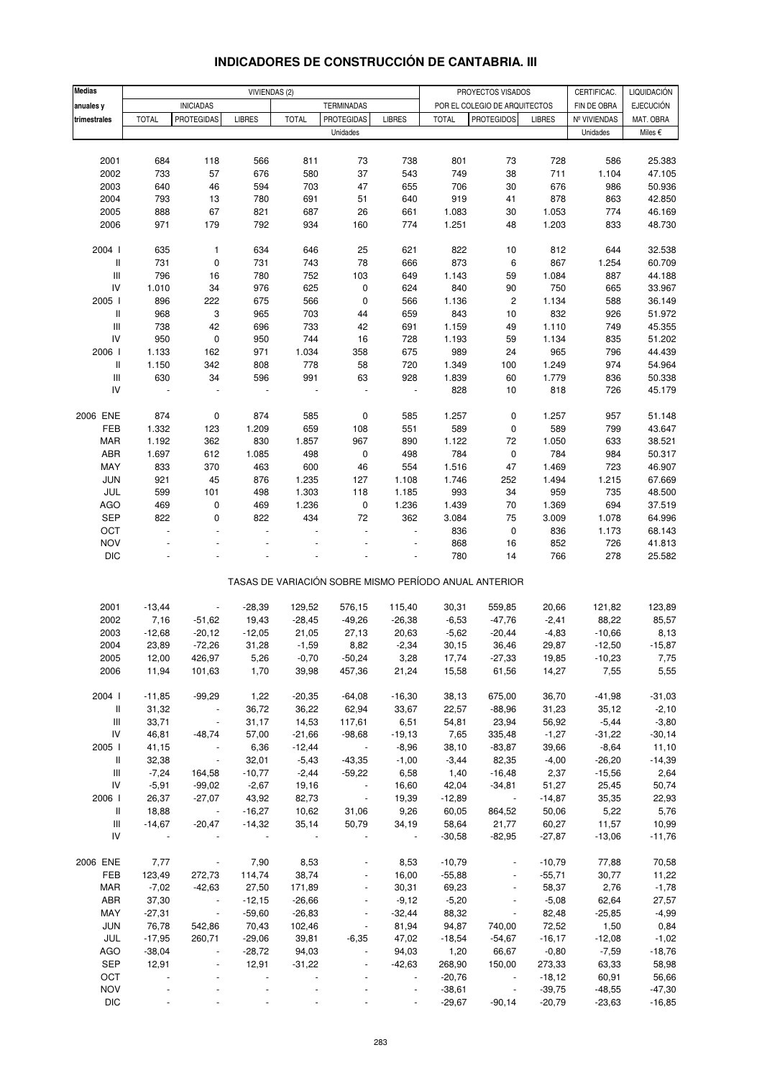| <b>Medias</b>                      |                |                           | VIVIENDAS (2) |              |                          |                |              | PROYECTOS VISADOS                                     |               | CERTIFICAC.  | LIQUIDACIÓN      |
|------------------------------------|----------------|---------------------------|---------------|--------------|--------------------------|----------------|--------------|-------------------------------------------------------|---------------|--------------|------------------|
|                                    |                | <b>INICIADAS</b>          |               |              | <b>TERMINADAS</b>        |                |              | POR EL COLEGIO DE ARQUITECTOS                         |               | FIN DE OBRA  | <b>EJECUCIÓN</b> |
| anuales y<br>trimestrales          | <b>TOTAL</b>   | <b>PROTEGIDAS</b>         | <b>LIBRES</b> | <b>TOTAL</b> | <b>PROTEGIDAS</b>        | <b>LIBRES</b>  | <b>TOTAL</b> | <b>PROTEGIDOS</b>                                     | <b>LIBRES</b> | Nº VIVIENDAS | MAT. OBRA        |
|                                    |                |                           |               |              | Unidades                 |                |              |                                                       |               | Unidades     | Miles €          |
|                                    |                |                           |               |              |                          |                |              |                                                       |               |              |                  |
| 2001                               | 684            | 118                       | 566           | 811          | 73                       | 738            | 801          | 73                                                    | 728           | 586          |                  |
| 2002                               | 733            | 57                        | 676           | 580          | 37                       | 543            | 749          | 38                                                    | 711           | 1.104        | 25.383<br>47.105 |
|                                    |                |                           |               | 703          | 47                       | 655            | 706          |                                                       |               | 986          | 50.936           |
| 2003<br>2004                       | 640<br>793     | 46<br>13                  | 594<br>780    | 691          | 51                       |                | 919          | 30                                                    | 676<br>878    |              | 42.850           |
| 2005                               | 888            | 67                        | 821           | 687          | 26                       | 640<br>661     | 1.083        | 41<br>30                                              | 1.053         | 863<br>774   | 46.169           |
| 2006                               | 971            | 179                       | 792           | 934          | 160                      | 774            | 1.251        | 48                                                    | 1.203         | 833          | 48.730           |
|                                    |                |                           |               |              |                          |                |              |                                                       |               |              |                  |
| 2004 l                             | 635            | $\mathbf{1}$              | 634           | 646          | 25                       | 621            | 822          | 10                                                    | 812           | 644          | 32.538           |
| $\,$ $\,$ $\,$                     | 731            | $\pmb{0}$                 | 731           | 743          | 78                       | 666            | 873          | 6                                                     | 867           | 1.254        | 60.709           |
| Ш                                  | 796            | 16                        | 780           | 752          | 103                      | 649            | 1.143        | 59                                                    | 1.084         | 887          | 44.188           |
| ${\sf IV}$                         | 1.010          | 34                        | 976           | 625          | $\pmb{0}$                | 624            | 840          | 90                                                    | 750           | 665          | 33.967           |
| 2005                               | 896            | 222                       | 675           | 566          | $\pmb{0}$                | 566            | 1.136        | $\overline{\mathbf{c}}$                               | 1.134         | 588          | 36.149           |
| $\sf II$                           | 968            | 3                         | 965           | 703          | 44                       | 659            | 843          | 10                                                    | 832           | 926          | 51.972           |
| $\ensuremath{\mathsf{III}}\xspace$ | 738            | 42                        | 696           | 733          | 42                       | 691            | 1.159        | 49                                                    | 1.110         | 749          | 45.355           |
| ${\sf IV}$                         | 950            | 0                         | 950           | 744          | 16                       | 728            | 1.193        | 59                                                    | 1.134         | 835          | 51.202           |
| 2006                               | 1.133          | 162                       | 971           | 1.034        | 358                      | 675            | 989          | 24                                                    | 965           | 796          | 44.439           |
| $\,$ $\,$ $\,$                     | 1.150          | 342                       | 808           | 778          | 58                       | 720            | 1.349        | 100                                                   | 1.249         | 974          | 54.964           |
| $\ensuremath{\mathsf{III}}\xspace$ | 630            | 34                        | 596           | 991          | 63                       | 928            | 1.839        | 60                                                    | 1.779         | 836          | 50.338           |
| IV                                 | $\blacksquare$ | ÷,                        |               |              |                          | $\blacksquare$ | 828          | 10                                                    | 818           | 726          | 45.179           |
|                                    |                |                           |               |              |                          |                |              |                                                       |               |              |                  |
| 2006 ENE                           | 874            | 0                         | 874           | 585          | $\pmb{0}$                | 585            | 1.257        | 0                                                     | 1.257         | 957          | 51.148           |
| FEB                                | 1.332          | 123                       | 1.209         | 659          | 108                      | 551            | 589          | 0                                                     | 589           | 799          | 43.647           |
| <b>MAR</b>                         | 1.192          | 362                       | 830           | 1.857        | 967                      | 890            | 1.122        | 72                                                    | 1.050         | 633          | 38.521           |
| ABR                                | 1.697          | 612                       | 1.085         | 498          | $\pmb{0}$                | 498            | 784          | 0                                                     | 784           | 984          | 50.317           |
| MAY                                | 833            | 370                       | 463           | 600          | 46                       | 554            | 1.516        | 47                                                    | 1.469         | 723          | 46.907           |
| JUN                                | 921            | 45                        | 876           | 1.235        | 127                      | 1.108          | 1.746        | 252                                                   | 1.494         | 1.215        | 67.669           |
| JUL                                | 599            | 101                       | 498           | 1.303        | 118                      | 1.185          | 993          | 34                                                    | 959           | 735          | 48.500           |
| <b>AGO</b>                         | 469            | $\pmb{0}$                 | 469           | 1.236        | $\pmb{0}$                | 1.236          | 1.439        | 70                                                    | 1.369         | 694          | 37.519           |
| <b>SEP</b>                         | 822            | 0                         | 822           | 434          | 72                       | 362            | 3.084        | 75                                                    | 3.009         | 1.078        | 64.996           |
| OCT                                | $\overline{a}$ | L.                        | ÷,            |              | ÷.                       | $\overline{a}$ | 836          | $\pmb{0}$                                             | 836           | 1.173        | 68.143           |
| <b>NOV</b>                         |                |                           |               |              |                          |                | 868          | 16                                                    | 852           | 726          | 41.813           |
| <b>DIC</b>                         |                |                           |               |              |                          |                | 780          | 14                                                    | 766           | 278          | 25.582           |
|                                    |                |                           |               |              |                          |                |              |                                                       |               |              |                  |
|                                    |                |                           |               |              |                          |                |              | TASAS DE VARIACIÓN SOBRE MISMO PERÍODO ANUAL ANTERIOR |               |              |                  |
|                                    |                |                           |               |              |                          |                |              |                                                       |               |              |                  |
| 2001                               | $-13,44$       |                           | $-28,39$      | 129,52       | 576,15                   | 115,40         | 30,31        | 559,85                                                | 20,66         | 121,82       | 123,89           |
| 2002                               | 7,16           | $-51,62$                  | 19,43         | $-28,45$     | $-49,26$                 | $-26,38$       | $-6,53$      | $-47,76$                                              | $-2,41$       | 88,22        | 85,57            |
| 2003                               | $-12,68$       | $-20,12$                  | $-12,05$      | 21,05        | 27,13                    | 20,63          | $-5,62$      | $-20,44$                                              | $-4,83$       | $-10,66$     | 8,13             |
| 2004                               | 23,89          | $-72,26$                  | 31,28         | $-1,59$      | 8,82                     | $-2,34$        | 30,15        | 36,46                                                 | 29,87         | $-12,50$     | $-15,87$         |
| 2005                               | 12,00          | 426,97                    | 5,26          | $-0,70$      | $-50,24$                 | 3,28           | 17,74        | $-27,33$                                              | 19,85         | $-10,23$     | 7,75             |
| 2006                               | 11,94          | 101,63                    | 1,70          | 39,98        | 457,36                   | 21,24          | 15,58        | 61,56                                                 | 14,27         | 7,55         | 5,55             |
|                                    |                |                           |               |              |                          |                |              |                                                       |               |              |                  |
| 2004 l                             | $-11,85$       | $-99,29$                  | 1,22          | $-20,35$     | $-64,08$                 | $-16,30$       | 38,13        | 675,00                                                | 36,70         | $-41,98$     | $-31,03$         |
| Ш                                  | 31,32          | $\sim 10^{-10}$           | 36,72         | 36,22        | 62,94                    | 33,67          | 22,57        | $-88,96$                                              | 31,23         | 35,12        | $-2,10$          |
| Ш                                  | 33,71          | $\sim$                    | 31,17         | 14,53        | 117,61                   | 6,51           | 54,81        | 23,94                                                 | 56,92         | $-5,44$      | $-3,80$          |
| ${\sf IV}$                         | 46,81          | $-48,74$                  | 57,00         | $-21,66$     | $-98,68$                 | $-19,13$       | 7,65         | 335,48                                                | $-1,27$       | $-31,22$     | $-30,14$         |
| 2005                               | 41,15          | $\sim$ $\sim$             | 6,36          | $-12,44$     | $\sim 100$ m $^{-1}$     | $-8,96$        | 38,10        | $-83,87$                                              | 39,66         | $-8,64$      | 11,10            |
| Ш                                  | 32,38          | $\sim$ $\sim$             | 32,01         | $-5,43$      | $-43,35$                 | $-1,00$        | $-3,44$      | 82,35                                                 | $-4,00$       | $-26,20$     | $-14,39$         |
| Ш                                  | $-7,24$        | 164,58                    | $-10,77$      | $-2,44$      | $-59,22$                 | 6,58           | 1,40         | $-16,48$                                              | 2,37          | $-15,56$     | 2,64             |
| IV                                 | $-5,91$        | $-99,02$                  | $-2,67$       | 19,16        | $\sim 10^{-10}$          | 16,60          | 42,04        | $-34,81$                                              | 51,27         | 25,45        | 50,74            |
| 2006                               | 26,37          | $-27,07$                  | 43,92         | 82,73        | $\sim$                   | 19,39          | $-12,89$     | $\sim 10^{-1}$ $\mu$                                  | $-14,87$      | 35,35        | 22,93            |
| Ш                                  | 18,88          | $\sim 10^{11}$ km $^{-2}$ | $-16,27$      | 10,62        | 31,06                    | 9,26           | 60,05        | 864,52                                                | 50,06         | 5,22         | 5,76             |
| Ш                                  | $-14,67$       | $-20,47$                  | $-14,32$      | 35,14        | 50,79                    | 34,19          | 58,64        | 21,77                                                 | 60,27         | 11,57        | 10,99            |
| IV                                 |                |                           |               |              |                          | $\sim$ $\sim$  | $-30,58$     | $-82,95$                                              | $-27,87$      | $-13,06$     | $-11,76$         |
|                                    |                |                           |               |              |                          |                |              |                                                       |               |              |                  |
| 2006 ENE                           | 7,77           | $\sim$ $-$                | 7,90          | 8,53         |                          | 8,53           | $-10,79$     | $\overline{\phantom{a}}$                              | $-10,79$      | 77,88        | 70,58            |
| FEB                                | 123,49         | 272,73                    | 114,74        | 38,74        |                          | 16,00          | $-55,88$     | $\blacksquare$                                        | $-55,71$      | 30,77        | 11,22            |
| MAR                                | $-7,02$        | $-42,63$                  | 27,50         | 171,89       | $\blacksquare$           | 30,31          | 69,23        | $\blacksquare$                                        | 58,37         | 2,76         | $-1,78$          |
| ABR                                | 37,30          | $\sim$ $-$                | $-12,15$      | $-26,66$     | $\overline{\phantom{a}}$ | $-9,12$        | $-5,20$      | $\overline{\phantom{a}}$                              | $-5,08$       | 62,64        | 27,57            |
| MAY                                | $-27,31$       | $\sim 10^{-1}$            | $-59,60$      | $-26,83$     | $\blacksquare$           | $-32,44$       | 88,32        | $\blacksquare$                                        | 82,48         | $-25,85$     | $-4,99$          |
| JUN                                | 76,78          | 542,86                    | 70,43         | 102,46       | $\blacksquare$           | 81,94          | 94,87        | 740,00                                                | 72,52         | 1,50         | 0,84             |
| JUL                                | $-17,95$       | 260,71                    | $-29,06$      | 39,81        | $-6,35$                  | 47,02          | $-18,54$     | $-54,67$                                              | $-16,17$      | $-12,08$     | $-1,02$          |
| AGO                                | $-38,04$       | $\blacksquare$            | $-28,72$      | 94,03        | $\blacksquare$           | 94,03          | 1,20         | 66,67                                                 | $-0,80$       | $-7,59$      | $-18,76$         |
| <b>SEP</b>                         | 12,91          | $\blacksquare$            | 12,91         | $-31,22$     | $\overline{\phantom{a}}$ | $-42,63$       | 268,90       | 150,00                                                | 273,33        | 63,33        | 58,98            |
| OCT                                |                |                           |               |              |                          | $\blacksquare$ | $-20,76$     | $\sim$                                                | $-18,12$      | 60,91        | 56,66            |
| <b>NOV</b>                         |                |                           |               |              |                          | ÷,             | $-38,61$     | $\Box$                                                | $-39,75$      | $-48,55$     | $-47,30$         |
| <b>DIC</b>                         |                |                           |               |              |                          |                | $-29,67$     | $-90,14$                                              | $-20,79$      | $-23,63$     | $-16,85$         |

### **INDICADORES DE CONSTRUCCIÓN DE CANTABRIA. III**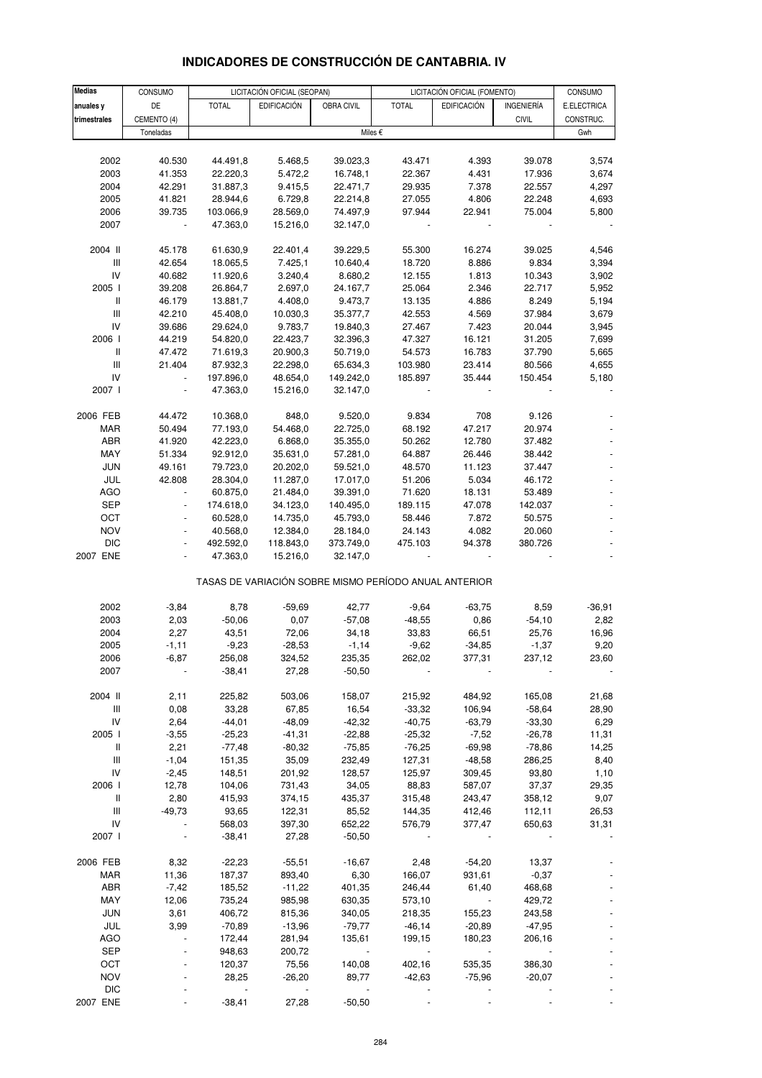| <b>Medias</b>  | CONSUMO        |              | LICITACIÓN OFICIAL (SEOPAN) |            | LICITACIÓN OFICIAL (FOMENTO)                          |                    | CONSUMO      |           |
|----------------|----------------|--------------|-----------------------------|------------|-------------------------------------------------------|--------------------|--------------|-----------|
| anuales y      | DE             | <b>TOTAL</b> | <b>EDIFICACIÓN</b>          | OBRA CIVIL | <b>TOTAL</b>                                          | INGENIERÍA         | E.ELECTRICA  |           |
|                |                |              |                             |            |                                                       | <b>EDIFICACIÓN</b> |              |           |
| trimestrales   | CEMENTO (4)    |              |                             |            |                                                       |                    | <b>CIVIL</b> | CONSTRUC. |
|                | Toneladas      |              |                             |            | Miles €                                               |                    |              | Gwh       |
|                |                |              |                             |            |                                                       |                    |              |           |
| 2002           | 40.530         | 44.491,8     | 5.468,5                     | 39.023,3   | 43.471                                                | 4.393              | 39.078       | 3,574     |
| 2003           | 41.353         | 22.220,3     | 5.472,2                     | 16.748,1   | 22.367                                                | 4.431              | 17.936       | 3,674     |
| 2004           | 42.291         | 31.887,3     | 9.415,5                     | 22.471,7   | 29.935                                                | 7.378              | 22.557       | 4,297     |
| 2005           | 41.821         | 28.944,6     | 6.729,8                     | 22.214,8   | 27.055                                                | 4.806              | 22.248       | 4,693     |
| 2006           | 39.735         | 103.066,9    | 28.569,0                    | 74.497,9   | 97.944                                                | 22.941             | 75.004       | 5,800     |
| 2007           | $\blacksquare$ | 47.363,0     | 15.216,0                    | 32.147,0   |                                                       |                    |              |           |
| 2004 II        | 45.178         | 61.630,9     | 22.401,4                    | 39.229,5   | 55.300                                                | 16.274             | 39.025       | 4,546     |
| Ш              | 42.654         | 18.065,5     | 7.425,1                     | 10.640,4   | 18.720                                                | 8.886              | 9.834        | 3,394     |
| IV             | 40.682         | 11.920,6     | 3.240,4                     | 8.680,2    | 12.155                                                | 1.813              | 10.343       | 3,902     |
| 2005 l         | 39.208         | 26.864,7     | 2.697,0                     | 24.167,7   | 25.064                                                | 2.346              | 22.717       | 5,952     |
| $\, \parallel$ | 46.179         | 13.881,7     | 4.408,0                     | 9.473,7    | 13.135                                                | 4.886              | 8.249        | 5,194     |
|                |                |              |                             |            |                                                       |                    |              |           |
| Ш              | 42.210         | 45.408,0     | 10.030,3                    | 35.377,7   | 42.553                                                | 4.569              | 37.984       | 3,679     |
| IV             | 39.686         | 29.624,0     | 9.783,7                     | 19.840,3   | 27.467                                                | 7.423              | 20.044       | 3,945     |
| 2006           | 44.219         | 54.820,0     | 22.423,7                    | 32.396,3   | 47.327                                                | 16.121             | 31.205       | 7,699     |
| Ш              | 47.472         | 71.619,3     | 20.900,3                    | 50.719,0   | 54.573                                                | 16.783             | 37.790       | 5,665     |
| Ш              | 21.404         | 87.932,3     | 22.298,0                    | 65.634,3   | 103.980                                               | 23.414             | 80.566       | 4,655     |
| IV             | $\omega$       | 197.896,0    | 48.654,0                    | 149.242,0  | 185.897                                               | 35.444             | 150.454      | 5,180     |
| 2007 l         | $\Box$         | 47.363,0     | 15.216,0                    | 32.147,0   |                                                       |                    |              |           |
| 2006 FEB       | 44.472         | 10.368,0     | 848,0                       | 9.520,0    | 9.834                                                 | 708                | 9.126        |           |
| MAR            | 50.494         | 77.193,0     | 54.468,0                    | 22.725,0   | 68.192                                                | 47.217             | 20.974       |           |
|                |                | 42.223,0     |                             |            |                                                       |                    |              |           |
| ABR            | 41.920         |              | 6.868,0                     | 35.355,0   | 50.262                                                | 12.780             | 37.482       |           |
| MAY            | 51.334         | 92.912,0     | 35.631,0                    | 57.281,0   | 64.887                                                | 26.446             | 38.442       |           |
| <b>JUN</b>     | 49.161         | 79.723,0     | 20.202,0                    | 59.521,0   | 48.570                                                | 11.123             | 37.447       |           |
| JUL            | 42.808         | 28.304,0     | 11.287,0                    | 17.017,0   | 51.206                                                | 5.034              | 46.172       |           |
| <b>AGO</b>     | $\omega$       | 60.875,0     | 21.484,0                    | 39.391,0   | 71.620                                                | 18.131             | 53.489       |           |
| <b>SEP</b>     | $\blacksquare$ | 174.618,0    | 34.123,0                    | 140.495,0  | 189.115                                               | 47.078             | 142.037      |           |
| OCT            |                | 60.528,0     | 14.735,0                    | 45.793,0   | 58.446                                                | 7.872              | 50.575       |           |
| <b>NOV</b>     | $\blacksquare$ | 40.568,0     | 12.384,0                    | 28.184,0   | 24.143                                                | 4.082              | 20.060       |           |
| <b>DIC</b>     | $\blacksquare$ | 492.592,0    | 118.843,0                   | 373.749,0  | 475.103                                               | 94.378             | 380.726      |           |
| 2007 ENE       |                | 47.363,0     | 15.216,0                    | 32.147,0   |                                                       |                    |              |           |
|                |                |              |                             |            |                                                       |                    |              |           |
|                |                |              |                             |            | TASAS DE VARIACIÓN SOBRE MISMO PERÍODO ANUAL ANTERIOR |                    |              |           |
| 2002           | $-3,84$        | 8,78         | $-59,69$                    | 42,77      | $-9,64$                                               | $-63,75$           | 8,59         | $-36,91$  |
| 2003           | 2,03           | $-50,06$     | 0,07                        | $-57,08$   | $-48,55$                                              | 0,86               | $-54,10$     | 2,82      |
| 2004           | 2,27           | 43,51        | 72,06                       | 34,18      | 33,83                                                 | 66,51              | 25,76        | 16,96     |
| 2005           | $-1,11$        | $-9,23$      | $-28,53$                    | $-1,14$    | $-9,62$                                               | $-34,85$           | $-1,37$      | 9,20      |
|                |                |              |                             |            |                                                       |                    |              |           |
| 2006           | -6,87          | 256,08       | 324,52                      | 235,35     | 262,02                                                | 377,31             | 237,12       | 23,60     |
| 2007           |                | $-38,41$     | 27,28                       | $-50,50$   |                                                       |                    |              |           |
| 2004 II        | 2,11           | 225,82       | 503,06                      | 158,07     | 215,92                                                | 484,92             | 165,08       | 21,68     |
| Ш              | 0,08           | 33,28        | 67,85                       | 16,54      | $-33,32$                                              | 106,94             | $-58,64$     | 28,90     |
| IV             | 2,64           | $-44,01$     | $-48,09$                    | $-42,32$   | $-40,75$                                              | $-63,79$           | $-33,30$     | 6,29      |
| 2005           | $-3,55$        | $-25,23$     | $-41,31$                    | $-22,88$   | $-25,32$                                              | $-7,52$            | $-26,78$     | 11,31     |
| Ш              | 2,21           | $-77,48$     | $-80,32$                    | $-75,85$   | $-76,25$                                              | $-69,98$           | $-78,86$     | 14,25     |
| Ш              | $-1,04$        | 151,35       | 35,09                       | 232,49     | 127,31                                                | $-48,58$           | 286,25       | 8,40      |
| IV             | $-2,45$        | 148,51       | 201,92                      | 128,57     | 125,97                                                | 309,45             | 93,80        | 1,10      |
| 2006           | 12,78          | 104,06       | 731,43                      | 34,05      | 88,83                                                 | 587,07             | 37,37        | 29,35     |
|                |                |              |                             |            |                                                       |                    |              |           |
| Ш              | 2,80           | 415,93       | 374,15                      | 435,37     | 315,48                                                | 243,47             | 358,12       | 9,07      |
| Ш              | $-49,73$       | 93,65        | 122,31                      | 85,52      | 144,35                                                | 412,46             | 112,11       | 26,53     |
| IV             |                | 568,03       | 397,30                      | 652,22     | 576,79                                                | 377,47             | 650,63       | 31,31     |
| 2007 l         |                | $-38,41$     | 27,28                       | $-50,50$   |                                                       |                    |              |           |
| 2006 FEB       | 8,32           | $-22,23$     | $-55,51$                    | $-16,67$   | 2,48                                                  | $-54,20$           | 13,37        |           |
| <b>MAR</b>     | 11,36          | 187,37       | 893,40                      | 6,30       | 166,07                                                | 931,61             | $-0,37$      |           |
| ABR            | $-7,42$        | 185,52       | $-11,22$                    | 401,35     | 246,44                                                | 61,40              | 468,68       |           |
| MAY            | 12,06          | 735,24       | 985,98                      | 630,35     | 573,10                                                |                    | 429,72       |           |
| <b>JUN</b>     | 3,61           | 406,72       | 815,36                      | 340,05     | 218,35                                                | 155,23             | 243,58       |           |
| JUL            |                |              |                             |            |                                                       |                    |              |           |
|                | 3,99           | $-70,89$     | $-13,96$                    | $-79,77$   | $-46, 14$                                             | $-20,89$           | $-47,95$     |           |
| <b>AGO</b>     |                | 172,44       | 281,94                      | 135,61     | 199,15                                                | 180,23             | 206,16       |           |
| <b>SEP</b>     |                | 948,63       | 200,72                      |            |                                                       |                    |              |           |
| OCT            |                | 120,37       | 75,56                       | 140,08     | 402,16                                                | 535,35             | 386,30       |           |

## **INDICADORES DE CONSTRUCCIÓN DE CANTABRIA. IV**

NOV - 28,25 -26,20 89,77 -42,63 -75,96 -20,07 - DIC - - - - - - - - 2007 ENE - -38,41 27,28 -50,50 - - - -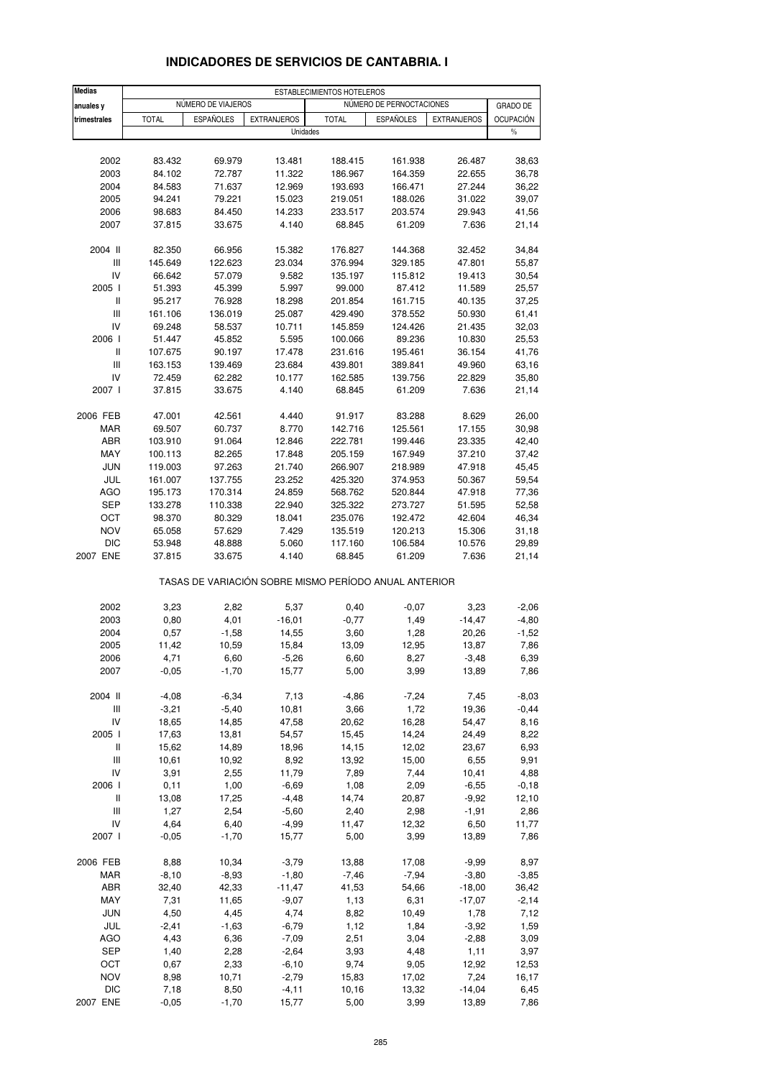| <b>Medias</b>                      |              |                    |                                                       | ESTABLECIMIENTOS HOTELEROS |                          |                    |                  |
|------------------------------------|--------------|--------------------|-------------------------------------------------------|----------------------------|--------------------------|--------------------|------------------|
| anuales y                          |              | NÚMERO DE VIAJEROS |                                                       |                            | NÚMERO DE PERNOCTACIONES |                    | GRADO DE         |
| trimestrales                       | <b>TOTAL</b> | <b>ESPAÑOLES</b>   | <b>EXTRANJEROS</b>                                    | <b>TOTAL</b>               | <b>ESPAÑOLES</b>         | <b>EXTRANJEROS</b> | <b>OCUPACIÓN</b> |
|                                    |              |                    | Unidades                                              |                            |                          |                    | $\%$             |
|                                    |              |                    |                                                       |                            |                          |                    |                  |
| 2002                               | 83.432       | 69.979             | 13.481                                                | 188.415                    | 161.938                  | 26.487             | 38,63            |
| 2003                               | 84.102       | 72.787             | 11.322                                                | 186.967                    | 164.359                  | 22.655             | 36,78            |
| 2004                               | 84.583       | 71.637             | 12.969                                                | 193.693                    | 166.471                  | 27.244             | 36,22            |
| 2005                               | 94.241       | 79.221             | 15.023                                                | 219.051                    | 188.026                  | 31.022             | 39,07            |
| 2006                               | 98.683       | 84.450             | 14.233                                                | 233.517                    | 203.574                  | 29.943             | 41,56            |
| 2007                               | 37.815       | 33.675             | 4.140                                                 | 68.845                     | 61.209                   | 7.636              | 21,14            |
| 2004 II                            | 82.350       | 66.956             | 15.382                                                | 176.827                    | 144.368                  | 32.452             | 34,84            |
| Ш                                  | 145.649      | 122.623            | 23.034                                                | 376.994                    | 329.185                  | 47.801             | 55,87            |
| IV                                 | 66.642       | 57.079             | 9.582                                                 | 135.197                    | 115.812                  | 19.413             | 30,54            |
| 2005 l                             | 51.393       | 45.399             | 5.997                                                 | 99.000                     | 87.412                   | 11.589             | 25,57            |
| Ш                                  | 95.217       | 76.928             | 18.298                                                | 201.854                    | 161.715                  | 40.135             | 37,25            |
| Ш                                  | 161.106      | 136.019            | 25.087                                                | 429.490                    | 378.552                  | 50.930             | 61,41            |
| IV                                 | 69.248       | 58.537             | 10.711                                                | 145.859                    | 124.426                  | 21.435             | 32,03            |
| 2006                               | 51.447       | 45.852             | 5.595                                                 | 100.066                    | 89.236                   | 10.830             | 25,53            |
| Ш                                  | 107.675      | 90.197             | 17.478                                                | 231.616                    | 195.461                  | 36.154             | 41,76            |
| $\ensuremath{\mathsf{III}}\xspace$ | 163.153      | 139.469            | 23.684                                                | 439.801                    | 389.841                  | 49.960             | 63,16            |
| IV                                 | 72.459       | 62.282             | 10.177                                                | 162.585                    | 139.756                  | 22.829             | 35,80            |
| 2007 l                             | 37.815       | 33.675             | 4.140                                                 | 68.845                     | 61.209                   | 7.636              | 21,14            |
| 2006 FEB                           | 47.001       | 42.561             | 4.440                                                 | 91.917                     | 83.288                   | 8.629              | 26,00            |
| <b>MAR</b>                         | 69.507       | 60.737             | 8.770                                                 | 142.716                    | 125.561                  | 17.155             | 30,98            |
| ABR                                | 103.910      | 91.064             | 12.846                                                | 222.781                    | 199.446                  | 23.335             | 42,40            |
| MAY                                | 100.113      | 82.265             | 17.848                                                | 205.159                    | 167.949                  | 37.210             | 37,42            |
| <b>JUN</b>                         | 119.003      | 97.263             | 21.740                                                | 266.907                    | 218.989                  | 47.918             | 45,45            |
| JUL                                | 161.007      | 137.755            | 23.252                                                | 425.320                    | 374.953                  | 50.367             | 59,54            |
| <b>AGO</b>                         | 195.173      | 170.314            | 24.859                                                | 568.762                    | 520.844                  | 47.918             | 77,36            |
| <b>SEP</b>                         | 133.278      | 110.338            | 22.940                                                | 325.322                    | 273.727                  | 51.595             | 52,58            |
| OCT                                | 98.370       | 80.329             | 18.041                                                | 235.076                    | 192.472                  | 42.604             | 46,34            |
| <b>NOV</b>                         | 65.058       | 57.629             | 7.429                                                 | 135.519                    | 120.213                  | 15.306             | 31,18            |
| <b>DIC</b>                         | 53.948       | 48.888             | 5.060                                                 | 117.160                    | 106.584                  | 10.576             | 29,89            |
| 2007 ENE                           | 37.815       | 33.675             | 4.140                                                 | 68.845                     | 61.209                   | 7.636              | 21,14            |
|                                    |              |                    | TASAS DE VARIACIÓN SOBRE MISMO PERÍODO ANUAL ANTERIOR |                            |                          |                    |                  |
| 2002                               | 3,23         | 2,82               | 5,37                                                  | 0,40                       | $-0,07$                  | 3,23               | $-2,06$          |
| 2003                               | 0,80         | 4,01               | $-16,01$                                              | $-0,77$                    | 1,49                     | $-14,47$           | $-4,80$          |
| 2004                               | 0,57         | $-1,58$            | 14,55                                                 | 3,60                       | 1,28                     | 20,26              | $-1,52$          |
| 2005                               | 11,42        | 10,59              | 15,84                                                 | 13,09                      | 12,95                    | 13,87              | 7,86             |
| 2006                               | 4,71         | 6,60               | -5,26                                                 | 6,60                       | 8,27                     | $-3,48$            | 6,39             |
| 2007                               | $-0,05$      | $-1,70$            | 15,77                                                 | 5,00                       | 3,99                     | 13,89              | 7,86             |
| 2004 II                            | $-4,08$      | $-6,34$            | 7,13                                                  | $-4,86$                    | $-7,24$                  | 7,45               | $-8,03$          |
| $\ensuremath{\mathsf{III}}\xspace$ | $-3,21$      | $-5,40$            | 10,81                                                 | 3,66                       | 1,72                     | 19,36              | $-0,44$          |
| IV                                 | 18,65        | 14,85              | 47,58                                                 | 20,62                      | 16,28                    | 54,47              | 8,16             |
| 2005 l                             | 17,63        | 13,81              | 54,57                                                 | 15,45                      | 14,24                    | 24,49              | 8,22             |
| Ш                                  | 15,62        | 14,89              | 18,96                                                 | 14,15                      | 12,02                    | 23,67              | 6,93             |
| Ш                                  | 10,61        | 10,92              | 8,92                                                  | 13,92                      | 15,00                    | 6,55               | 9,91             |
| IV                                 | 3,91         | 2,55               | 11,79                                                 | 7,89                       | 7,44                     | 10,41              | 4,88             |
| 2006 l                             | 0,11         | 1,00               | $-6,69$                                               | 1,08                       | 2,09                     | $-6,55$            | $-0,18$          |
| Ш                                  | 13,08        | 17,25              | $-4,48$                                               | 14,74                      | 20,87                    | $-9,92$            | 12,10            |
| $\ensuremath{\mathsf{III}}\xspace$ | 1,27         | 2,54               | $-5,60$                                               | 2,40                       | 2,98                     | $-1,91$            | 2,86             |
| IV                                 | 4,64         | 6,40               | $-4,99$                                               | 11,47                      | 12,32                    | 6,50               | 11,77            |
| 2007 l                             | $-0,05$      | $-1,70$            | 15,77                                                 | 5,00                       | 3,99                     | 13,89              | 7,86             |
| 2006 FEB                           | 8,88         | 10,34              | $-3,79$                                               | 13,88                      | 17,08                    | $-9,99$            | 8,97             |
| <b>MAR</b>                         | $-8,10$      | $-8,93$            | $-1,80$                                               | $-7,46$                    | $-7,94$                  | $-3,80$            | $-3,85$          |
| ABR                                | 32,40        | 42,33              | $-11,47$                                              | 41,53                      | 54,66                    | $-18,00$           | 36,42            |
| MAY                                | 7,31         | 11,65              | $-9,07$                                               | 1,13                       | 6,31                     | $-17,07$           | $-2,14$          |
| <b>JUN</b>                         | 4,50         | 4,45               | 4,74                                                  | 8,82                       | 10,49                    | 1,78               | 7,12             |
| JUL                                | $-2,41$      | $-1,63$            | $-6,79$                                               | 1,12                       | 1,84                     | $-3,92$            | 1,59             |
| <b>AGO</b>                         | 4,43         | 6,36               | $-7,09$                                               | 2,51                       | 3,04                     | $-2,88$            | 3,09             |
| <b>SEP</b>                         | 1,40         | 2,28               | $-2,64$                                               | 3,93                       | 4,48                     | 1,11               | 3,97             |
| OCT                                | 0,67         | 2,33               | $-6, 10$                                              | 9,74                       | 9,05                     | 12,92              | 12,53            |
| <b>NOV</b>                         | 8,98         | 10,71              | $-2,79$                                               | 15,83                      | 17,02                    | 7,24               | 16,17            |
| <b>DIC</b>                         | 7,18         | 8,50               | $-4, 11$                                              | 10,16                      | 13,32                    | $-14,04$           | 6,45             |
| 2007 ENE                           | $-0,05$      | $-1,70$            | 15,77                                                 | 5,00                       | 3,99                     | 13,89              | 7,86             |

### **INDICADORES DE SERVICIOS DE CANTABRIA. I**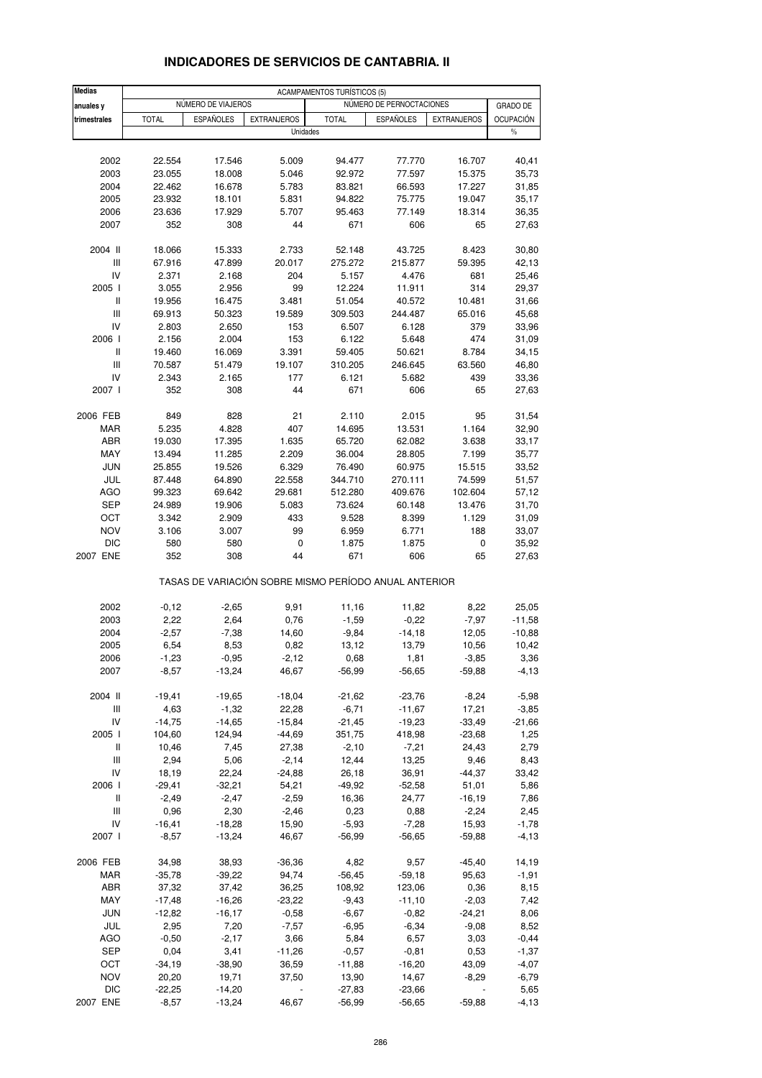| <b>Medias</b>                      |                                                                   |                  |                    | <b>ACAMPAMENTOS TURÍSTICOS (5)</b>                    |                  |                     |                   |  |  |
|------------------------------------|-------------------------------------------------------------------|------------------|--------------------|-------------------------------------------------------|------------------|---------------------|-------------------|--|--|
| anuales y                          | NÚMERO DE PERNOCTACIONES<br>NÚMERO DE VIAJEROS<br><b>GRADO DE</b> |                  |                    |                                                       |                  |                     |                   |  |  |
| trimestrales                       | <b>TOTAL</b>                                                      | <b>ESPAÑOLES</b> | <b>EXTRANJEROS</b> | <b>TOTAL</b>                                          | ESPAÑOLES        | <b>EXTRANJEROS</b>  | OCUPACIÓN         |  |  |
|                                    |                                                                   |                  |                    | Unidades                                              |                  |                     | $\frac{0}{0}$     |  |  |
|                                    |                                                                   |                  |                    |                                                       |                  |                     |                   |  |  |
| 2002                               | 22.554                                                            | 17.546           | 5.009              | 94.477                                                | 77.770           | 16.707              | 40,41             |  |  |
| 2003                               | 23.055                                                            | 18.008           | 5.046              | 92.972                                                | 77.597           | 15.375              | 35,73             |  |  |
| 2004                               | 22.462                                                            | 16.678           | 5.783              | 83.821                                                | 66.593           | 17.227              | 31,85             |  |  |
| 2005                               | 23.932                                                            | 18.101           | 5.831              | 94.822                                                | 75.775           | 19.047              | 35,17             |  |  |
| 2006                               | 23.636                                                            | 17.929           | 5.707              | 95.463                                                | 77.149           | 18.314              | 36,35             |  |  |
| 2007                               | 352                                                               | 308              | 44                 | 671                                                   | 606              | 65                  | 27,63             |  |  |
| 2004 II                            | 18.066                                                            | 15.333           | 2.733              | 52.148                                                | 43.725           | 8.423               | 30,80             |  |  |
| III                                | 67.916                                                            | 47.899           | 20.017             | 275.272                                               | 215.877          | 59.395              | 42,13             |  |  |
| IV                                 | 2.371                                                             | 2.168            | 204                | 5.157                                                 | 4.476            | 681                 | 25,46             |  |  |
| 2005 l                             | 3.055                                                             | 2.956            | 99                 | 12.224                                                | 11.911           | 314                 | 29,37             |  |  |
| Ш                                  | 19.956                                                            | 16.475           | 3.481              | 51.054                                                | 40.572           | 10.481              | 31,66             |  |  |
| $\mathsf{III}$                     | 69.913                                                            | 50.323           | 19.589             | 309.503                                               | 244.487          | 65.016              | 45,68             |  |  |
| IV                                 | 2.803                                                             | 2.650            | 153                | 6.507                                                 | 6.128            | 379                 | 33,96             |  |  |
| 2006                               | 2.156                                                             | 2.004            | 153                | 6.122                                                 | 5.648            | 474                 | 31,09             |  |  |
| Ш                                  | 19.460                                                            | 16.069           | 3.391              | 59.405                                                | 50.621           | 8.784               | 34,15             |  |  |
| $\mathsf{III}$                     | 70.587                                                            | 51.479           | 19.107             | 310.205                                               | 246.645          | 63.560              | 46,80             |  |  |
| IV                                 | 2.343                                                             | 2.165            | 177                | 6.121                                                 | 5.682            | 439                 | 33,36             |  |  |
| 2007 l                             | 352                                                               | 308              | 44                 | 671                                                   | 606              | 65                  | 27,63             |  |  |
| 2006 FEB                           | 849                                                               | 828              | 21                 | 2.110                                                 | 2.015            | 95                  | 31,54             |  |  |
| <b>MAR</b>                         | 5.235                                                             | 4.828            | 407                | 14.695                                                | 13.531           | 1.164               | 32,90             |  |  |
| ABR                                | 19.030                                                            | 17.395           | 1.635              | 65.720                                                | 62.082           | 3.638               | 33,17             |  |  |
| MAY                                | 13.494                                                            | 11.285           | 2.209              | 36.004                                                | 28.805           | 7.199               | 35,77             |  |  |
| <b>JUN</b>                         | 25.855                                                            | 19.526           | 6.329              | 76.490                                                | 60.975           | 15.515              | 33,52             |  |  |
| JUL                                | 87.448                                                            | 64.890           | 22.558             | 344.710                                               | 270.111          | 74.599              | 51,57             |  |  |
| <b>AGO</b>                         | 99.323                                                            | 69.642           | 29.681             | 512.280                                               | 409.676          | 102.604             | 57,12             |  |  |
| SEP                                | 24.989                                                            | 19.906           | 5.083              | 73.624                                                | 60.148           | 13.476              | 31,70             |  |  |
| OCT                                | 3.342                                                             | 2.909            | 433                | 9.528                                                 | 8.399            | 1.129               | 31,09             |  |  |
| <b>NOV</b>                         | 3.106                                                             | 3.007            | 99                 | 6.959                                                 | 6.771            | 188                 | 33,07             |  |  |
| <b>DIC</b>                         | 580                                                               | 580              | 0                  | 1.875                                                 | 1.875            | 0                   | 35,92             |  |  |
| 2007 ENE                           | 352                                                               | 308              | 44                 | 671                                                   | 606              | 65                  | 27,63             |  |  |
|                                    |                                                                   |                  |                    | TASAS DE VARIACIÓN SOBRE MISMO PERÍODO ANUAL ANTERIOR |                  |                     |                   |  |  |
|                                    |                                                                   |                  |                    |                                                       |                  |                     |                   |  |  |
| 2002<br>2003                       | $-0,12$<br>2,22                                                   | $-2,65$<br>2,64  | 9,91<br>0,76       | 11,16<br>$-1,59$                                      | 11,82<br>$-0,22$ | 8,22<br>$-7,97$     | 25,05<br>$-11,58$ |  |  |
| 2004                               | $-2,57$                                                           | $-7,38$          | 14,60              | $-9,84$                                               | $-14,18$         | 12,05               | $-10,88$          |  |  |
| 2005                               | 6,54                                                              | 8,53             | 0,82               | 13,12                                                 | 13,79            | 10,56               | 10,42             |  |  |
| 2006                               | $-1,23$                                                           | $-0,95$          | $-2,12$            | 0,68                                                  | 1,81             | $-3,85$             | 3,36              |  |  |
| 2007                               | $-8,57$                                                           | $-13,24$         | 46,67              | $-56,99$                                              | $-56,65$         | $-59,88$            | $-4, 13$          |  |  |
|                                    |                                                                   |                  |                    |                                                       |                  |                     |                   |  |  |
| 2004 II                            | $-19,41$                                                          | $-19,65$         | $-18,04$           | $-21,62$                                              | $-23,76$         | $-8,24$             | $-5,98$           |  |  |
| Ш                                  | 4,63                                                              | $-1,32$          | 22,28              | $-6,71$                                               | $-11,67$         | 17,21               | $-3,85$           |  |  |
| IV                                 | $-14,75$                                                          | $-14,65$         | $-15,84$           | $-21,45$                                              | $-19,23$         | $-33,49$            | $-21,66$          |  |  |
| 2005 l                             | 104,60                                                            | 124,94           | $-44,69$           | 351,75                                                | 418,98           | $-23,68$            | 1,25              |  |  |
| Ш                                  | 10,46                                                             | 7,45             | 27,38              | $-2,10$                                               | $-7,21$          | 24,43               | 2,79              |  |  |
| $\ensuremath{\mathsf{III}}\xspace$ | 2,94                                                              | 5,06             | $-2,14$            | 12,44                                                 | 13,25            | 9,46                | 8,43              |  |  |
| IV                                 | 18,19                                                             | 22,24            | $-24,88$           | 26,18                                                 | 36,91            | $-44,37$            | 33,42             |  |  |
| 2006                               | $-29,41$<br>$-2,49$                                               | $-32,21$         | 54,21              | $-49,92$                                              | $-52,58$         | 51,01               | 5,86              |  |  |
| Ш<br>Ш                             | 0,96                                                              | $-2,47$<br>2,30  | $-2,59$<br>$-2,46$ | 16,36<br>0,23                                         | 24,77<br>0,88    | $-16,19$<br>$-2,24$ | 7,86<br>2,45      |  |  |
| IV                                 | $-16,41$                                                          | $-18,28$         | 15,90              | $-5,93$                                               | $-7,28$          | 15,93               | $-1,78$           |  |  |
| 2007 l                             | $-8,57$                                                           | $-13,24$         | 46,67              | $-56,99$                                              | $-56,65$         | $-59,88$            | $-4, 13$          |  |  |
|                                    |                                                                   |                  |                    |                                                       |                  |                     |                   |  |  |
| 2006 FEB                           | 34,98                                                             | 38,93            | $-36,36$           | 4,82                                                  | 9,57             | $-45,40$            | 14,19             |  |  |
| MAR                                | $-35,78$                                                          | $-39,22$         | 94,74              | $-56,45$                                              | $-59,18$         | 95,63               | $-1,91$           |  |  |
| ABR                                | 37,32                                                             | 37,42            | 36,25              | 108,92                                                | 123,06           | 0,36                | 8,15              |  |  |
| MAY                                | $-17,48$                                                          | $-16,26$         | $-23,22$           | $-9,43$                                               | $-11,10$         | $-2,03$             | 7,42              |  |  |
| <b>JUN</b>                         | $-12,82$                                                          | $-16,17$         | $-0,58$            | $-6,67$                                               | $-0,82$          | $-24,21$            | 8,06              |  |  |
| JUL                                | 2,95                                                              | 7,20             | $-7,57$            | $-6,95$                                               | $-6,34$          | $-9,08$             | 8,52              |  |  |
| AGO                                | $-0,50$                                                           | $-2,17$          | 3,66               | 5,84                                                  | 6,57             | 3,03                | $-0,44$           |  |  |
| <b>SEP</b>                         | 0,04                                                              | 3,41             | $-11,26$           | $-0,57$                                               | $-0,81$          | 0,53                | $-1,37$           |  |  |
| OCT                                | $-34,19$                                                          | $-38,90$         | 36,59              | $-11,88$                                              | $-16,20$         | 43,09               | $-4,07$           |  |  |
| <b>NOV</b>                         | 20,20                                                             | 19,71            | 37,50              | 13,90                                                 | 14,67            | $-8,29$             | $-6,79$           |  |  |
| <b>DIC</b>                         | $-22,25$                                                          | $-14,20$         |                    | $-27,83$                                              | $-23,66$         |                     | 5,65              |  |  |
| 2007 ENE                           | $-8,57$                                                           | $-13,24$         | 46,67              | $-56,99$                                              | $-56,65$         | $-59,88$            | $-4, 13$          |  |  |

### **INDICADORES DE SERVICIOS DE CANTABRIA. II**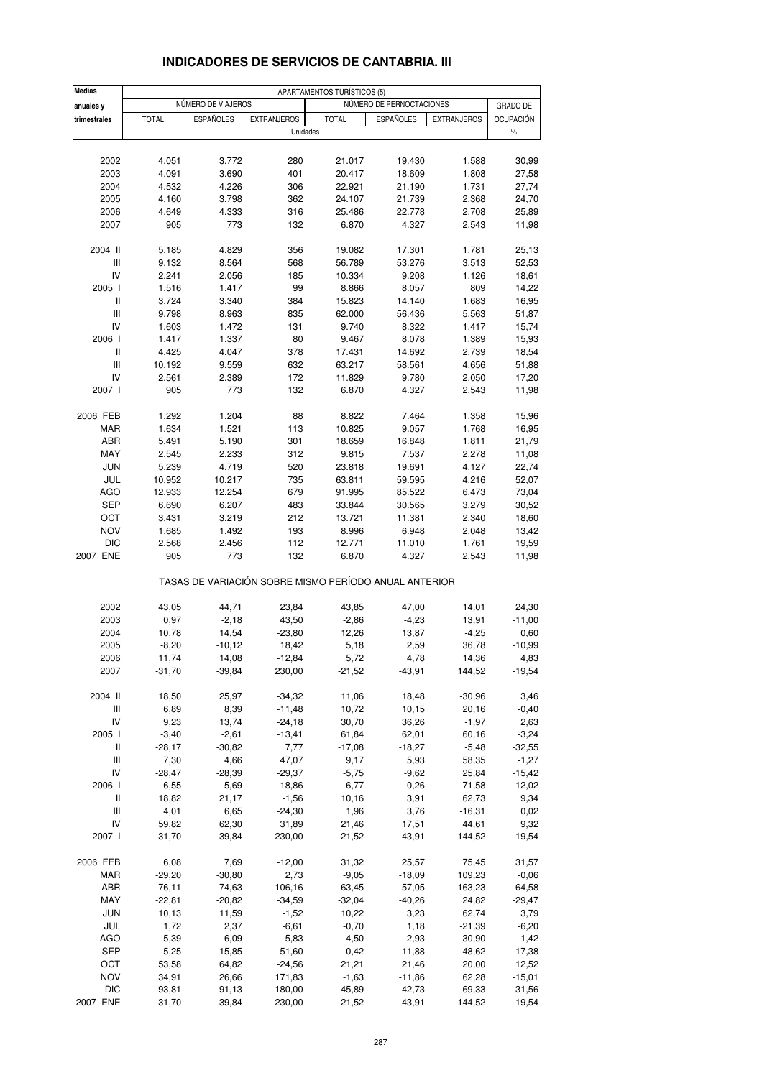| <b>Medias</b>                                 |                |                    |                                                       | APARTAMENTOS TURÍSTICOS (5) |                          |                    |                   |
|-----------------------------------------------|----------------|--------------------|-------------------------------------------------------|-----------------------------|--------------------------|--------------------|-------------------|
| anuales y                                     |                | NÚMERO DE VIAJEROS |                                                       |                             | NÚMERO DE PERNOCTACIONES |                    | <b>GRADO DE</b>   |
| trimestrales                                  | <b>TOTAL</b>   | <b>ESPAÑOLES</b>   | <b>EXTRANJEROS</b>                                    | <b>TOTAL</b>                | <b>ESPAÑOLES</b>         | <b>EXTRANJEROS</b> | <b>OCUPACIÓN</b>  |
|                                               |                |                    | Unidades                                              |                             |                          |                    | $\%$              |
|                                               |                |                    |                                                       |                             |                          |                    |                   |
| 2002                                          | 4.051          | 3.772              | 280                                                   | 21.017                      | 19.430                   | 1.588              | 30,99             |
| 2003                                          | 4.091          | 3.690              | 401                                                   | 20.417                      | 18.609                   | 1.808              | 27,58             |
| 2004                                          | 4.532          | 4.226              | 306                                                   | 22.921                      | 21.190                   | 1.731              | 27,74             |
| 2005                                          | 4.160          | 3.798              | 362                                                   | 24.107                      | 21.739                   | 2.368              | 24,70             |
| 2006<br>2007                                  | 4.649<br>905   | 4.333<br>773       | 316<br>132                                            | 25.486<br>6.870             | 22.778<br>4.327          | 2.708<br>2.543     | 25,89             |
|                                               |                |                    |                                                       |                             |                          |                    | 11,98             |
| 2004 II                                       | 5.185          | 4.829              | 356                                                   | 19.082                      | 17.301                   | 1.781              | 25,13             |
| Ш                                             | 9.132          | 8.564              | 568                                                   | 56.789                      | 53.276                   | 3.513              | 52,53             |
| IV                                            | 2.241          | 2.056              | 185                                                   | 10.334                      | 9.208                    | 1.126              | 18,61             |
| 2005 l                                        | 1.516          | 1.417              | 99                                                    | 8.866                       | 8.057                    | 809                | 14,22             |
| Ш<br>Ш                                        | 3.724<br>9.798 | 3.340<br>8.963     | 384<br>835                                            | 15.823<br>62.000            | 14.140<br>56.436         | 1.683<br>5.563     | 16,95<br>51,87    |
| IV                                            | 1.603          | 1.472              | 131                                                   | 9.740                       | 8.322                    | 1.417              | 15,74             |
| 2006                                          | 1.417          | 1.337              | 80                                                    | 9.467                       | 8.078                    | 1.389              | 15,93             |
| $\mathsf{I}$                                  | 4.425          | 4.047              | 378                                                   | 17.431                      | 14.692                   | 2.739              | 18,54             |
| Ш                                             | 10.192         | 9.559              | 632                                                   | 63.217                      | 58.561                   | 4.656              | 51,88             |
| IV                                            | 2.561          | 2.389              | 172                                                   | 11.829                      | 9.780                    | 2.050              | 17,20             |
| 2007 l                                        | 905            | 773                | 132                                                   | 6.870                       | 4.327                    | 2.543              | 11,98             |
| 2006 FEB                                      | 1.292          | 1.204              | 88                                                    | 8.822                       | 7.464                    | 1.358              | 15,96             |
| <b>MAR</b>                                    | 1.634          | 1.521              | 113                                                   | 10.825                      | 9.057                    | 1.768              | 16,95             |
| ABR                                           | 5.491          | 5.190              | 301                                                   | 18.659                      | 16.848                   | 1.811              | 21,79             |
| MAY                                           | 2.545          | 2.233              | 312                                                   | 9.815                       | 7.537                    | 2.278              | 11,08             |
| <b>JUN</b>                                    | 5.239          | 4.719              | 520                                                   | 23.818                      | 19.691                   | 4.127              | 22,74             |
| JUL                                           | 10.952         | 10.217             | 735                                                   | 63.811                      | 59.595                   | 4.216              | 52,07             |
| <b>AGO</b>                                    | 12.933         | 12.254             | 679                                                   | 91.995                      | 85.522                   | 6.473              | 73,04             |
| <b>SEP</b>                                    | 6.690          | 6.207              | 483                                                   | 33.844                      | 30.565                   | 3.279              | 30,52             |
| ОСТ                                           | 3.431          | 3.219              | 212                                                   | 13.721                      | 11.381                   | 2.340              | 18,60             |
| <b>NOV</b>                                    | 1.685          | 1.492              | 193                                                   | 8.996                       | 6.948                    | 2.048              | 13,42             |
| DIC<br>2007 ENE                               | 2.568<br>905   | 2.456<br>773       | 112<br>132                                            | 12.771<br>6.870             | 11.010<br>4.327          | 1.761<br>2.543     | 19,59<br>11,98    |
|                                               |                |                    | TASAS DE VARIACIÓN SOBRE MISMO PERÍODO ANUAL ANTERIOR |                             |                          |                    |                   |
|                                               |                |                    |                                                       |                             |                          |                    |                   |
| 2002<br>2003                                  | 43,05<br>0,97  | 44,71<br>$-2,18$   | 23,84<br>43,50                                        | 43,85<br>$-2,86$            | 47,00<br>$-4,23$         | 14,01<br>13,91     | 24,30<br>$-11,00$ |
| 2004                                          | 10,78          | 14,54              | $-23,80$                                              | 12,26                       | 13,87                    | $-4,25$            | 0,60              |
| 2005                                          | $-8,20$        | $-10, 12$          | 18,42                                                 | 5,18                        | 2,59                     | 36,78              | $-10,99$          |
| 2006                                          | 11,74          | 14,08              | $-12,84$                                              | 5,72                        | 4,78                     | 14,36              | 4,83              |
| 2007                                          | $-31,70$       | $-39,84$           | 230,00                                                | $-21,52$                    | $-43,91$                 | 144,52             | $-19,54$          |
|                                               |                |                    |                                                       |                             |                          |                    |                   |
| 2004 II<br>$\ensuremath{\mathsf{III}}\xspace$ | 18,50<br>6,89  | 25,97<br>8,39      | $-34,32$<br>$-11,48$                                  | 11,06<br>10,72              | 18,48<br>10,15           | $-30,96$<br>20,16  | 3,46<br>$-0,40$   |
| IV                                            | 9,23           | 13,74              | $-24,18$                                              | 30,70                       | 36,26                    | $-1,97$            | 2,63              |
| 2005 l                                        | $-3,40$        | $-2,61$            | $-13,41$                                              | 61,84                       | 62,01                    | 60,16              | $-3,24$           |
| Ш                                             | $-28,17$       | $-30,82$           | 7,77                                                  | $-17,08$                    | $-18,27$                 | $-5,48$            | $-32,55$          |
| $\ensuremath{\mathsf{III}}\xspace$            | 7,30           | 4,66               | 47,07                                                 | 9,17                        | 5,93                     | 58,35              | $-1,27$           |
| IV                                            | $-28,47$       | $-28,39$           | $-29,37$                                              | $-5,75$                     | $-9,62$                  | 25,84              | $-15,42$          |
| 2006 l                                        | $-6,55$        | $-5,69$            | $-18,86$                                              | 6,77                        | 0,26                     | 71,58              | 12,02             |
| Ш                                             | 18,82          | 21,17              | $-1,56$                                               | 10,16                       | 3,91                     | 62,73              | 9,34              |
| Ш                                             | 4,01           | 6,65               | $-24,30$                                              | 1,96                        | 3,76                     | $-16,31$           | 0,02              |
| IV                                            | 59,82          | 62,30              | 31,89                                                 | 21,46                       | 17,51                    | 44,61              | 9,32              |
| 2007 l                                        | $-31,70$       | $-39,84$           | 230,00                                                | $-21,52$                    | $-43,91$                 | 144,52             | $-19,54$          |
| 2006 FEB                                      | 6,08           | 7,69               | $-12,00$                                              | 31,32                       | 25,57                    | 75,45              | 31,57             |
| MAR                                           | $-29,20$       | $-30,80$           | 2,73                                                  | $-9,05$                     | $-18,09$                 | 109,23             | $-0,06$           |
| ABR                                           | 76,11          | 74,63              | 106,16                                                | 63,45                       | 57,05                    | 163,23             | 64,58             |
| MAY                                           | $-22,81$       | $-20,82$           | $-34,59$                                              | $-32,04$                    | $-40,26$                 | 24,82              | $-29,47$          |
| <b>JUN</b>                                    | 10,13          | 11,59              | $-1,52$                                               | 10,22                       | 3,23                     | 62,74              | 3,79              |
| JUL                                           | 1,72           | 2,37               | $-6,61$                                               | $-0,70$                     | 1,18                     | $-21,39$           | $-6,20$           |
| AGO<br><b>SEP</b>                             | 5,39<br>5,25   | 6,09<br>15,85      | $-5,83$<br>$-51,60$                                   | 4,50<br>0,42                | 2,93<br>11,88            | 30,90<br>$-48,62$  | $-1,42$<br>17,38  |
| OCT                                           | 53,58          | 64,82              | $-24,56$                                              | 21,21                       | 21,46                    | 20,00              | 12,52             |
| <b>NOV</b>                                    | 34,91          | 26,66              | 171,83                                                | $-1,63$                     | $-11,86$                 | 62,28              | $-15,01$          |
| DIC                                           | 93,81          | 91,13              | 180,00                                                | 45,89                       | 42,73                    | 69,33              | 31,56             |
| 2007 ENE                                      | $-31,70$       | $-39,84$           | 230,00                                                | $-21,52$                    | $-43,91$                 | 144,52             | -19,54            |

### **INDICADORES DE SERVICIOS DE CANTABRIA. III**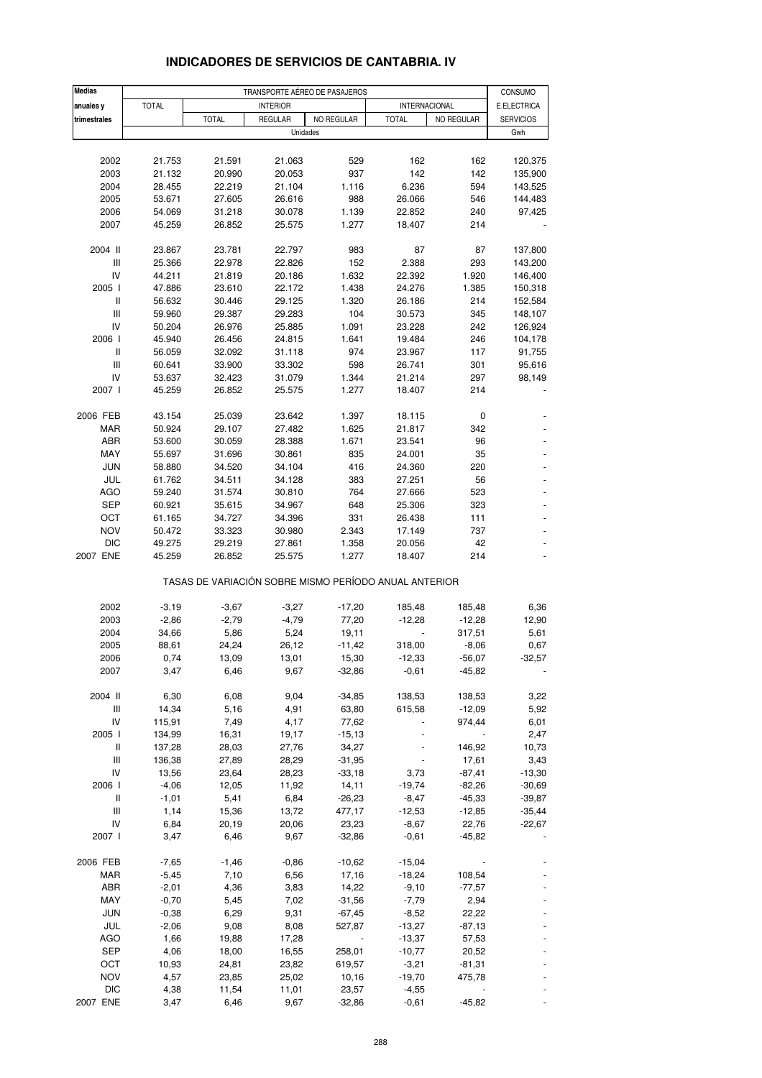| <b>Medias</b>                      |                  |                  |                  | TRANSPORTE AÉREO DE PASAJEROS                         |                      |            | CONSUMO           |
|------------------------------------|------------------|------------------|------------------|-------------------------------------------------------|----------------------|------------|-------------------|
| anuales y                          | <b>TOTAL</b>     |                  | <b>INTERIOR</b>  |                                                       | <b>INTERNACIONAL</b> |            | E.ELECTRICA       |
| trimestrales                       |                  | <b>TOTAL</b>     | <b>REGULAR</b>   | NO REGULAR                                            | <b>TOTAL</b>         | NO REGULAR | <b>SERVICIOS</b>  |
|                                    |                  |                  |                  | Unidades                                              |                      |            | Gwh               |
|                                    |                  |                  |                  |                                                       |                      |            |                   |
| 2002                               | 21.753           | 21.591           | 21.063           | 529                                                   | 162                  | 162        | 120,375           |
| 2003                               | 21.132           | 20.990           | 20.053           | 937                                                   | 142                  | 142<br>594 | 135,900           |
| 2004                               | 28.455<br>53.671 | 22.219           | 21.104           | 1.116<br>988                                          | 6.236                |            | 143,525           |
| 2005<br>2006                       | 54.069           | 27.605<br>31.218 | 26.616<br>30.078 | 1.139                                                 | 26.066<br>22.852     | 546<br>240 | 144,483<br>97,425 |
| 2007                               | 45.259           | 26.852           | 25.575           | 1.277                                                 | 18.407               | 214        |                   |
|                                    |                  |                  |                  |                                                       |                      |            |                   |
| 2004 II                            | 23.867           | 23.781           | 22.797           | 983                                                   | 87                   | 87         | 137,800           |
| Ш                                  | 25.366           | 22.978           | 22.826           | 152                                                   | 2.388                | 293        | 143,200           |
| IV                                 | 44.211           | 21.819           | 20.186           | 1.632                                                 | 22.392               | 1.920      | 146,400           |
| 2005 l                             | 47.886           | 23.610           | 22.172           | 1.438                                                 | 24.276               | 1.385      | 150,318           |
| Ш                                  | 56.632           | 30.446           | 29.125           | 1.320                                                 | 26.186               | 214        | 152,584           |
| Ш                                  | 59.960           | 29.387           | 29.283           | 104                                                   | 30.573               | 345        | 148,107           |
| IV                                 | 50.204           | 26.976           | 25.885           | 1.091                                                 | 23.228               | 242        | 126,924           |
| 2006                               | 45.940           | 26.456           | 24.815           | 1.641                                                 | 19.484               | 246        | 104,178           |
| Ш                                  | 56.059           | 32.092           | 31.118           | 974                                                   | 23.967               | 117        | 91,755            |
| $\ensuremath{\mathsf{III}}\xspace$ | 60.641           | 33.900           | 33.302           | 598                                                   | 26.741               | 301        | 95,616            |
| IV                                 | 53.637           | 32.423           | 31.079           | 1.344                                                 | 21.214               | 297        | 98,149            |
| 2007 l                             | 45.259           | 26.852           | 25.575           | 1.277                                                 | 18.407               | 214        |                   |
| 2006 FEB                           | 43.154           | 25.039           | 23.642           | 1.397                                                 | 18.115               | 0          |                   |
| <b>MAR</b>                         | 50.924           | 29.107           | 27.482           | 1.625                                                 | 21.817               | 342        |                   |
| ABR                                | 53.600           | 30.059           | 28.388           | 1.671                                                 | 23.541               | 96         |                   |
| MAY                                | 55.697           | 31.696           | 30.861           | 835                                                   | 24.001               | 35         |                   |
| <b>JUN</b>                         | 58.880           | 34.520           | 34.104           | 416                                                   | 24.360               | 220        |                   |
| JUL                                | 61.762           | 34.511           | 34.128           | 383                                                   | 27.251               | 56         |                   |
| <b>AGO</b>                         | 59.240           | 31.574           | 30.810           | 764                                                   | 27.666               | 523        |                   |
| <b>SEP</b>                         | 60.921           | 35.615           | 34.967           | 648                                                   | 25.306               | 323        |                   |
| ОСТ                                | 61.165           | 34.727           | 34.396           | 331                                                   | 26.438               | 111        |                   |
| <b>NOV</b>                         | 50.472           | 33.323           | 30.980           | 2.343                                                 | 17.149               | 737        |                   |
| <b>DIC</b>                         | 49.275           | 29.219           | 27.861           | 1.358                                                 | 20.056               | 42         |                   |
| 2007 ENE                           | 45.259           | 26.852           | 25.575           | 1.277                                                 | 18.407               | 214        |                   |
|                                    |                  |                  |                  | TASAS DE VARIACIÓN SOBRE MISMO PERÍODO ANUAL ANTERIOR |                      |            |                   |
| 2002                               | $-3,19$          | $-3,67$          | $-3,27$          | $-17,20$                                              | 185,48               | 185,48     | 6,36              |
| 2003                               | $-2,86$          | $-2,79$          | $-4,79$          | 77,20                                                 | $-12,28$             | $-12,28$   | 12,90             |
| 2004                               | 34,66            | 5,86             | 5,24             | 19,11                                                 |                      | 317,51     | 5,61              |
| 2005                               | 88,61            | 24,24            | 26,12            | $-11,42$                                              | 318,00               | $-8,06$    | 0,67              |
| 2006                               | 0,74             | 13,09            | 13,01            | 15,30                                                 | $-12,33$             | $-56,07$   | $-32,57$          |
| 2007                               | 3,47             | 6,46             | 9,67             | $-32,86$                                              | $-0,61$              | $-45,82$   |                   |
| 2004 II                            | 6,30             | 6,08             | 9,04             |                                                       | 138,53               | 138,53     | 3,22              |
| Ш                                  | 14,34            | 5,16             | 4,91             | $-34,85$<br>63,80                                     | 615,58               | $-12,09$   | 5,92              |
| IV                                 | 115,91           | 7,49             | 4,17             | 77,62                                                 |                      | 974,44     | 6,01              |
| 2005 l                             | 134,99           | 16,31            | 19,17            | $-15,13$                                              |                      |            | 2,47              |
| Ш                                  | 137,28           | 28,03            | 27,76            | 34,27                                                 |                      | 146,92     | 10,73             |
| $\ensuremath{\mathsf{III}}\xspace$ | 136,38           | 27,89            | 28,29            | $-31,95$                                              |                      | 17,61      | 3,43              |
| IV                                 | 13,56            | 23,64            | 28,23            | $-33,18$                                              | 3,73                 | $-87,41$   | $-13,30$          |
| 2006 l                             | $-4,06$          | 12,05            | 11,92            | 14,11                                                 | $-19,74$             | $-82,26$   | $-30,69$          |
| Ш                                  | $-1,01$          | 5,41             | 6,84             | $-26,23$                                              | $-8,47$              | $-45,33$   | $-39,87$          |
| Ш                                  | 1,14             | 15,36            | 13,72            | 477,17                                                | $-12,53$             | $-12,85$   | $-35,44$          |
| IV                                 | 6,84             | 20,19            | 20,06            | 23,23                                                 | $-8,67$              | 22,76      | $-22,67$          |
| 2007 l                             | 3,47             | 6,46             | 9,67             | $-32,86$                                              | $-0,61$              | $-45,82$   |                   |
|                                    |                  |                  |                  |                                                       |                      |            |                   |
| 2006 FEB                           | $-7,65$          | $-1,46$          | $-0,86$          | $-10,62$                                              | $-15,04$             |            |                   |
| MAR                                | $-5,45$          | 7,10             | 6,56             | 17,16                                                 | $-18,24$             | 108,54     |                   |
| ABR                                | $-2,01$          | 4,36             | 3,83             | 14,22                                                 | $-9,10$              | $-77,57$   |                   |
| MAY                                | $-0,70$          | 5,45             | 7,02             | $-31,56$                                              | $-7,79$              | 2,94       |                   |
| <b>JUN</b>                         | $-0,38$          | 6,29             | 9,31             | $-67,45$                                              | $-8,52$              | 22,22      |                   |
| JUL                                | $-2,06$          | 9,08             | 8,08             | 527,87                                                | $-13,27$             | $-87,13$   |                   |
| AGO                                | 1,66             | 19,88            | 17,28            |                                                       | $-13,37$             | 57,53      |                   |
| <b>SEP</b>                         | 4,06             | 18,00            | 16,55            | 258,01                                                | $-10,77$             | 20,52      |                   |
| OCT                                | 10,93            | 24,81            | 23,82            | 619,57                                                | $-3,21$              | $-81,31$   |                   |
| <b>NOV</b>                         | 4,57             | 23,85            | 25,02            | 10,16                                                 | $-19,70$             | 475,78     |                   |
| <b>DIC</b>                         | 4,38             | 11,54            | 11,01            | 23,57                                                 | $-4,55$              |            |                   |
| 2007 ENE                           | 3,47             | 6,46             | 9,67             | $-32,86$                                              | $-0,61$              | $-45,82$   |                   |

## **INDICADORES DE SERVICIOS DE CANTABRIA. IV**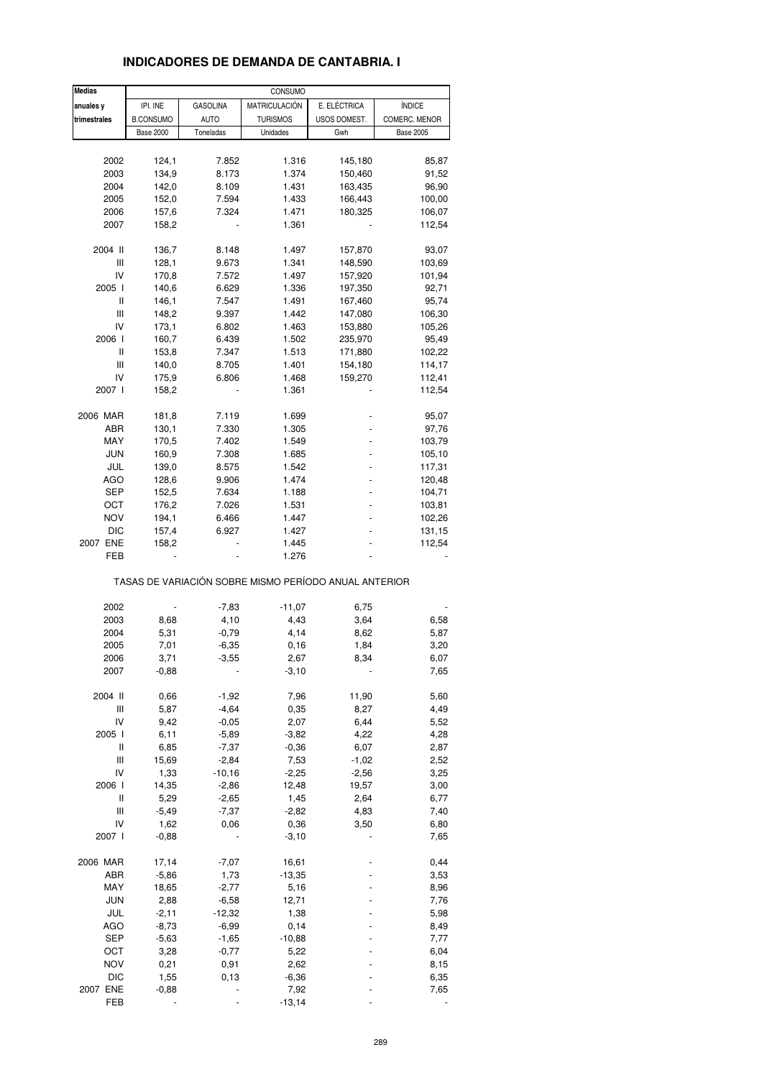| <b>Medias</b> |                  |                 | CONSUMO         |                                                       |                  |
|---------------|------------------|-----------------|-----------------|-------------------------------------------------------|------------------|
| anuales y     | IPI. INE         | <b>GASOLINA</b> | MATRICULACIÓN   | E. ELÉCTRICA                                          | <b>ÍNDICE</b>    |
| trimestrales  | <b>B.CONSUMO</b> | <b>AUTO</b>     | <b>TURISMOS</b> | USOS DOMEST.                                          | COMERC. MENOR    |
|               | <b>Base 2000</b> | Toneladas       | Unidades        | Gwh                                                   | <b>Base 2005</b> |
|               |                  |                 |                 |                                                       |                  |
| 2002          | 124,1            | 7.852           | 1.316           | 145,180                                               | 85,87            |
| 2003          | 134,9            | 8.173           | 1.374           | 150,460                                               | 91,52            |
| 2004          | 142,0            | 8.109           | 1.431           | 163,435                                               | 96,90            |
| 2005          | 152,0            | 7.594           | 1.433           | 166,443                                               | 100,00           |
| 2006          | 157,6            | 7.324           | 1.471           | 180,325                                               |                  |
|               |                  |                 |                 |                                                       | 106,07           |
| 2007          | 158,2            |                 | 1.361           |                                                       | 112,54           |
| 2004 II       | 136,7            | 8.148           | 1.497           | 157,870                                               | 93,07            |
| Ш             |                  |                 |                 | 148,590                                               |                  |
|               | 128,1            | 9.673           | 1.341           |                                                       | 103,69           |
| IV            | 170,8            | 7.572           | 1.497           | 157,920                                               | 101,94           |
| 2005 l        | 140,6            | 6.629           | 1.336           | 197,350                                               | 92,71            |
| Ш             | 146,1            | 7.547           | 1.491           | 167,460                                               | 95,74            |
| Ш             | 148,2            | 9.397           | 1.442           | 147,080                                               | 106,30           |
| IV            | 173,1            | 6.802           | 1.463           | 153,880                                               | 105,26           |
| 2006 l        | 160,7            | 6.439           | 1.502           | 235,970                                               | 95,49            |
| Ш             | 153,8            | 7.347           | 1.513           | 171,880                                               | 102,22           |
| Ш             | 140,0            | 8.705           | 1.401           | 154,180                                               | 114,17           |
|               |                  |                 |                 |                                                       |                  |
| IV            | 175,9            | 6.806           | 1.468           | 159,270                                               | 112,41           |
| 2007 l        | 158,2            |                 | 1.361           |                                                       | 112,54           |
| 2006 MAR      | 181,8            | 7.119           | 1.699           |                                                       | 95,07            |
| ABR           | 130,1            | 7.330           | 1.305           |                                                       |                  |
|               |                  |                 |                 |                                                       | 97,76            |
| MAY           | 170,5            | 7.402           | 1.549           |                                                       | 103,79           |
| <b>JUN</b>    | 160,9            | 7.308           | 1.685           |                                                       | 105,10           |
| JUL           | 139,0            | 8.575           | 1.542           |                                                       | 117,31           |
| AGO           | 128,6            | 9.906           | 1.474           |                                                       | 120,48           |
| SEP           | 152,5            | 7.634           | 1.188           |                                                       | 104,71           |
| ост           | 176,2            | 7.026           | 1.531           |                                                       | 103,81           |
| <b>NOV</b>    |                  |                 |                 |                                                       |                  |
|               | 194,1            | 6.466           | 1.447           |                                                       | 102,26           |
| DIC           | 157,4            | 6.927           | 1.427           |                                                       | 131,15           |
| 2007 ENE      | 158,2            |                 | 1.445           |                                                       | 112,54           |
| FEB           |                  |                 | 1.276           |                                                       |                  |
|               |                  |                 |                 | TASAS DE VARIACIÓN SOBRE MISMO PERÍODO ANUAL ANTERIOR |                  |
|               |                  |                 |                 |                                                       |                  |
| 2002          |                  | $-7,83$         | $-11,07$        | 6,75                                                  |                  |
| 2003          | 8,68             | 4,10            | 4,43            | 3,64                                                  | 6,58             |
| 2004          | 5,31             | $-0,79$         | 4,14            | 8,62                                                  | 5,87             |
| 2005          | 7,01             | $-6,35$         | 0,16            | 1,84                                                  | 3,20             |
| 2006          | 3,71             | $-3,55$         | 2,67            | 8,34                                                  | 6,07             |
| 2007          | $-0,88$          |                 | $-3,10$         |                                                       | 7,65             |
|               |                  |                 |                 |                                                       |                  |
| 2004 II       | 0,66             | $-1,92$         | 7,96            | 11,90                                                 | 5,60             |
| Ш             | 5,87             | $-4,64$         | 0,35            | 8,27                                                  | 4,49             |
| IV            | 9,42             | $-0,05$         | 2,07            | 6,44                                                  | 5,52             |
| 2005 l        | 6,11             | $-5,89$         | $-3,82$         | 4,22                                                  | 4,28             |
| Ш             | 6,85             | $-7,37$         | $-0,36$         | 6,07                                                  | 2,87             |
| Ш             | 15,69            | $-2,84$         | 7,53            | $-1,02$                                               | 2,52             |
| IV            | 1,33             | $-10,16$        | $-2,25$         | $-2,56$                                               | 3,25             |
| 2006 l        |                  |                 |                 |                                                       |                  |
|               | 14,35            | $-2,86$         | 12,48           | 19,57                                                 | 3,00             |
| Ш             | 5,29             | $-2,65$         | 1,45            | 2,64                                                  | 6,77             |
| Ш             | $-5,49$          | $-7,37$         | $-2,82$         | 4,83                                                  | 7,40             |
| IV            | 1,62             | 0,06            | 0,36            | 3,50                                                  | 6,80             |
| 2007 l        | $-0,88$          |                 | $-3,10$         |                                                       | 7,65             |
|               |                  |                 |                 |                                                       |                  |
| 2006 MAR      | 17,14            | $-7,07$         | 16,61           |                                                       | 0,44             |
| ABR           | $-5,86$          | 1,73            | $-13,35$        |                                                       | 3,53             |
| MAY           | 18,65            | $-2,77$         | 5,16            |                                                       | 8,96             |
| <b>JUN</b>    | 2,88             | $-6,58$         | 12,71           |                                                       | 7,76             |
| JUL           |                  | $-12,32$        |                 |                                                       | 5,98             |
|               | $-2,11$          |                 | 1,38            |                                                       |                  |
| <b>AGO</b>    | $-8,73$          | $-6,99$         | 0,14            |                                                       | 8,49             |
| <b>SEP</b>    | $-5,63$          | $-1,65$         | $-10,88$        |                                                       | 7,77             |
| OCT           | 3,28             | $-0,77$         | 5,22            |                                                       | 6,04             |
| <b>NOV</b>    | 0,21             | 0,91            | 2,62            |                                                       | 8,15             |
| DIC           | 1,55             | 0,13            | $-6,36$         |                                                       | 6,35             |
| 2007 ENE      | $-0,88$          |                 | 7,92            |                                                       | 7,65             |
| FEB           |                  |                 | $-13,14$        |                                                       |                  |
|               |                  |                 |                 |                                                       |                  |

## **INDICADORES DE DEMANDA DE CANTABRIA. I**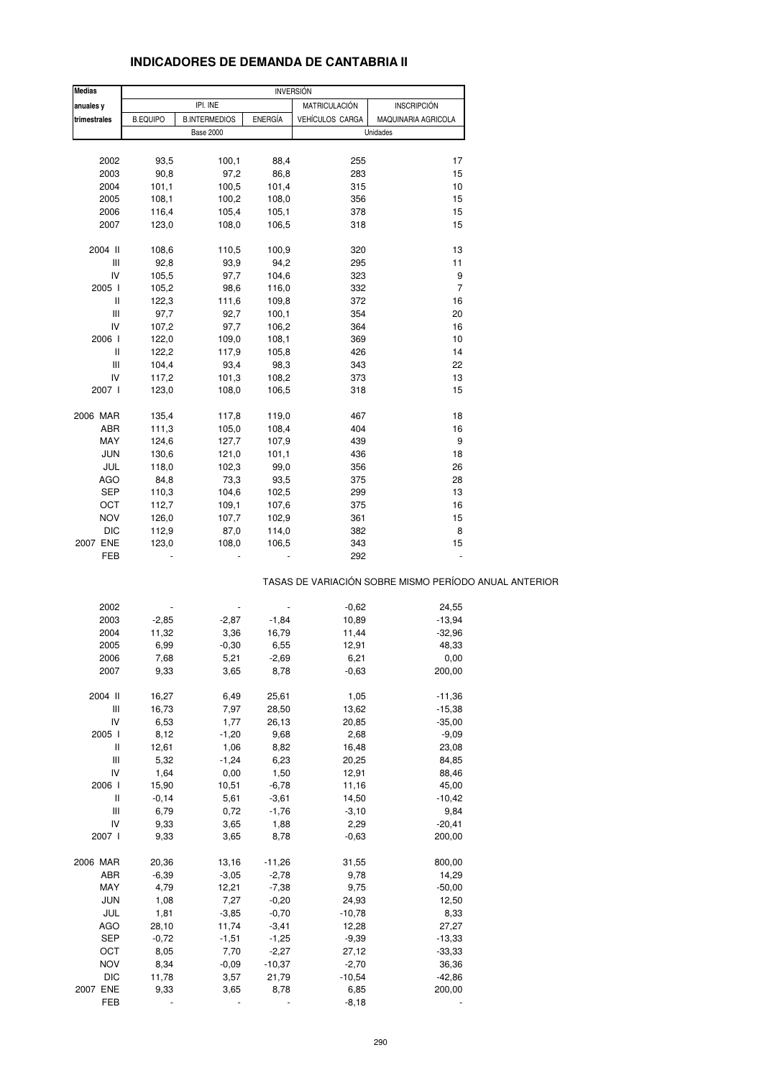| <b>INDICADORES DE DEMANDA DE CANTABRIA II</b> |
|-----------------------------------------------|
|-----------------------------------------------|

| <b>Medias</b>                         |                 |                      |                          | <b>INVERSIÓN</b> |                                                       |
|---------------------------------------|-----------------|----------------------|--------------------------|------------------|-------------------------------------------------------|
| anuales y                             |                 | IPI. INE             |                          | MATRICULACIÓN    | <b>INSCRIPCIÓN</b>                                    |
|                                       |                 |                      |                          |                  |                                                       |
| trimestrales                          | <b>B.EQUIPO</b> | <b>B.INTERMEDIOS</b> | <b>ENERGÍA</b>           | VEHÍCULOS CARGA  | MAQUINARIA AGRICOLA                                   |
|                                       |                 | <b>Base 2000</b>     |                          |                  | Unidades                                              |
|                                       |                 |                      |                          |                  |                                                       |
| 2002                                  | 93,5            | 100,1                | 88,4                     | 255              | 17                                                    |
| 2003                                  | 90,8            | 97,2                 | 86,8                     | 283              | 15                                                    |
| 2004                                  | 101,1           | 100,5                | 101,4                    | 315              | 10                                                    |
| 2005                                  | 108,1           | 100,2                | 108,0                    | 356              | 15                                                    |
| 2006                                  | 116,4           | 105,4                | 105,1                    | 378              | 15                                                    |
| 2007                                  | 123,0           | 108,0                | 106,5                    | 318              | 15                                                    |
|                                       |                 |                      |                          |                  |                                                       |
| 2004 II                               | 108,6           | 110,5                | 100,9                    | 320              | 13                                                    |
| Ш                                     | 92,8            | 93,9                 | 94,2                     | 295              | 11                                                    |
| IV                                    | 105,5           | 97,7                 | 104,6                    | 323              | 9                                                     |
| 2005 l                                | 105,2           | 98,6                 | 116,0                    | 332              | $\overline{7}$                                        |
| Ш                                     | 122,3           | 111,6                | 109,8                    | 372              | 16                                                    |
| Ш                                     | 97,7            | 92,7                 | 100,1                    | 354              | 20                                                    |
| IV                                    | 107,2           | 97,7                 | 106,2                    | 364              | 16                                                    |
| 2006                                  | 122,0           | 109,0                | 108,1                    | 369              | 10                                                    |
|                                       |                 |                      |                          |                  | 14                                                    |
| Ш                                     | 122,2           | 117,9                | 105,8                    | 426              |                                                       |
| Ш                                     | 104,4           | 93,4                 | 98,3                     | 343              | 22                                                    |
| IV                                    | 117,2           | 101,3                | 108,2                    | 373              | 13                                                    |
| 2007 l                                | 123,0           | 108,0                | 106,5                    | 318              | 15                                                    |
|                                       |                 |                      |                          |                  |                                                       |
| 2006 MAR                              | 135,4           | 117,8                | 119,0                    | 467              | 18                                                    |
| ABR                                   | 111,3           | 105,0                | 108,4                    | 404              | 16                                                    |
| MAY                                   | 124,6           | 127,7                | 107,9                    | 439              | $\boldsymbol{9}$                                      |
| <b>JUN</b>                            | 130,6           | 121,0                | 101,1                    | 436              | 18                                                    |
| JUL                                   | 118,0           | 102,3                | 99,0                     | 356              | 26                                                    |
| AGO                                   | 84,8            | 73,3                 | 93,5                     | 375              | 28                                                    |
| SEP                                   | 110,3           | 104,6                | 102,5                    | 299              | 13                                                    |
| OCT                                   | 112,7           | 109,1                | 107,6                    | 375              | 16                                                    |
| <b>NOV</b>                            |                 |                      |                          | 361              | 15                                                    |
|                                       | 126,0           | 107,7                | 102,9                    |                  |                                                       |
| <b>DIC</b>                            | 112,9           | 87,0                 | 114,0                    | 382              | 8                                                     |
| 2007 ENE                              | 123,0           | 108,0                | 106,5                    | 343              | 15                                                    |
| FEB                                   |                 |                      |                          | 292              |                                                       |
|                                       |                 |                      |                          |                  | TASAS DE VARIACIÓN SOBRE MISMO PERÍODO ANUAL ANTERIOR |
|                                       |                 |                      |                          |                  |                                                       |
| 2002                                  |                 |                      | $\overline{\phantom{m}}$ | $-0,62$          | 24,55                                                 |
| 2003                                  | $-2,85$         | $-2,87$              | $-1,84$                  | 10,89            | $-13,94$                                              |
| 2004                                  | 11,32           | 3,36                 | 16,79                    | 11,44            | $-32,96$                                              |
| 2005                                  | 6,99            | $-0,30$              | 6,55                     | 12,91            | 48,33                                                 |
| 2006                                  | 7,68            | 5,21                 | $-2,69$                  | 6,21             | 0,00                                                  |
| 2007                                  | 9,33            | 3,65                 | 8,78                     | $-0,63$          | 200,00                                                |
|                                       |                 |                      |                          |                  |                                                       |
| 2004 II                               | 16,27           | 6,49                 | 25,61                    | 1,05             | $-11,36$                                              |
| $\begin{array}{c} \hline \end{array}$ | 16,73           | 7,97                 | 28,50                    | 13,62            | $-15,38$                                              |
| IV                                    | 6,53            | 1,77                 | 26,13                    | 20,85            | $-35,00$                                              |
| 2005 l                                | 8,12            | $-1,20$              | 9,68                     | 2,68             | $-9,09$                                               |
| Ш                                     | 12,61           | 1,06                 | 8,82                     | 16,48            | 23,08                                                 |
| Ш                                     | 5,32            | $-1,24$              | 6,23                     | 20,25            | 84,85                                                 |
| IV                                    | 1,64            | 0,00                 | 1,50                     | 12,91            | 88,46                                                 |
| 2006                                  | 15,90           | 10,51                | $-6,78$                  | 11,16            | 45,00                                                 |
| $\mathop{  }$                         | $-0,14$         | 5,61                 | $-3,61$                  | 14,50            | $-10,42$                                              |
| $\mathop{\rm III}\nolimits$           | 6,79            | 0,72                 | $-1,76$                  | $-3,10$          | 9,84                                                  |
|                                       |                 |                      |                          |                  |                                                       |
| IV                                    | 9,33            | 3,65                 | 1,88                     | 2,29             | $-20,41$                                              |
| 2007 l                                | 9,33            | 3,65                 | 8,78                     | $-0,63$          | 200,00                                                |
|                                       |                 |                      |                          |                  |                                                       |
| 2006 MAR                              | 20,36           | 13,16                | $-11,26$                 | 31,55            | 800,00                                                |
| ABR                                   | $-6,39$         | $-3,05$              | $-2,78$                  | 9,78             | 14,29                                                 |
| MAY                                   | 4,79            | 12,21                | $-7,38$                  | 9,75             | $-50,00$                                              |
| <b>JUN</b>                            | 1,08            | 7,27                 | $-0,20$                  | 24,93            | 12,50                                                 |
| JUL                                   | 1,81            | $-3,85$              | $-0,70$                  | $-10,78$         | 8,33                                                  |
| <b>AGO</b>                            | 28,10           | 11,74                | $-3,41$                  | 12,28            | 27,27                                                 |
| <b>SEP</b>                            | $-0,72$         | $-1,51$              | $-1,25$                  | $-9,39$          | $-13,33$                                              |
| OCT                                   | 8,05            | 7,70                 | $-2,27$                  | 27,12            | $-33,33$                                              |
| <b>NOV</b>                            | 8,34            | $-0,09$              | $-10,37$                 | $-2,70$          | 36,36                                                 |
| <b>DIC</b>                            | 11,78           | 3,57                 | 21,79                    | $-10,54$         | $-42,86$                                              |
| 2007 ENE                              | 9,33            | 3,65                 | 8,78                     | 6,85             | 200,00                                                |
| FEB                                   |                 |                      |                          | $-8,18$          |                                                       |
|                                       |                 |                      |                          |                  |                                                       |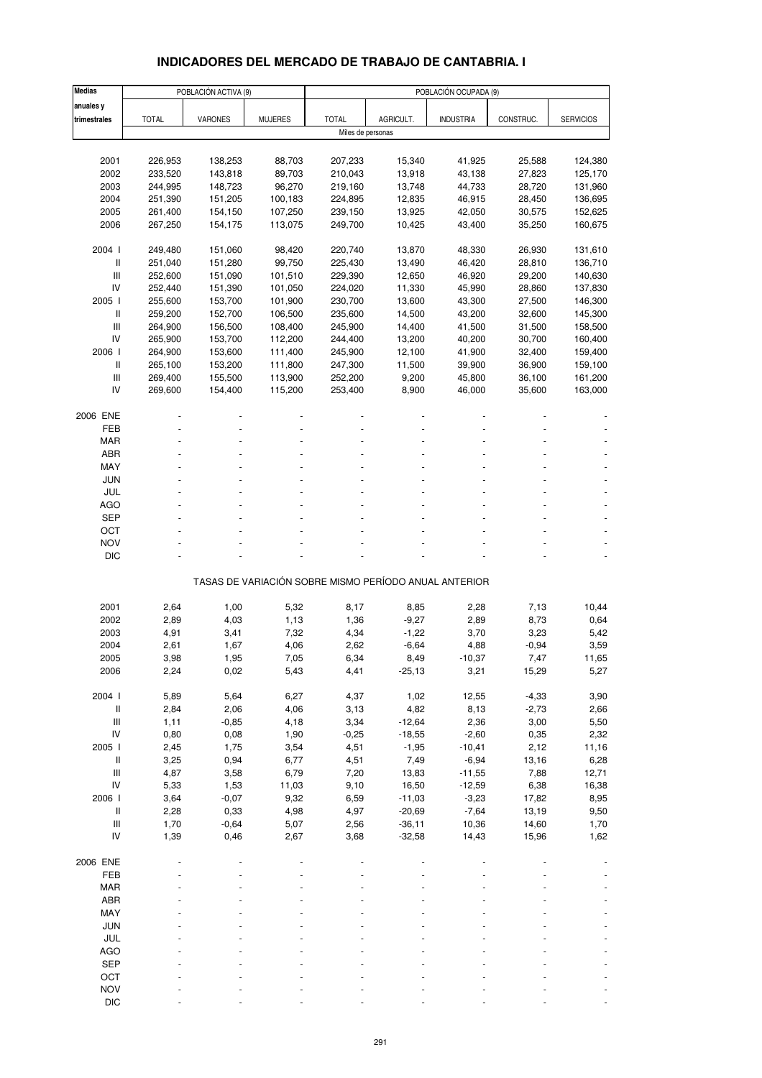# **INDICADORES DEL MERCADO DE TRABAJO DE CANTABRIA. I**

| <b>Medias</b>                      |              | POBLACIÓN ACTIVA (9) |                |                   |                     | POBLACIÓN OCUPADA (9)                                 |              |                  |
|------------------------------------|--------------|----------------------|----------------|-------------------|---------------------|-------------------------------------------------------|--------------|------------------|
| anuales y                          |              |                      |                |                   |                     |                                                       |              |                  |
| trimestrales                       | <b>TOTAL</b> | <b>VARONES</b>       | <b>MUJERES</b> | <b>TOTAL</b>      | AGRICULT.           | <b>INDUSTRIA</b>                                      | CONSTRUC.    | <b>SERVICIOS</b> |
|                                    |              |                      |                | Miles de personas |                     |                                                       |              |                  |
|                                    |              |                      |                |                   |                     |                                                       |              |                  |
| 2001                               | 226,953      | 138,253              | 88,703         | 207,233           | 15,340              | 41,925                                                | 25,588       | 124,380          |
| 2002                               | 233,520      | 143,818              | 89,703         | 210,043           | 13,918              | 43,138                                                | 27,823       | 125,170          |
| 2003                               | 244,995      | 148,723              | 96,270         | 219,160           | 13,748              | 44,733                                                | 28,720       | 131,960          |
| 2004                               | 251,390      | 151,205              | 100,183        | 224,895           | 12,835              | 46,915                                                | 28,450       | 136,695          |
| 2005                               | 261,400      | 154,150              | 107,250        | 239,150           | 13,925              | 42,050                                                | 30,575       | 152,625          |
| 2006                               | 267,250      | 154,175              | 113,075        | 249,700           | 10,425              | 43,400                                                | 35,250       | 160,675          |
| 2004 l                             | 249,480      | 151,060              | 98,420         | 220,740           | 13,870              | 48,330                                                | 26,930       | 131,610          |
| $\mathsf{I}$                       | 251,040      | 151,280              | 99,750         | 225,430           | 13,490              | 46,420                                                | 28,810       | 136,710          |
| $\mathsf{III}$                     | 252,600      | 151,090              | 101,510        | 229,390           | 12,650              | 46,920                                                | 29,200       | 140,630          |
| IV                                 | 252,440      | 151,390              | 101,050        | 224,020           | 11,330              | 45,990                                                | 28,860       | 137,830          |
| 2005 l                             | 255,600      | 153,700              | 101,900        | 230,700           | 13,600              | 43,300                                                | 27,500       | 146,300          |
| $\mathsf{I}$                       | 259,200      | 152,700              | 106,500        | 235,600           | 14,500              | 43,200                                                | 32,600       | 145,300          |
| III                                | 264,900      | 156,500              | 108,400        | 245,900           | 14,400              | 41,500                                                | 31,500       | 158,500          |
| IV                                 | 265,900      | 153,700              | 112,200        | 244,400           | 13,200              | 40,200                                                | 30,700       | 160,400          |
| 2006                               | 264,900      | 153,600              | 111,400        | 245,900           | 12,100              | 41,900                                                | 32,400       | 159,400          |
| $\mathsf{I}$                       | 265,100      | 153,200              | 111,800        | 247,300           | 11,500              | 39,900                                                | 36,900       | 159,100          |
| III                                | 269,400      | 155,500              | 113,900        | 252,200           | 9,200               | 45,800                                                | 36,100       | 161,200          |
| IV                                 | 269,600      | 154,400              | 115,200        | 253,400           | 8,900               | 46,000                                                | 35,600       | 163,000          |
| 2006 ENE                           |              |                      |                |                   |                     |                                                       |              |                  |
| FEB                                |              |                      |                |                   |                     |                                                       |              |                  |
| <b>MAR</b>                         |              |                      |                |                   |                     |                                                       |              |                  |
| <b>ABR</b>                         |              |                      |                |                   |                     |                                                       |              |                  |
| MAY                                |              |                      |                |                   |                     |                                                       |              |                  |
| <b>JUN</b>                         |              |                      |                |                   |                     |                                                       |              |                  |
| JUL                                |              |                      |                |                   |                     |                                                       |              |                  |
| AGO                                |              |                      |                |                   |                     |                                                       |              |                  |
| <b>SEP</b>                         |              |                      |                |                   |                     |                                                       |              |                  |
| OCT                                |              |                      |                |                   |                     |                                                       |              |                  |
| <b>NOV</b>                         |              |                      |                |                   |                     |                                                       |              |                  |
| <b>DIC</b>                         |              |                      |                |                   |                     |                                                       |              |                  |
|                                    |              |                      |                |                   |                     | TASAS DE VARIACIÓN SOBRE MISMO PERÍODO ANUAL ANTERIOR |              |                  |
|                                    |              |                      |                |                   |                     |                                                       |              |                  |
| 2001                               | 2,64         | 1,00                 | 5,32           | 8,17              | 8,85                | 2,28                                                  | 7,13         | 10,44            |
| 2002                               | 2,89         | 4,03                 | 1,13           | 1,36              | $-9,27$             | 2,89                                                  | 8,73         | 0,64             |
| 2003                               | 4,91         | 3,41                 | 7,32           | 4,34              | $-1,22$             | 3,70                                                  | 3,23         | 5,42             |
| 2004                               | 2,61         | 1,67                 | 4,06           | 2,62              | $-6,64$             | 4,88                                                  | $-0,94$      | 3,59             |
| 2005                               | 3,98         | 1,95                 | 7,05           | 6,34              | 8,49                | $-10,37$                                              | 7,47         | 11,65            |
| 2006                               | 2,24         | 0,02                 | 5,43           | 4,41              | $-25,13$            | 3,21                                                  | 15,29        | 5,27             |
|                                    |              |                      |                |                   |                     |                                                       |              |                  |
| 2004 l                             | 5,89         | 5,64                 | 6,27           | 4,37              | 1,02                | 12,55                                                 | $-4,33$      | 3,90             |
| $\, \parallel$                     | 2,84         | 2,06                 | 4,06           | 3,13              | 4,82                | 8,13                                                  | $-2,73$      | 2,66             |
| $\ensuremath{\mathsf{III}}\xspace$ | 1,11         | $-0,85$              | 4,18           | 3,34              | $-12,64$            | 2,36                                                  | 3,00         | 5,50             |
| ${\sf IV}$<br>2005 l               | 0,80<br>2,45 | 0,08<br>1,75         | 1,90<br>3,54   | $-0,25$<br>4,51   | $-18,55$<br>$-1,95$ | $-2,60$<br>$-10,41$                                   | 0,35<br>2,12 | 2,32<br>11,16    |
| $\, \parallel$                     | 3,25         | 0,94                 | 6,77           | 4,51              | 7,49                | $-6,94$                                               | 13,16        | 6,28             |
| $\ensuremath{\mathsf{III}}\xspace$ | 4,87         | 3,58                 | 6,79           | 7,20              | 13,83               | $-11,55$                                              | 7,88         | 12,71            |
| IV                                 | 5,33         | 1,53                 | 11,03          | 9,10              | 16,50               | $-12,59$                                              | 6,38         | 16,38            |
| 2006                               | 3,64         | $-0,07$              | 9,32           | 6,59              | $-11,03$            | $-3,23$                                               | 17,82        | 8,95             |
| $\, \parallel$                     | 2,28         | 0,33                 | 4,98           | 4,97              | $-20,69$            | $-7,64$                                               | 13,19        | 9,50             |
| $\ensuremath{\mathsf{III}}\xspace$ | 1,70         | $-0,64$              | 5,07           | 2,56              | $-36,11$            | 10,36                                                 | 14,60        | 1,70             |
| IV                                 | 1,39         | 0,46                 | 2,67           | 3,68              | $-32,58$            | 14,43                                                 | 15,96        | 1,62             |
|                                    |              |                      |                |                   |                     |                                                       |              |                  |
| 2006 ENE                           |              |                      |                |                   |                     |                                                       |              |                  |
| FEB                                |              |                      |                |                   |                     |                                                       |              |                  |
| MAR                                |              |                      |                |                   |                     |                                                       |              |                  |
| ABR                                |              |                      |                |                   |                     |                                                       |              |                  |
| MAY                                |              |                      |                |                   |                     |                                                       |              |                  |
| <b>JUN</b>                         |              |                      |                |                   |                     |                                                       |              |                  |
| JUL<br><b>AGO</b>                  |              |                      |                |                   |                     |                                                       |              |                  |
| <b>SEP</b>                         |              |                      |                |                   |                     |                                                       |              |                  |
| OCT                                |              |                      |                |                   |                     |                                                       |              |                  |
| <b>NOV</b>                         |              |                      |                |                   |                     |                                                       |              |                  |
| <b>DIC</b>                         |              |                      |                |                   |                     |                                                       |              |                  |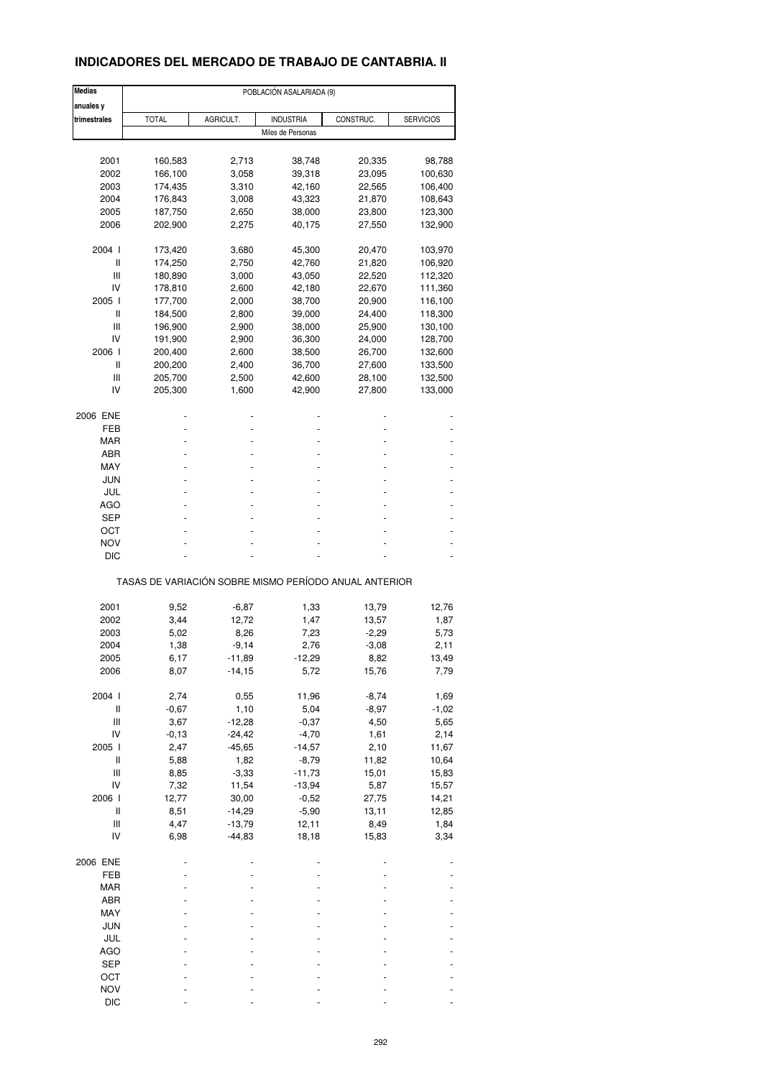## **INDICADORES DEL MERCADO DE TRABAJO DE CANTABRIA. II**

| <b>Medias</b>                      | POBLACIÓN ASALARIADA (9) |           |                   |                                                       |                  |  |
|------------------------------------|--------------------------|-----------|-------------------|-------------------------------------------------------|------------------|--|
| anuales y                          |                          |           |                   |                                                       |                  |  |
| trimestrales                       | <b>TOTAL</b>             | AGRICULT. | <b>INDUSTRIA</b>  | CONSTRUC.                                             | <b>SERVICIOS</b> |  |
|                                    |                          |           | Miles de Personas |                                                       |                  |  |
|                                    |                          |           |                   |                                                       |                  |  |
| 2001                               | 160,583                  | 2,713     | 38,748            | 20,335                                                | 98,788           |  |
| 2002                               | 166,100                  | 3,058     | 39,318            | 23,095                                                | 100,630          |  |
| 2003                               | 174,435                  | 3,310     | 42,160            | 22,565                                                | 106,400          |  |
| 2004                               | 176,843                  | 3,008     | 43,323            | 21,870                                                | 108,643          |  |
| 2005                               | 187,750                  | 2,650     | 38,000            | 23,800                                                | 123,300          |  |
| 2006                               | 202,900                  | 2,275     | 40,175            | 27,550                                                | 132,900          |  |
|                                    |                          |           |                   |                                                       |                  |  |
| 2004 l                             | 173,420                  | 3,680     | 45,300            | 20,470                                                | 103,970          |  |
| Ш                                  | 174,250                  | 2,750     | 42,760            | 21,820                                                | 106,920          |  |
| Ш                                  | 180,890                  | 3,000     | 43,050            | 22,520                                                | 112,320          |  |
| IV                                 | 178,810                  | 2,600     | 42,180            | 22,670                                                | 111,360          |  |
| 2005                               | 177,700                  | 2,000     | 38,700            | 20,900                                                | 116,100          |  |
| Ш                                  | 184,500                  | 2,800     | 39,000            | 24,400                                                | 118,300          |  |
|                                    |                          |           |                   |                                                       |                  |  |
| Ш                                  | 196,900                  | 2,900     | 38,000            | 25,900                                                | 130,100          |  |
| IV                                 | 191,900                  | 2,900     | 36,300            | 24,000                                                | 128,700          |  |
| 2006                               | 200,400                  | 2,600     | 38,500            | 26,700                                                | 132,600          |  |
| Ш                                  | 200,200                  | 2,400     | 36,700            | 27,600                                                | 133,500          |  |
| Ш                                  | 205,700                  | 2,500     | 42,600            | 28,100                                                | 132,500          |  |
| IV                                 | 205,300                  | 1,600     | 42,900            | 27,800                                                | 133,000          |  |
|                                    |                          |           |                   |                                                       |                  |  |
| 2006 ENE                           |                          |           |                   |                                                       |                  |  |
| FEB                                |                          |           |                   |                                                       |                  |  |
| MAR                                |                          |           |                   |                                                       |                  |  |
| ABR                                |                          |           |                   |                                                       |                  |  |
| MAY                                |                          |           |                   |                                                       |                  |  |
| JUN                                |                          |           |                   |                                                       |                  |  |
| JUL                                |                          |           |                   |                                                       |                  |  |
| AGO                                |                          |           |                   |                                                       |                  |  |
| SEP                                |                          |           |                   |                                                       |                  |  |
| ост                                |                          |           |                   |                                                       |                  |  |
| NOV                                |                          |           |                   |                                                       |                  |  |
| DIC                                |                          |           |                   |                                                       |                  |  |
|                                    |                          |           |                   | TASAS DE VARIACIÓN SOBRE MISMO PERÍODO ANUAL ANTERIOR |                  |  |
|                                    |                          |           |                   |                                                       |                  |  |
| 2001                               | 9,52                     | $-6,87$   | 1,33              | 13,79                                                 | 12,76            |  |
| 2002                               | 3,44                     | 12,72     | 1,47              | 13,57                                                 | 1,87             |  |
| 2003                               | 5,02                     | 8,26      | 7,23              | $-2,29$                                               | 5,73             |  |
| 2004                               | 1,38                     | $-9,14$   | 2,76              | $-3,08$                                               | 2,11             |  |
|                                    |                          |           |                   |                                                       |                  |  |
| 2005                               | 6,17                     | -11,89    | -12,29            | 8,82                                                  | 13,49            |  |
| 2006                               | 8,07                     | -14,15    | 5,72              | 15,76                                                 | 7,79             |  |
| 2004 l                             | 2,74                     | 0,55      | 11,96             | $-8,74$                                               | 1,69             |  |
| $\sf II$                           |                          |           |                   |                                                       |                  |  |
|                                    | $-0,67$                  | 1,10      | 5,04              | $-8,97$                                               | $-1,02$          |  |
| $\ensuremath{\mathsf{III}}\xspace$ | 3,67                     | $-12,28$  | $-0,37$           | 4,50                                                  | 5,65             |  |
| IV                                 | $-0, 13$                 | $-24,42$  | $-4,70$           | 1,61                                                  | 2,14             |  |
| 2005 l                             | 2,47                     | $-45,65$  | $-14,57$          | 2,10                                                  | 11,67            |  |
| $\sf II$                           | 5,88                     | 1,82      | $-8,79$           | 11,82                                                 | 10,64            |  |
| $\begin{array}{c} \Pi \end{array}$ | 8,85                     | $-3,33$   | $-11,73$          | 15,01                                                 | 15,83            |  |
| IV                                 | 7,32                     | 11,54     | $-13,94$          | 5,87                                                  | 15,57            |  |
| 2006                               | 12,77                    | 30,00     | $-0,52$           | 27,75                                                 | 14,21            |  |
| Ш                                  | 8,51                     | $-14,29$  | $-5,90$           | 13,11                                                 | 12,85            |  |
| Ш                                  | 4,47                     | $-13,79$  | 12,11             | 8,49                                                  | 1,84             |  |
| IV                                 | 6,98                     | $-44,83$  | 18,18             | 15,83                                                 | 3,34             |  |
|                                    |                          |           |                   |                                                       |                  |  |
| 2006 ENE                           |                          |           |                   |                                                       |                  |  |
| FEB                                |                          |           |                   |                                                       |                  |  |
| MAR                                |                          |           |                   |                                                       |                  |  |
| ABR                                |                          |           |                   |                                                       |                  |  |
| MAY                                |                          |           |                   |                                                       |                  |  |
|                                    |                          |           |                   |                                                       |                  |  |
| <b>JUN</b>                         |                          |           |                   |                                                       |                  |  |
| JUL                                |                          |           |                   |                                                       |                  |  |
| AGO                                |                          |           |                   |                                                       |                  |  |
| <b>SEP</b>                         |                          |           |                   |                                                       |                  |  |
| OCT                                |                          |           |                   |                                                       |                  |  |
| <b>NOV</b>                         |                          |           |                   |                                                       |                  |  |
| <b>DIC</b>                         |                          |           |                   |                                                       |                  |  |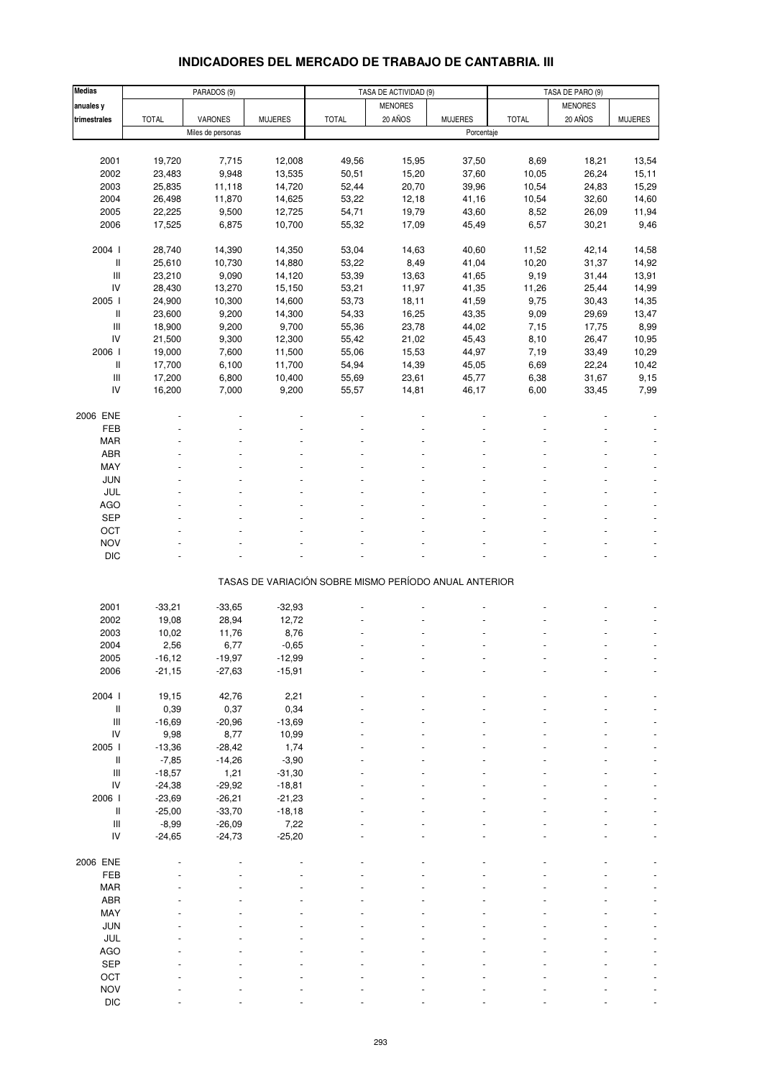| <b>INDICADORES DEL MERCADO DE TRABAJO DE CANTABRIA. III</b> |
|-------------------------------------------------------------|
|-------------------------------------------------------------|

| <b>Medias</b>                      |              | PARADOS (9)       |                |                                                       | TASA DE ACTIVIDAD (9) |                | TASA DE PARO (9) |                |                |
|------------------------------------|--------------|-------------------|----------------|-------------------------------------------------------|-----------------------|----------------|------------------|----------------|----------------|
| anuales y                          |              |                   |                |                                                       | <b>MENORES</b>        |                |                  | <b>MENORES</b> |                |
| trimestrales                       | <b>TOTAL</b> | VARONES           | <b>MUJERES</b> | <b>TOTAL</b>                                          | 20 AÑOS               | <b>MUJERES</b> | <b>TOTAL</b>     | 20 AÑOS        | <b>MUJERES</b> |
|                                    |              | Miles de personas |                |                                                       |                       | Porcentaje     |                  |                |                |
|                                    |              |                   |                |                                                       |                       |                |                  |                |                |
|                                    | 19,720       | 7,715             |                |                                                       |                       |                |                  |                |                |
| 2001                               |              |                   | 12,008         | 49,56                                                 | 15,95                 | 37,50          | 8,69             | 18,21          | 13,54          |
| 2002                               | 23,483       | 9,948             | 13,535         | 50,51                                                 | 15,20                 | 37,60          | 10,05            | 26,24          | 15,11          |
| 2003                               | 25,835       | 11,118            | 14,720         | 52,44                                                 | 20,70                 | 39,96          | 10,54            | 24,83          | 15,29          |
| 2004                               | 26,498       | 11,870            | 14,625         | 53,22                                                 | 12,18                 | 41,16          | 10,54            | 32,60          | 14,60          |
| 2005                               | 22,225       | 9,500             | 12,725         | 54,71                                                 | 19,79                 | 43,60          | 8,52             | 26,09          | 11,94          |
| 2006                               | 17,525       | 6,875             | 10,700         | 55,32                                                 | 17,09                 | 45,49          | 6,57             | 30,21          | 9,46           |
|                                    |              |                   |                |                                                       |                       |                |                  |                |                |
| 2004 l                             | 28,740       | 14,390            | 14,350         | 53,04                                                 | 14,63                 | 40,60          | 11,52            | 42,14          | 14,58          |
| II                                 | 25,610       | 10,730            | 14,880         | 53,22                                                 | 8,49                  | 41,04          | 10,20            | 31,37          | 14,92          |
| $\ensuremath{\mathsf{III}}\xspace$ | 23,210       | 9,090             | 14,120         | 53,39                                                 | 13,63                 | 41,65          | 9,19             | 31,44          | 13,91          |
| IV                                 | 28,430       | 13,270            | 15,150         | 53,21                                                 | 11,97                 | 41,35          | 11,26            | 25,44          | 14,99          |
| 2005 l                             | 24,900       | 10,300            | 14,600         | 53,73                                                 | 18,11                 | 41,59          | 9,75             | 30,43          | 14,35          |
| II                                 | 23,600       | 9,200             | 14,300         | 54,33                                                 | 16,25                 | 43,35          | 9,09             | 29,69          | 13,47          |
| $\ensuremath{\mathsf{III}}\xspace$ | 18,900       | 9,200             | 9,700          | 55,36                                                 | 23,78                 | 44,02          | 7,15             | 17,75          | 8,99           |
| IV                                 | 21,500       | 9,300             | 12,300         | 55,42                                                 | 21,02                 | 45,43          | 8,10             | 26,47          | 10,95          |
| 2006                               | 19,000       | 7,600             | 11,500         | 55,06                                                 | 15,53                 | 44,97          | 7,19             | 33,49          | 10,29          |
| II                                 | 17,700       | 6,100             | 11,700         | 54,94                                                 | 14,39                 | 45,05          | 6,69             | 22,24          | 10,42          |
| $\ensuremath{\mathsf{III}}\xspace$ | 17,200       | 6,800             | 10,400         | 55,69                                                 | 23,61                 | 45,77          | 6,38             | 31,67          | 9,15           |
| IV                                 | 16,200       | 7,000             | 9,200          | 55,57                                                 | 14,81                 | 46,17          | 6,00             | 33,45          | 7,99           |
|                                    |              |                   |                |                                                       |                       |                |                  |                |                |
| 2006 ENE                           |              |                   |                |                                                       |                       |                |                  |                |                |
| FEB                                |              |                   |                |                                                       |                       |                |                  |                |                |
|                                    |              |                   |                |                                                       |                       |                |                  |                |                |
| MAR                                |              |                   |                |                                                       |                       |                |                  |                |                |
| ABR                                |              |                   |                |                                                       |                       |                |                  |                |                |
| MAY                                |              |                   |                |                                                       |                       |                |                  |                |                |
| <b>JUN</b>                         |              |                   |                |                                                       |                       |                |                  |                |                |
| JUL                                |              |                   |                |                                                       |                       |                |                  |                |                |
| <b>AGO</b>                         |              |                   |                |                                                       |                       |                |                  |                |                |
| <b>SEP</b>                         |              |                   |                |                                                       |                       |                |                  |                |                |
| OCT                                |              |                   |                |                                                       |                       |                |                  |                |                |
| <b>NOV</b>                         |              |                   |                |                                                       |                       |                |                  |                |                |
| <b>DIC</b>                         |              |                   |                |                                                       |                       |                |                  |                |                |
|                                    |              |                   |                |                                                       |                       |                |                  |                |                |
|                                    |              |                   |                | TASAS DE VARIACIÓN SOBRE MISMO PERÍODO ANUAL ANTERIOR |                       |                |                  |                |                |
|                                    |              |                   |                |                                                       |                       |                |                  |                |                |
| 2001                               | $-33,21$     | $-33,65$          | $-32,93$       |                                                       |                       |                |                  |                |                |
| 2002                               | 19,08        | 28,94             | 12,72          |                                                       |                       |                |                  |                |                |
| 2003                               | 10,02        | 11,76             | 8,76           |                                                       |                       |                |                  |                |                |
| 2004                               | 2,56         | 6,77              | $-0,65$        |                                                       |                       |                |                  |                |                |
| 2005                               | $-16,12$     | $-19,97$          | $-12,99$       |                                                       |                       |                |                  |                |                |
| 2006                               | $-21,15$     | $-27,63$          | $-15,91$       |                                                       |                       |                |                  |                |                |
|                                    |              |                   |                |                                                       |                       |                |                  |                |                |
| 2004 l                             | 19,15        | 42,76             | 2,21           |                                                       |                       |                |                  |                |                |
| II                                 | 0,39         | 0,37              | 0,34           |                                                       |                       |                |                  |                |                |
| $\ensuremath{\mathsf{III}}\xspace$ |              |                   |                |                                                       |                       |                |                  |                |                |
|                                    | $-16,69$     | $-20,96$          | $-13,69$       |                                                       |                       |                |                  |                |                |
| IV                                 | 9,98         | 8,77              | 10,99          |                                                       |                       |                |                  |                |                |
| 2005 l                             | $-13,36$     | $-28,42$          | 1,74           |                                                       |                       |                |                  |                |                |
| $\, \parallel$                     | $-7,85$      | $-14,26$          | $-3,90$        |                                                       |                       |                |                  |                |                |
| $\ensuremath{\mathsf{III}}\xspace$ | $-18,57$     | 1,21              | $-31,30$       |                                                       |                       |                |                  |                |                |
| IV                                 | $-24,38$     | $-29,92$          | $-18,81$       |                                                       |                       |                |                  |                |                |
| 2006                               | $-23,69$     | $-26,21$          | $-21,23$       |                                                       |                       |                |                  |                |                |
| $\mathbf{II}$                      | $-25,00$     | $-33,70$          | $-18,18$       |                                                       |                       |                |                  |                |                |
| $\ensuremath{\mathsf{III}}\xspace$ | $-8,99$      | $-26,09$          | 7,22           |                                                       |                       |                |                  |                |                |
| IV                                 | $-24,65$     | $-24,73$          | $-25,20$       |                                                       |                       |                |                  |                |                |
|                                    |              |                   |                |                                                       |                       |                |                  |                |                |
| 2006 ENE                           |              |                   |                |                                                       |                       |                |                  |                |                |
| FEB                                |              |                   |                |                                                       |                       |                |                  |                |                |
| MAR                                |              |                   |                |                                                       |                       |                |                  |                |                |
| ABR                                |              |                   |                |                                                       |                       |                |                  |                |                |
| MAY                                |              |                   |                |                                                       |                       |                |                  |                |                |
| JUN                                |              |                   |                |                                                       |                       |                |                  |                |                |
| JUL                                |              |                   |                |                                                       |                       |                |                  |                |                |
|                                    |              |                   |                |                                                       |                       |                |                  |                |                |
| AGO                                |              |                   |                |                                                       |                       |                |                  |                |                |
| SEP                                |              |                   |                |                                                       |                       |                |                  |                |                |
| OCT                                |              |                   |                |                                                       |                       |                |                  |                |                |
| <b>NOV</b>                         |              |                   |                |                                                       |                       |                |                  |                |                |
| DIC                                |              |                   |                |                                                       |                       |                |                  |                |                |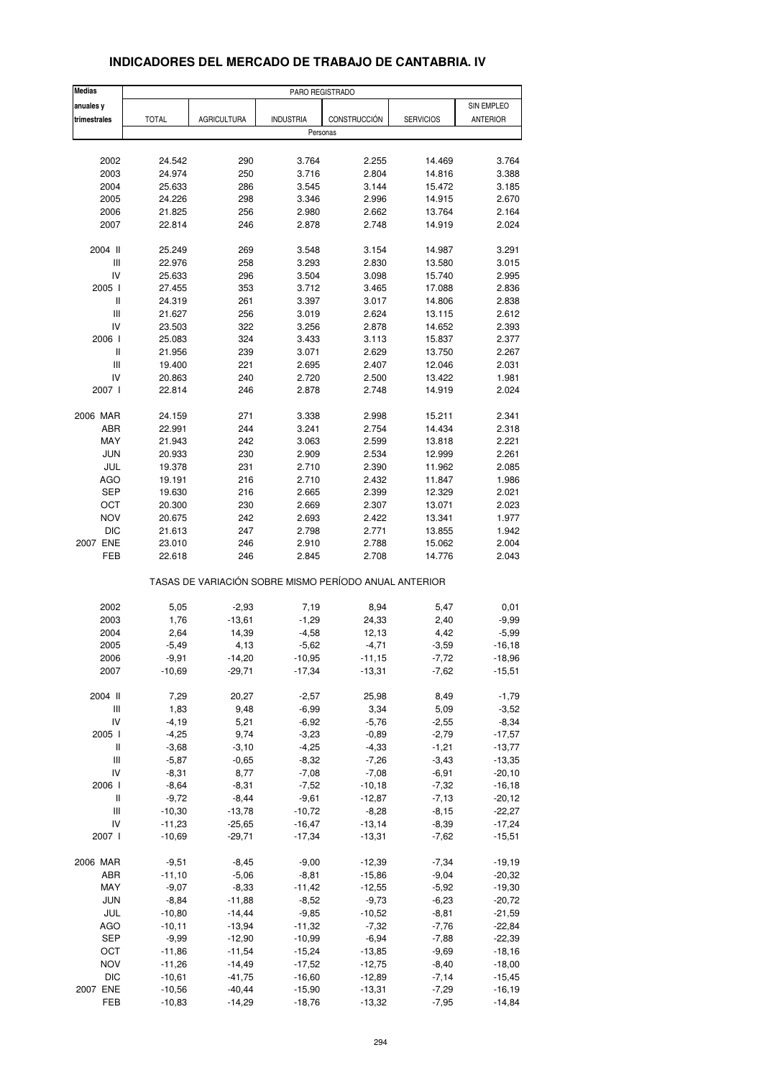| <b>Medias</b>                           |              |                                                       | PARO REGISTRADO  |              |                  |                 |
|-----------------------------------------|--------------|-------------------------------------------------------|------------------|--------------|------------------|-----------------|
| anuales y                               |              |                                                       |                  |              |                  | SIN EMPLEO      |
| trimestrales                            | <b>TOTAL</b> | <b>AGRICULTURA</b>                                    | <b>INDUSTRIA</b> | CONSTRUCCIÓN | <b>SERVICIOS</b> | <b>ANTERIOR</b> |
|                                         |              |                                                       | Personas         |              |                  |                 |
|                                         |              |                                                       |                  |              |                  |                 |
| 2002                                    | 24.542       | 290                                                   | 3.764            | 2.255        | 14.469           | 3.764           |
| 2003                                    | 24.974       | 250                                                   | 3.716            | 2.804        | 14.816           | 3.388           |
| 2004                                    | 25.633       | 286                                                   | 3.545            | 3.144        | 15.472           | 3.185           |
| 2005                                    | 24.226       | 298                                                   | 3.346            | 2.996        | 14.915           | 2.670           |
| 2006                                    | 21.825       | 256                                                   | 2.980            | 2.662        | 13.764           | 2.164           |
| 2007                                    | 22.814       | 246                                                   | 2.878            | 2.748        | 14.919           | 2.024           |
|                                         |              |                                                       |                  |              |                  |                 |
| 2004 II                                 | 25.249       | 269                                                   | 3.548            | 3.154        | 14.987           | 3.291           |
| Ш                                       | 22.976       | 258                                                   | 3.293            | 2.830        | 13.580           | 3.015           |
| IV                                      | 25.633       | 296                                                   | 3.504            | 3.098        | 15.740           | 2.995           |
| 2005 l                                  | 27.455       | 353                                                   | 3.712            | 3.465        | 17.088           | 2.836           |
| Ш                                       | 24.319       | 261                                                   | 3.397            | 3.017        | 14.806           | 2.838           |
| $\mathsf{III}$                          | 21.627       | 256                                                   | 3.019            | 2.624        | 13.115           | 2.612           |
| IV                                      | 23.503       | 322                                                   | 3.256            | 2.878        | 14.652           | 2.393           |
| 2006                                    | 25.083       | 324                                                   | 3.433            | 3.113        | 15.837           | 2.377           |
| Ш<br>$\ensuremath{\mathsf{III}}\xspace$ | 21.956       | 239                                                   | 3.071            | 2.629        | 13.750           | 2.267           |
|                                         | 19.400       | 221                                                   | 2.695            | 2.407        | 12.046           | 2.031           |
| IV<br>2007 l                            | 20.863       | 240                                                   | 2.720            | 2.500        | 13.422           | 1.981           |
|                                         | 22.814       | 246                                                   | 2.878            | 2.748        | 14.919           | 2.024           |
| 2006 MAR                                | 24.159       | 271                                                   | 3.338            | 2.998        | 15.211           | 2.341           |
| ABR                                     | 22.991       | 244                                                   | 3.241            | 2.754        | 14.434           | 2.318           |
| MAY                                     | 21.943       | 242                                                   | 3.063            | 2.599        | 13.818           | 2.221           |
| <b>JUN</b>                              | 20.933       | 230                                                   | 2.909            | 2.534        | 12.999           | 2.261           |
| JUL                                     | 19.378       | 231                                                   | 2.710            | 2.390        | 11.962           | 2.085           |
| AGO                                     | 19.191       | 216                                                   | 2.710            | 2.432        | 11.847           | 1.986           |
| <b>SEP</b>                              | 19.630       | 216                                                   | 2.665            | 2.399        | 12.329           | 2.021           |
| OCT                                     | 20.300       | 230                                                   | 2.669            | 2.307        | 13.071           | 2.023           |
| <b>NOV</b>                              | 20.675       | 242                                                   | 2.693            | 2.422        | 13.341           | 1.977           |
| <b>DIC</b>                              | 21.613       | 247                                                   | 2.798            | 2.771        | 13.855           | 1.942           |
| 2007 ENE                                | 23.010       | 246                                                   | 2.910            | 2.788        | 15.062           | 2.004           |
| FEB                                     | 22.618       | 246                                                   | 2.845            | 2.708        | 14.776           | 2.043           |
|                                         |              | TASAS DE VARIACIÓN SOBRE MISMO PERÍODO ANUAL ANTERIOR |                  |              |                  |                 |
|                                         |              |                                                       |                  |              |                  |                 |
| 2002                                    | 5,05         | $-2,93$                                               | 7,19             | 8,94         | 5,47             | 0,01            |
| 2003                                    | 1,76         | $-13,61$                                              | $-1,29$          | 24,33        | 2,40             | $-9,99$         |
| 2004                                    | 2,64         | 14,39                                                 | $-4,58$          | 12,13        | 4,42             | $-5,99$         |
| 2005                                    | $-5,49$      | 4,13                                                  | $-5,62$          | $-4,71$      | $-3,59$          | $-16, 18$       |
| 2006                                    | -9,91        | $-14,20$                                              | -10,95           | $-11,15$     | $-7,72$          | -18,96          |
| 2007                                    | $-10,69$     | $-29,71$                                              | $-17,34$         | $-13,31$     | $-7,62$          | $-15,51$        |
| 2004 II                                 | 7,29         | 20,27                                                 | $-2,57$          | 25,98        | 8,49             | $-1,79$         |
| $\ensuremath{\mathsf{III}}\xspace$      | 1,83         | 9,48                                                  | $-6,99$          | 3,34         | 5,09             | $-3,52$         |
| IV                                      | $-4,19$      | 5,21                                                  | $-6,92$          | $-5,76$      | $-2,55$          | $-8,34$         |
| 2005 l                                  | $-4,25$      | 9,74                                                  | $-3,23$          | $-0,89$      | $-2,79$          | $-17,57$        |
| Ш                                       | $-3,68$      | $-3,10$                                               | $-4,25$          | $-4,33$      | $-1,21$          | $-13,77$        |
| Ш                                       | $-5,87$      | $-0,65$                                               | $-8,32$          | $-7,26$      | $-3,43$          | $-13,35$        |
| IV                                      | $-8,31$      | 8,77                                                  | $-7,08$          | $-7,08$      | $-6,91$          | $-20,10$        |
| 2006                                    | $-8,64$      | $-8,31$                                               | $-7,52$          | $-10,18$     | $-7,32$          | $-16, 18$       |
| Ш                                       | $-9,72$      | $-8,44$                                               | $-9,61$          | $-12,87$     | $-7, 13$         | $-20,12$        |
| $\ensuremath{\mathsf{III}}\xspace$      | $-10,30$     | $-13,78$                                              | $-10,72$         | $-8,28$      | $-8,15$          | $-22,27$        |
| IV                                      | $-11,23$     | $-25,65$                                              | $-16,47$         | $-13,14$     | $-8,39$          | $-17,24$        |
| 2007 l                                  | $-10,69$     | $-29,71$                                              | $-17,34$         | $-13,31$     | $-7,62$          | $-15,51$        |
| 2006 MAR                                | $-9,51$      | $-8,45$                                               | $-9,00$          | $-12,39$     | $-7,34$          | $-19,19$        |
| ABR                                     | $-11,10$     | $-5,06$                                               | $-8,81$          | $-15,86$     | $-9,04$          | $-20,32$        |
| MAY                                     | $-9,07$      | $-8,33$                                               | $-11,42$         | $-12,55$     | $-5,92$          | $-19,30$        |
| <b>JUN</b>                              | $-8,84$      | $-11,88$                                              | $-8,52$          | $-9,73$      | $-6,23$          | $-20,72$        |
| JUL                                     | $-10,80$     | $-14,44$                                              | $-9,85$          | $-10,52$     | $-8, 81$         | $-21,59$        |
| AGO                                     | $-10, 11$    | $-13,94$                                              | $-11,32$         | $-7,32$      | $-7,76$          | $-22,84$        |
| <b>SEP</b>                              | $-9,99$      | $-12,90$                                              | $-10,99$         | $-6,94$      | $-7,88$          | $-22,39$        |
| OCT                                     | $-11,86$     | $-11,54$                                              | $-15,24$         | $-13,85$     | $-9,69$          | $-18,16$        |
| <b>NOV</b>                              | $-11,26$     | $-14,49$                                              | $-17,52$         | $-12,75$     | $-8,40$          | $-18,00$        |
| <b>DIC</b>                              | $-10,61$     | $-41,75$                                              | $-16,60$         | $-12,89$     | $-7,14$          | $-15,45$        |
| 2007 ENE                                | $-10,56$     | $-40,44$                                              | $-15,90$         | $-13,31$     | $-7,29$          | $-16, 19$       |
| FEB                                     | $-10,83$     | $-14,29$                                              | $-18,76$         | $-13,32$     | $-7,95$          | $-14,84$        |

### **INDICADORES DEL MERCADO DE TRABAJO DE CANTABRIA. IV**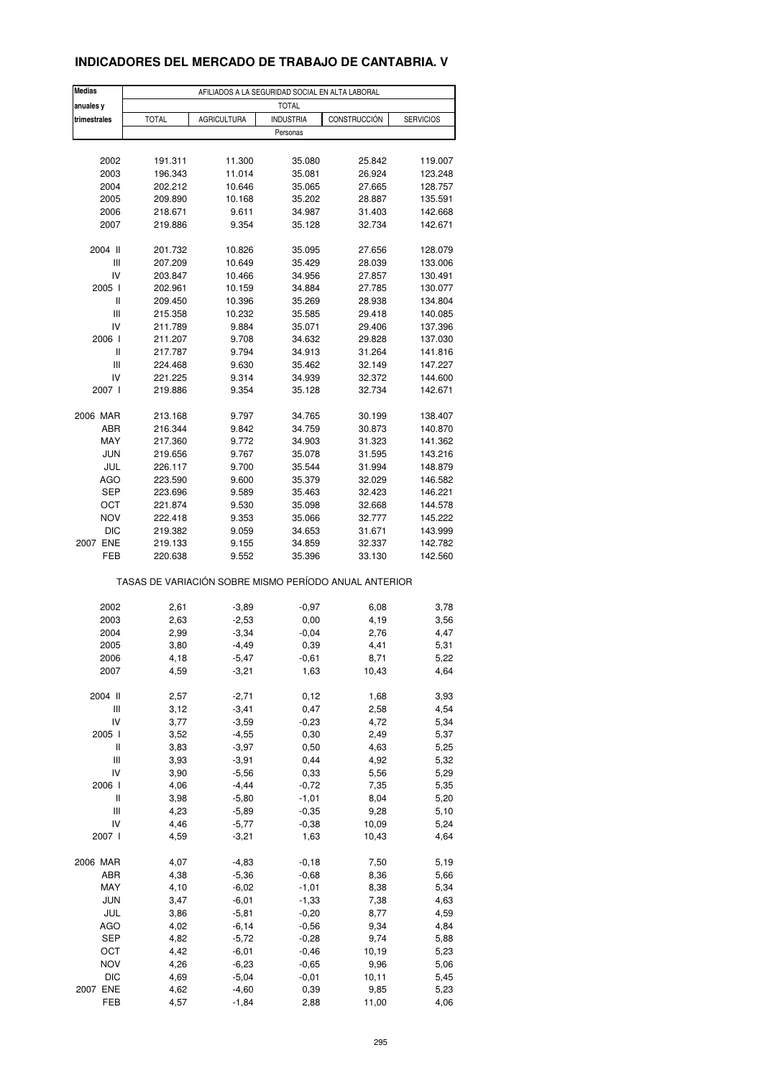### **INDICADORES DEL MERCADO DE TRABAJO DE CANTABRIA. V**

| <b>Medias</b> |              |                                                       | AFILIADOS A LA SEGURIDAD SOCIAL EN ALTA LABORAL |              |                  |
|---------------|--------------|-------------------------------------------------------|-------------------------------------------------|--------------|------------------|
| anuales y     |              |                                                       | <b>TOTAL</b>                                    |              |                  |
| trimestrales  | <b>TOTAL</b> | <b>AGRICULTURA</b>                                    | <b>INDUSTRIA</b><br>Personas                    | CONSTRUCCIÓN | <b>SERVICIOS</b> |
|               |              |                                                       |                                                 |              |                  |
| 2002          | 191.311      | 11.300                                                | 35.080                                          | 25.842       | 119.007          |
| 2003          | 196.343      | 11.014                                                | 35.081                                          | 26.924       | 123.248          |
| 2004          | 202.212      | 10.646                                                | 35.065                                          | 27.665       | 128.757          |
| 2005          | 209.890      | 10.168                                                | 35.202                                          | 28.887       | 135.591          |
| 2006          | 218.671      | 9.611                                                 | 34.987                                          | 31.403       | 142.668          |
| 2007          | 219.886      | 9.354                                                 | 35.128                                          | 32.734       | 142.671          |
| 2004 II       | 201.732      | 10.826                                                | 35.095                                          | 27.656       | 128.079          |
| Ш             | 207.209      | 10.649                                                | 35.429                                          | 28.039       | 133.006          |
| IV            | 203.847      | 10.466                                                | 34.956                                          | 27.857       | 130.491          |
| 2005 l        | 202.961      | 10.159                                                | 34.884                                          | 27.785       | 130.077          |
| Ш             | 209.450      | 10.396                                                | 35.269                                          | 28.938       | 134.804          |
| Ш             | 215.358      | 10.232                                                | 35.585                                          | 29.418       | 140.085          |
| IV            | 211.789      | 9.884                                                 | 35.071                                          | 29.406       | 137.396          |
| 2006 l        | 211.207      | 9.708                                                 | 34.632                                          | 29.828       | 137.030          |
| Ш             | 217.787      | 9.794                                                 | 34.913                                          | 31.264       | 141.816          |
| Ш             | 224.468      | 9.630                                                 | 35.462                                          | 32.149       | 147.227          |
| IV            | 221.225      | 9.314                                                 | 34.939                                          | 32.372       | 144.600          |
| 2007 l        | 219.886      | 9.354                                                 | 35.128                                          | 32.734       | 142.671          |
| 2006 MAR      | 213.168      | 9.797                                                 | 34.765                                          | 30.199       | 138.407          |
| ABR           | 216.344      | 9.842                                                 | 34.759                                          | 30.873       | 140.870          |
| MAY           | 217.360      | 9.772                                                 | 34.903                                          | 31.323       | 141.362          |
| <b>JUN</b>    | 219.656      | 9.767                                                 | 35.078                                          | 31.595       | 143.216          |
| JUL           | 226.117      | 9.700                                                 | 35.544                                          | 31.994       | 148.879          |
| AGO           | 223.590      | 9.600                                                 | 35.379                                          | 32.029       | 146.582          |
| <b>SEP</b>    | 223.696      | 9.589                                                 | 35.463                                          | 32.423       | 146.221          |
| OCT           | 221.874      | 9.530                                                 | 35.098                                          | 32.668       | 144.578          |
| <b>NOV</b>    | 222.418      | 9.353                                                 | 35.066                                          | 32.777       | 145.222          |
| DIC           | 219.382      | 9.059                                                 | 34.653                                          | 31.671       | 143.999          |
| 2007 ENE      | 219.133      | 9.155                                                 | 34.859                                          | 32.337       | 142.782          |
| FEB           | 220.638      | 9.552                                                 | 35.396                                          | 33.130       | 142.560          |
|               |              | TASAS DE VARIACIÓN SOBRE MISMO PERÍODO ANUAL ANTERIOR |                                                 |              |                  |
| 2002          | 2,61         | $-3,89$                                               | $-0,97$                                         | 6,08         | 3,78             |
| 2003          | 2,63         | $-2,53$                                               | 0,00                                            | 4,19         | 3,56             |
| 2004          | 2,99         | $-3,34$                                               | $-0,04$                                         | 2,76         | 4,47             |
| 2005          | 3,80         | $-4,49$                                               | 0,39                                            | 4,41         | 5,31             |
| 2006          | 4,18         | $-5,47$                                               | $-0,61$                                         | 8,71         | 5,22             |
| 2007          | 4,59         | $-3,21$                                               | 1,63                                            | 10,43        | 4,64             |
|               |              |                                                       |                                                 |              |                  |
| 2004 II       | 2,57         | $-2,71$                                               | 0,12                                            | 1,68         | 3,93             |
| Ш             | 3,12         | $-3,41$                                               | 0,47                                            | 2,58         | 4,54             |
| IV            | 3,77         | $-3,59$                                               | $-0,23$                                         | 4,72         | 5,34             |
| 2005 l        | 3,52         | $-4,55$                                               | 0,30                                            | 2,49         | 5,37             |
| Ш             | 3,83         | $-3,97$                                               | 0,50                                            | 4,63         | 5,25             |
| Ш             | 3,93         | $-3,91$                                               | 0,44                                            | 4,92         | 5,32             |
| IV            | 3,90         | $-5,56$                                               | 0,33                                            | 5,56         | 5,29             |
| 2006 l        | 4,06         | $-4,44$                                               | $-0,72$                                         | 7,35         | 5,35             |
| Ш             | 3,98         | $-5,80$                                               | $-1,01$                                         | 8,04         | 5,20             |
| Ш             | 4,23         | $-5,89$                                               | $-0,35$                                         | 9,28         | 5,10             |
| IV            | 4,46         | $-5,77$                                               | $-0,38$                                         | 10,09        | 5,24             |
| 2007 l        | 4,59         | $-3,21$                                               | 1,63                                            | 10,43        | 4,64             |
| 2006 MAR      | 4,07         | $-4,83$                                               | $-0,18$                                         | 7,50         | 5,19             |
| ABR           | 4,38         | $-5,36$                                               | $-0,68$                                         | 8,36         | 5,66             |
| MAY           | 4,10         | $-6,02$                                               | $-1,01$                                         | 8,38         | 5,34             |
| <b>JUN</b>    | 3,47         | $-6,01$                                               | $-1,33$                                         | 7,38         | 4,63             |
| JUL           | 3,86         | $-5,81$                                               | $-0,20$                                         | 8,77         | 4,59             |
| <b>AGO</b>    | 4,02         | $-6, 14$                                              | $-0,56$                                         | 9,34         | 4,84             |
| SEP           | 4,82         | $-5,72$                                               | $-0,28$                                         | 9,74         | 5,88             |
| OCT           | 4,42         | $-6,01$                                               | $-0,46$                                         | 10,19        | 5,23             |
| <b>NOV</b>    | 4,26         | $-6,23$                                               | $-0,65$                                         | 9,96         | 5,06             |
| <b>DIC</b>    | 4,69         | $-5,04$                                               | $-0,01$                                         | 10, 11       | 5,45             |
| 2007 ENE      | 4,62         | $-4,60$                                               | 0,39                                            | 9,85         | 5,23             |
| FEB           | 4,57         | $-1,84$                                               | 2,88                                            | 11,00        | 4,06             |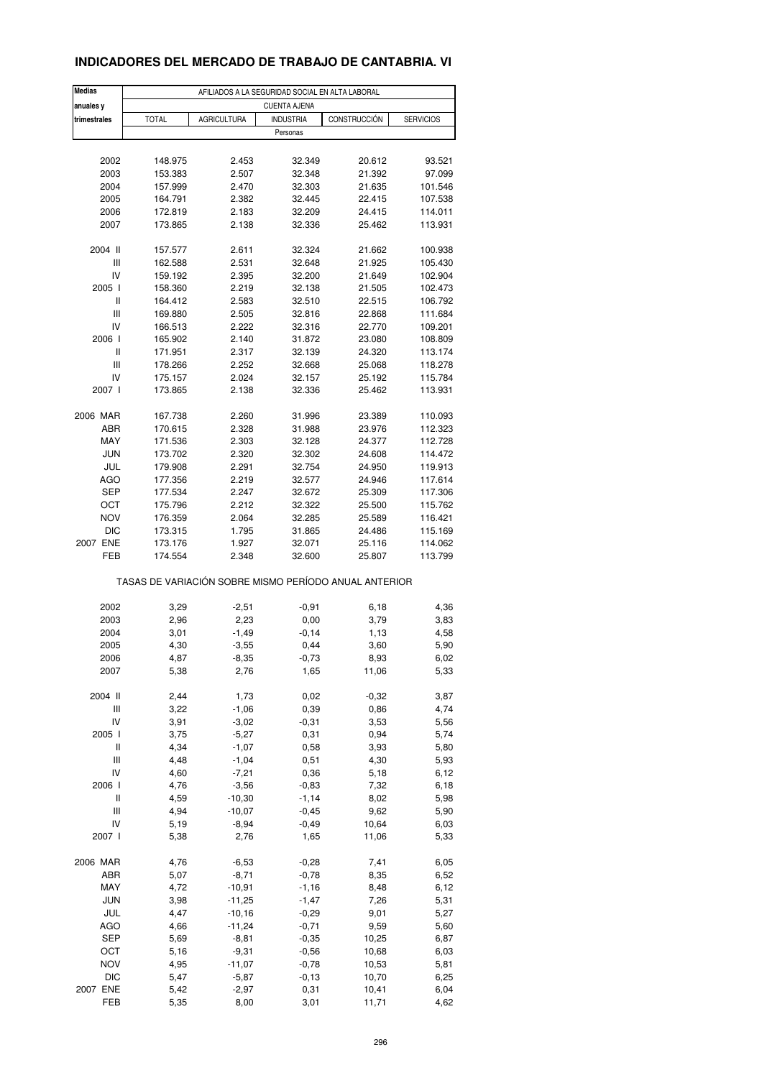### **INDICADORES DEL MERCADO DE TRABAJO DE CANTABRIA. VI**

| <b>Medias</b>       | AFILIADOS A LA SEGURIDAD SOCIAL EN ALTA LABORAL |                    |                              |                                                       |                  |  |  |
|---------------------|-------------------------------------------------|--------------------|------------------------------|-------------------------------------------------------|------------------|--|--|
| anuales y           |                                                 |                    | <b>CUENTA AJENA</b>          |                                                       |                  |  |  |
| trimestrales        | <b>TOTAL</b>                                    | <b>AGRICULTURA</b> | <b>INDUSTRIA</b><br>Personas | CONSTRUCCIÓN                                          | <b>SERVICIOS</b> |  |  |
|                     |                                                 |                    |                              |                                                       |                  |  |  |
| 2002                | 148.975                                         | 2.453              | 32.349                       | 20.612                                                | 93.521           |  |  |
| 2003                | 153.383                                         | 2.507              | 32.348                       | 21.392                                                | 97.099           |  |  |
| 2004                | 157.999                                         | 2.470              | 32.303                       | 21.635                                                | 101.546          |  |  |
| 2005                | 164.791                                         | 2.382              | 32.445                       | 22.415                                                | 107.538          |  |  |
| 2006                | 172.819                                         | 2.183              | 32.209                       | 24.415                                                | 114.011          |  |  |
| 2007                | 173.865                                         | 2.138              | 32.336                       | 25.462                                                | 113.931          |  |  |
|                     |                                                 |                    |                              |                                                       |                  |  |  |
| 2004 II             | 157.577                                         | 2.611              | 32.324                       | 21.662                                                | 100.938          |  |  |
| Ш                   | 162.588                                         | 2.531              | 32.648                       | 21.925                                                | 105.430          |  |  |
| IV                  | 159.192                                         | 2.395              | 32.200                       | 21.649                                                | 102.904          |  |  |
| 2005 l              | 158.360                                         | 2.219              | 32.138                       | 21.505                                                | 102.473          |  |  |
| Ш                   | 164.412                                         | 2.583              | 32.510                       | 22.515                                                | 106.792          |  |  |
| Ш                   | 169.880                                         | 2.505              | 32.816                       | 22.868                                                | 111.684          |  |  |
| IV                  | 166.513                                         | 2.222              | 32.316                       | 22.770                                                | 109.201          |  |  |
| 2006                | 165.902                                         | 2.140              | 31.872                       | 23.080                                                | 108.809          |  |  |
| Ш                   | 171.951                                         | 2.317              | 32.139                       | 24.320                                                | 113.174          |  |  |
| Ш                   | 178.266                                         | 2.252              | 32.668                       | 25.068                                                | 118.278          |  |  |
| IV                  | 175.157                                         | 2.024              | 32.157                       | 25.192                                                | 115.784          |  |  |
| 2007 l              | 173.865                                         | 2.138              | 32.336                       | 25.462                                                | 113.931          |  |  |
|                     |                                                 |                    |                              |                                                       |                  |  |  |
| 2006 MAR            | 167.738                                         | 2.260              | 31.996                       | 23.389                                                | 110.093          |  |  |
| ABR                 | 170.615                                         | 2.328              | 31.988                       | 23.976                                                | 112.323          |  |  |
| MAY                 | 171.536                                         | 2.303              | 32.128                       | 24.377                                                | 112.728          |  |  |
| <b>JUN</b>          | 173.702                                         | 2.320              | 32.302                       | 24.608                                                | 114.472          |  |  |
| JUL                 | 179.908                                         | 2.291              | 32.754                       | 24.950                                                | 119.913          |  |  |
| <b>AGO</b>          | 177.356                                         | 2.219              | 32.577                       | 24.946                                                | 117.614          |  |  |
| SEP                 | 177.534                                         | 2.247              | 32.672                       | 25.309                                                | 117.306          |  |  |
| OCT                 | 175.796                                         | 2.212              | 32.322                       | 25.500                                                | 115.762          |  |  |
| <b>NOV</b>          | 176.359                                         | 2.064              | 32.285                       | 25.589                                                | 116.421          |  |  |
| DIC                 | 173.315                                         | 1.795              | 31.865                       | 24.486                                                | 115.169          |  |  |
| 2007 ENE            | 173.176                                         | 1.927              | 32.071                       | 25.116                                                | 114.062          |  |  |
| FEB                 | 174.554                                         | 2.348              | 32.600                       | 25.807                                                | 113.799          |  |  |
|                     |                                                 |                    |                              | TASAS DE VARIACIÓN SOBRE MISMO PERÍODO ANUAL ANTERIOR |                  |  |  |
|                     |                                                 |                    |                              |                                                       |                  |  |  |
| 2002                | 3,29                                            | $-2,51$            | $-0,91$                      | 6,18                                                  | 4,36             |  |  |
| 2003                | 2,96                                            | 2,23               | 0,00                         | 3,79                                                  | 3,83             |  |  |
| 2004                | 3,01                                            | $-1,49$            | $-0,14$                      | 1,13                                                  | 4,58             |  |  |
| 2005                | 4,30                                            | $-3,55$            | 0,44                         | 3,60                                                  | 5,90             |  |  |
| 2006                | 4,87                                            | $-8,35$            | $-0,73$                      | 8,93                                                  | 6,02             |  |  |
| 2007                | 5,38                                            | 2,76               | 1,65                         | 11,06                                                 | 5,33             |  |  |
| 2004 II             | 2,44                                            | 1,73               | 0,02                         | $-0,32$                                               | 3,87             |  |  |
| Ш                   | 3,22                                            | $-1,06$            | 0,39                         | 0,86                                                  | 4,74             |  |  |
| IV                  | 3,91                                            | $-3,02$            | $-0,31$                      | 3,53                                                  | 5,56             |  |  |
| 2005 l              | 3,75                                            | $-5,27$            | 0,31                         | 0,94                                                  | 5,74             |  |  |
| Ш                   | 4,34                                            | $-1,07$            | 0,58                         | 3,93                                                  | 5,80             |  |  |
| Ш                   | 4,48                                            | $-1,04$            | 0,51                         | 4,30                                                  | 5,93             |  |  |
| IV                  | 4,60                                            | $-7,21$            | 0,36                         | 5,18                                                  | 6,12             |  |  |
|                     |                                                 |                    |                              |                                                       |                  |  |  |
| 2006                | 4,76                                            | $-3,56$            | $-0,83$                      | 7,32                                                  | 6,18             |  |  |
| $\,$ $\,$ $\,$ $\,$ | 4,59                                            | $-10,30$           | $-1, 14$                     | 8,02                                                  | 5,98             |  |  |
| Ш                   | 4,94                                            | $-10,07$           | $-0,45$                      | 9,62                                                  | 5,90             |  |  |
| IV                  | 5,19                                            | $-8,94$            | $-0,49$                      | 10,64                                                 | 6,03             |  |  |
| 2007 l              | 5,38                                            | 2,76               | 1,65                         | 11,06                                                 | 5,33             |  |  |
| 2006 MAR            | 4,76                                            | $-6,53$            | $-0,28$                      | 7,41                                                  | 6,05             |  |  |
| ABR                 | 5,07                                            | $-8,71$            | $-0,78$                      | 8,35                                                  | 6,52             |  |  |
| MAY                 | 4,72                                            | $-10,91$           | $-1,16$                      | 8,48                                                  | 6, 12            |  |  |
| <b>JUN</b>          | 3,98                                            | $-11,25$           | $-1,47$                      | 7,26                                                  | 5,31             |  |  |
| JUL                 | 4,47                                            | $-10,16$           | $-0,29$                      | 9,01                                                  | 5,27             |  |  |
| <b>AGO</b>          | 4,66                                            | $-11,24$           | $-0,71$                      | 9,59                                                  | 5,60             |  |  |
| SEP                 | 5,69                                            | $-8,81$            | $-0,35$                      | 10,25                                                 | 6,87             |  |  |
|                     |                                                 |                    |                              |                                                       |                  |  |  |
| OCT                 | 5,16                                            | $-9,31$            | $-0,56$                      | 10,68                                                 | 6,03             |  |  |
| <b>NOV</b>          | 4,95                                            | $-11,07$           | $-0,78$                      | 10,53                                                 | 5,81             |  |  |
| <b>DIC</b>          | 5,47                                            | $-5,87$            | $-0, 13$                     | 10,70                                                 | 6,25             |  |  |
| 2007 ENE            | 5,42                                            | $-2,97$            | 0,31                         | 10,41                                                 | 6,04             |  |  |
| FEB                 | 5,35                                            | 8,00               | 3,01                         | 11,71                                                 | 4,62             |  |  |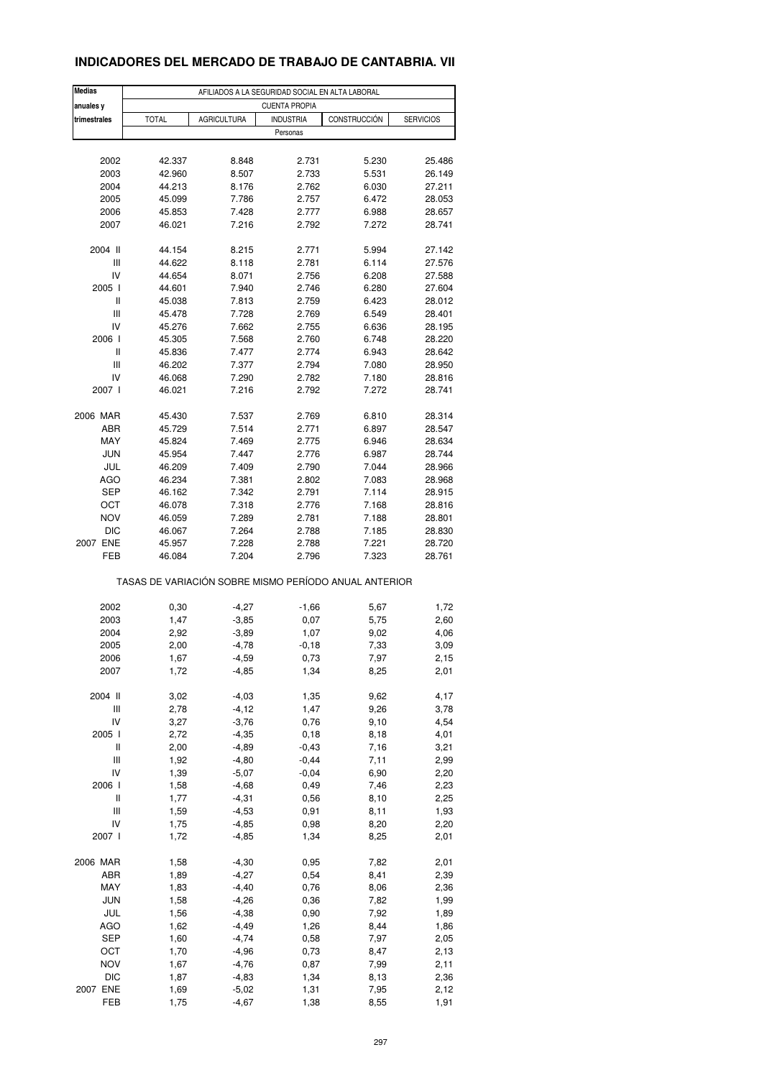### **INDICADORES DEL MERCADO DE TRABAJO DE CANTABRIA. VII**

| <b>Medias</b><br>anuales y | AFILIADOS A LA SEGURIDAD SOCIAL EN ALTA LABORAL<br><b>CUENTA PROPIA</b> |                                                       |                  |              |                  |  |  |
|----------------------------|-------------------------------------------------------------------------|-------------------------------------------------------|------------------|--------------|------------------|--|--|
| trimestrales               | <b>TOTAL</b>                                                            | <b>AGRICULTURA</b>                                    | <b>INDUSTRIA</b> | CONSTRUCCIÓN | <b>SERVICIOS</b> |  |  |
|                            |                                                                         |                                                       | Personas         |              |                  |  |  |
|                            |                                                                         |                                                       |                  |              |                  |  |  |
| 2002                       | 42.337                                                                  | 8.848                                                 | 2.731            | 5.230        | 25.486           |  |  |
| 2003                       | 42.960                                                                  | 8.507                                                 | 2.733            | 5.531        | 26.149           |  |  |
| 2004                       | 44.213                                                                  | 8.176                                                 | 2.762            | 6.030        | 27.211           |  |  |
| 2005                       | 45.099                                                                  | 7.786                                                 | 2.757            | 6.472        | 28.053           |  |  |
| 2006                       | 45.853                                                                  | 7.428                                                 | 2.777            | 6.988        | 28.657           |  |  |
| 2007                       | 46.021                                                                  | 7.216                                                 | 2.792            | 7.272        | 28.741           |  |  |
|                            |                                                                         |                                                       |                  |              |                  |  |  |
| 2004 II                    | 44.154                                                                  | 8.215                                                 | 2.771            | 5.994        | 27.142           |  |  |
| Ш                          | 44.622                                                                  | 8.118                                                 | 2.781            | 6.114        | 27.576           |  |  |
| IV                         | 44.654                                                                  | 8.071                                                 | 2.756            | 6.208        | 27.588           |  |  |
| 2005 l                     | 44.601                                                                  | 7.940                                                 | 2.746            | 6.280        | 27.604           |  |  |
| Ш                          | 45.038                                                                  | 7.813                                                 | 2.759            | 6.423        | 28.012           |  |  |
| Ш                          | 45.478                                                                  | 7.728                                                 | 2.769            | 6.549        | 28.401           |  |  |
| IV                         | 45.276                                                                  | 7.662                                                 | 2.755            | 6.636        | 28.195           |  |  |
| 2006                       | 45.305                                                                  | 7.568                                                 | 2.760            | 6.748        | 28.220           |  |  |
| Ш                          | 45.836                                                                  | 7.477                                                 | 2.774            | 6.943        | 28.642           |  |  |
| Ш                          | 46.202                                                                  | 7.377                                                 | 2.794            | 7.080        | 28.950           |  |  |
| IV                         | 46.068                                                                  | 7.290                                                 | 2.782            | 7.180        | 28.816           |  |  |
| 2007 l                     |                                                                         | 7.216                                                 | 2.792            | 7.272        | 28.741           |  |  |
|                            | 46.021                                                                  |                                                       |                  |              |                  |  |  |
| 2006 MAR                   | 45.430                                                                  | 7.537                                                 | 2.769            | 6.810        | 28.314           |  |  |
| ABR                        | 45.729                                                                  | 7.514                                                 | 2.771            | 6.897        | 28.547           |  |  |
| MAY                        | 45.824                                                                  | 7.469                                                 | 2.775            | 6.946        | 28.634           |  |  |
| <b>JUN</b>                 | 45.954                                                                  | 7.447                                                 | 2.776            | 6.987        | 28.744           |  |  |
|                            |                                                                         |                                                       |                  |              |                  |  |  |
| JUL                        | 46.209                                                                  | 7.409                                                 | 2.790            | 7.044        | 28.966           |  |  |
| <b>AGO</b>                 | 46.234                                                                  | 7.381                                                 | 2.802            | 7.083        | 28.968           |  |  |
| <b>SEP</b>                 | 46.162                                                                  | 7.342                                                 | 2.791            | 7.114        | 28.915           |  |  |
| ОСТ                        | 46.078                                                                  | 7.318                                                 | 2.776            | 7.168        | 28.816           |  |  |
| <b>NOV</b>                 | 46.059                                                                  | 7.289                                                 | 2.781            | 7.188        | 28.801           |  |  |
| DIC                        | 46.067                                                                  | 7.264                                                 | 2.788            | 7.185        | 28.830           |  |  |
| 2007 ENE                   | 45.957                                                                  | 7.228                                                 | 2.788            | 7.221        | 28.720           |  |  |
| FEB                        | 46.084                                                                  | 7.204                                                 | 2.796            | 7.323        | 28.761           |  |  |
|                            |                                                                         | TASAS DE VARIACIÓN SOBRE MISMO PERÍODO ANUAL ANTERIOR |                  |              |                  |  |  |
|                            |                                                                         |                                                       |                  |              |                  |  |  |
| 2002                       | 0,30                                                                    | $-4,27$                                               | $-1,66$          | 5,67         | 1,72             |  |  |
| 2003                       | 1,47                                                                    | $-3,85$                                               | 0,07             | 5,75         | 2,60             |  |  |
| 2004                       | 2,92                                                                    | $-3,89$                                               | 1,07             | 9,02         | 4,06             |  |  |
| 2005                       | 2,00                                                                    | $-4,78$                                               | $-0,18$          | 7,33         | 3,09             |  |  |
| 2006                       | 1,67                                                                    | $-4,59$                                               | 0,73             | 7,97         | 2,15             |  |  |
| 2007                       | 1,72                                                                    | $-4,85$                                               | 1,34             | 8,25         | 2,01             |  |  |
|                            |                                                                         |                                                       |                  |              |                  |  |  |
| 2004 II                    | 3,02                                                                    | $-4,03$                                               | 1,35             | 9,62         | 4,17             |  |  |
| Ш                          | 2,78                                                                    | $-4, 12$                                              | 1,47             | 9,26         | 3,78             |  |  |
| IV                         | 3,27                                                                    | $-3,76$                                               | 0,76             | 9,10         | 4,54             |  |  |
| 2005 l                     | 2,72                                                                    | $-4,35$                                               | 0, 18            | 8,18         | 4,01             |  |  |
| Ш                          | 2,00                                                                    | $-4,89$                                               | $-0,43$          | 7,16         | 3,21             |  |  |
| Ш                          | 1,92                                                                    | $-4,80$                                               | $-0,44$          | 7,11         | 2,99             |  |  |
| IV                         | 1,39                                                                    | $-5,07$                                               | $-0,04$          | 6,90         | 2,20             |  |  |
| 2006                       | 1,58                                                                    | $-4,68$                                               | 0,49             | 7,46         | 2,23             |  |  |
| Ш                          | 1,77                                                                    | $-4,31$                                               | 0,56             | 8,10         | 2,25             |  |  |
| Ш                          | 1,59                                                                    | $-4,53$                                               | 0,91             | 8,11         | 1,93             |  |  |
| IV                         | 1,75                                                                    | $-4,85$                                               | 0,98             | 8,20         | 2,20             |  |  |
| 2007 l                     | 1,72                                                                    | $-4,85$                                               | 1,34             | 8,25         | 2,01             |  |  |
|                            |                                                                         |                                                       |                  |              |                  |  |  |
| 2006 MAR                   | 1,58                                                                    | $-4,30$                                               | 0,95             | 7,82         | 2,01             |  |  |
| ABR                        | 1,89                                                                    | $-4,27$                                               | 0,54             | 8,41         | 2,39             |  |  |
| MAY                        | 1,83                                                                    | $-4,40$                                               | 0,76             | 8,06         | 2,36             |  |  |
| <b>JUN</b>                 | 1,58                                                                    | $-4,26$                                               | 0,36             | 7,82         | 1,99             |  |  |
| JUL                        | 1,56                                                                    | $-4,38$                                               | 0,90             | 7,92         | 1,89             |  |  |
| <b>AGO</b>                 | 1,62                                                                    | $-4,49$                                               | 1,26             | 8,44         | 1,86             |  |  |
| SEP                        | 1,60                                                                    | $-4,74$                                               | 0,58             | 7,97         | 2,05             |  |  |
| OCT                        | 1,70                                                                    | $-4,96$                                               | 0,73             |              |                  |  |  |
|                            |                                                                         |                                                       |                  | 8,47         | 2,13             |  |  |
| <b>NOV</b>                 | 1,67                                                                    | $-4,76$                                               | 0,87             | 7,99         | 2,11             |  |  |
| <b>DIC</b>                 | 1,87                                                                    | $-4,83$                                               | 1,34             | 8,13         | 2,36             |  |  |
| 2007 ENE                   | 1,69                                                                    | $-5,02$                                               | 1,31             | 7,95         | 2,12             |  |  |
| FEB                        | 1,75                                                                    | $-4,67$                                               | 1,38             | 8,55         | 1,91             |  |  |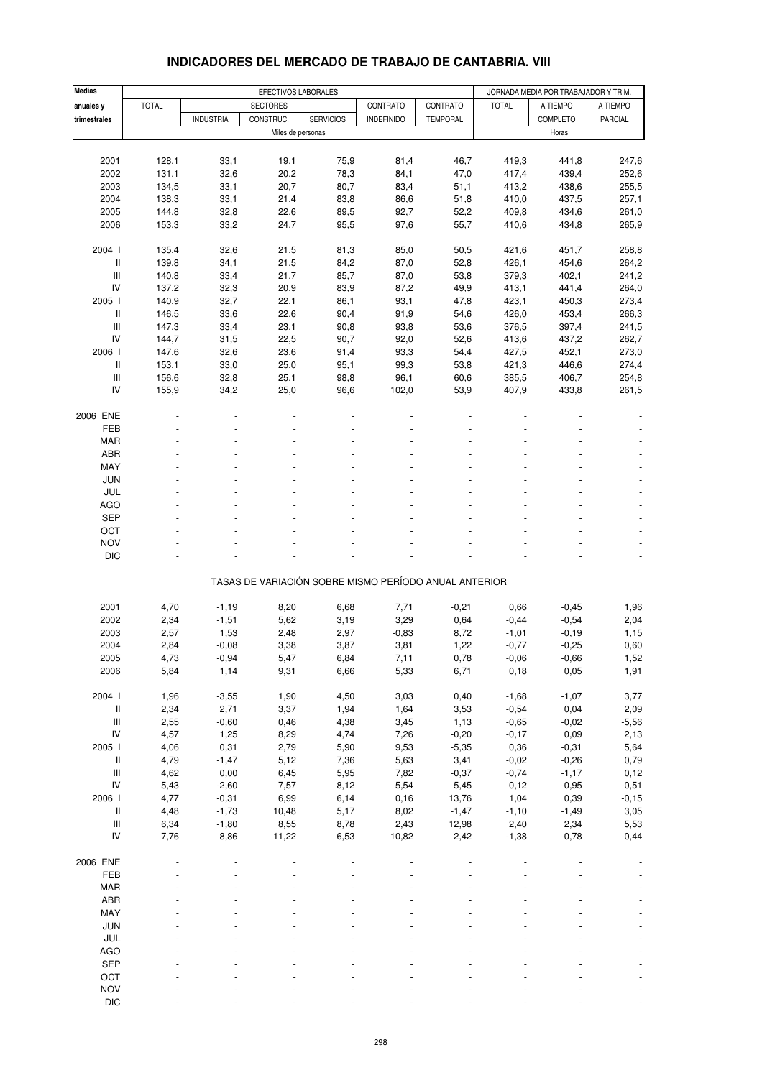| Medias                             |              |                  | EFECTIVOS LABORALES |                  |                                                       |                 |                    | JORNADA MEDIA POR TRABAJADOR Y TRIM. |                          |
|------------------------------------|--------------|------------------|---------------------|------------------|-------------------------------------------------------|-----------------|--------------------|--------------------------------------|--------------------------|
| anuales y                          | <b>TOTAL</b> |                  | <b>SECTORES</b>     |                  | CONTRATO                                              | CONTRATO        | <b>TOTAL</b>       | A TIEMPO                             | A TIEMPO                 |
| trimestrales                       |              | <b>INDUSTRIA</b> | CONSTRUC.           | <b>SERVICIOS</b> | <b>INDEFINIDO</b>                                     | <b>TEMPORAL</b> |                    | COMPLETO                             | PARCIAL                  |
|                                    |              |                  | Miles de personas   |                  |                                                       |                 |                    | Horas                                |                          |
|                                    |              |                  |                     |                  |                                                       |                 |                    |                                      |                          |
| 2001                               | 128,1        | 33,1             | 19,1                | 75,9             | 81,4                                                  | 46,7            | 419,3              | 441,8                                | 247,6                    |
| 2002                               | 131,1        | 32,6             | 20,2                | 78,3             | 84,1                                                  | 47,0            | 417,4              | 439,4                                | 252,6                    |
| 2003                               | 134,5        | 33,1             | 20,7                | 80,7             | 83,4                                                  | 51,1            | 413,2              | 438,6                                | 255,5                    |
| 2004                               | 138,3        | 33,1             | 21,4                | 83,8             | 86,6                                                  | 51,8            | 410,0              | 437,5                                | 257,1                    |
| 2005                               | 144,8        | 32,8             | 22,6                | 89,5             | 92,7                                                  | 52,2            | 409,8              | 434,6                                | 261,0                    |
| 2006                               | 153,3        | 33,2             | 24,7                | 95,5             | 97,6                                                  | 55,7            | 410,6              | 434,8                                | 265,9                    |
| 2004 l                             | 135,4        | 32,6             | 21,5                | 81,3             | 85,0                                                  | 50,5            | 421,6              | 451,7                                | 258,8                    |
| $\mathsf{I}$                       | 139,8        | 34,1             | 21,5                | 84,2             | 87,0                                                  | 52,8            | 426,1              | 454,6                                | 264,2                    |
| Ш                                  | 140,8        | 33,4             | 21,7                | 85,7             | 87,0                                                  | 53,8            | 379,3              | 402,1                                | 241,2                    |
| IV                                 | 137,2        | 32,3             | 20,9                | 83,9             | 87,2                                                  | 49,9            | 413,1              | 441,4                                | 264,0                    |
| 2005                               | 140,9        | 32,7             | 22,1                | 86,1             | 93,1                                                  | 47,8            | 423,1              | 450,3                                | 273,4                    |
| Ш                                  | 146,5        | 33,6             | 22,6                | 90,4             | 91,9                                                  | 54,6            | 426,0              | 453,4                                | 266,3                    |
| Ш                                  | 147,3        | 33,4             | 23,1                | 90,8             | 93,8                                                  | 53,6            | 376,5              | 397,4                                | 241,5                    |
| IV                                 | 144,7        | 31,5             | 22,5                | 90,7             | 92,0                                                  | 52,6            | 413,6              | 437,2                                | 262,7                    |
| 2006                               | 147,6        | 32,6             | 23,6                | 91,4             | 93,3                                                  | 54,4            | 427,5              | 452,1                                | 273,0                    |
| $\, \parallel$                     | 153,1        | 33,0             | 25,0                | 95,1             | 99,3                                                  | 53,8            | 421,3              | 446,6                                | 274,4                    |
| Ш                                  | 156,6        | 32,8             | 25,1                | 98,8             | 96,1                                                  | 60,6            | 385,5              | 406,7                                | 254,8                    |
| IV                                 | 155,9        | 34,2             | 25,0                | 96,6             | 102,0                                                 | 53,9            | 407,9              | 433,8                                | 261,5                    |
|                                    |              |                  |                     |                  |                                                       |                 |                    |                                      |                          |
| 2006 ENE<br>FEB                    |              |                  |                     |                  |                                                       |                 |                    |                                      |                          |
| <b>MAR</b>                         |              |                  |                     |                  |                                                       |                 |                    |                                      |                          |
| ABR                                |              |                  |                     |                  |                                                       |                 |                    |                                      |                          |
| MAY                                |              |                  |                     |                  |                                                       |                 |                    |                                      |                          |
| <b>JUN</b>                         |              |                  |                     |                  |                                                       |                 |                    |                                      |                          |
| JUL                                |              |                  |                     |                  |                                                       |                 |                    |                                      | $\blacksquare$           |
| <b>AGO</b>                         |              |                  |                     |                  |                                                       |                 |                    |                                      |                          |
| <b>SEP</b>                         |              |                  |                     |                  |                                                       |                 |                    |                                      |                          |
| OCT                                |              |                  |                     |                  |                                                       |                 |                    |                                      |                          |
| <b>NOV</b>                         |              |                  |                     |                  |                                                       |                 |                    |                                      |                          |
| <b>DIC</b>                         |              |                  |                     |                  |                                                       |                 |                    |                                      |                          |
|                                    |              |                  |                     |                  | TASAS DE VARIACIÓN SOBRE MISMO PERÍODO ANUAL ANTERIOR |                 |                    |                                      |                          |
|                                    |              |                  |                     |                  |                                                       |                 |                    |                                      |                          |
| 2001                               | 4,70         | $-1,19$          | 8,20                | 6,68             | 7,71                                                  | $-0,21$         | 0,66               | $-0,45$                              | 1,96                     |
| 2002                               | 2,34         | $-1,51$          | 5,62                | 3,19             | 3,29                                                  | 0,64            | $-0,44$            | $-0,54$                              | 2,04                     |
| 2003                               | 2,57         | 1,53             | 2,48                | 2,97             | $-0,83$                                               | 8,72            | $-1,01$            | $-0,19$                              | 1,15                     |
| 2004                               | 2,84         | $-0,08$          | 3,38                | 3,87             | 3,81                                                  | 1,22            | $-0,77$            | $-0,25$                              | 0,60                     |
| 2005                               | 4,73         | $-0,94$          | 5,47                | 6,84             | 7,11                                                  | 0,78            | $-0,06$            | $-0,66$                              | 1,52                     |
| 2006                               | 5,84         | 1,14             | 9,31                | 6,66             | 5,33                                                  | 6,71            | 0, 18              | 0,05                                 | 1,91                     |
|                                    |              |                  |                     |                  |                                                       |                 |                    |                                      |                          |
| 2004 l                             | 1,96         | $-3,55$          | 1,90                | 4,50             | 3,03                                                  | 0,40            | $-1,68$            | $-1,07$                              | 3,77                     |
| II                                 | 2,34         | 2,71             | 3,37                | 1,94             | 1,64                                                  | 3,53            | $-0,54$            | 0,04                                 | 2,09                     |
| Ш<br>IV                            | 2,55<br>4,57 | $-0,60$<br>1,25  | 0,46<br>8,29        | 4,38<br>4,74     | 3,45<br>7,26                                          | 1,13<br>$-0,20$ | $-0,65$<br>$-0,17$ | $-0,02$<br>0,09                      | $-5,56$<br>2,13          |
| 2005 l                             | 4,06         | 0,31             | 2,79                | 5,90             | 9,53                                                  | $-5,35$         | 0,36               | $-0,31$                              | 5,64                     |
| $\, \parallel$                     | 4,79         | $-1,47$          | 5,12                | 7,36             | 5,63                                                  | 3,41            | $-0,02$            | $-0,26$                              | 0,79                     |
| $\ensuremath{\mathsf{III}}\xspace$ | 4,62         | 0,00             | 6,45                | 5,95             | 7,82                                                  | $-0,37$         | $-0,74$            | $-1,17$                              | 0,12                     |
| IV                                 | 5,43         | $-2,60$          | 7,57                | 8,12             | 5,54                                                  | 5,45            | 0,12               | $-0,95$                              | $-0,51$                  |
| 2006                               | 4,77         | $-0,31$          | 6,99                | 6,14             | 0, 16                                                 | 13,76           | 1,04               | 0,39                                 | $-0, 15$                 |
| $\, \parallel$                     | 4,48         | $-1,73$          | 10,48               | 5,17             | 8,02                                                  | $-1,47$         | $-1,10$            | $-1,49$                              | 3,05                     |
| Ш                                  | 6,34         | $-1,80$          | 8,55                | 8,78             | 2,43                                                  | 12,98           | 2,40               | 2,34                                 | 5,53                     |
| IV                                 | 7,76         | 8,86             | 11,22               | 6,53             | 10,82                                                 | 2,42            | $-1,38$            | $-0,78$                              | $-0,44$                  |
|                                    |              |                  |                     |                  |                                                       |                 |                    |                                      |                          |
| 2006 ENE                           |              |                  |                     |                  |                                                       |                 |                    |                                      |                          |
| FEB                                |              |                  |                     |                  |                                                       |                 |                    |                                      | $\overline{\phantom{a}}$ |
| <b>MAR</b><br>ABR                  |              |                  |                     |                  |                                                       |                 |                    |                                      |                          |
| MAY                                |              |                  |                     |                  |                                                       |                 |                    |                                      |                          |
| JUN                                |              |                  |                     |                  |                                                       |                 |                    |                                      | $\blacksquare$           |
| JUL                                |              |                  |                     |                  |                                                       |                 |                    |                                      |                          |
| AGO                                |              |                  |                     |                  |                                                       |                 |                    |                                      | $\overline{\phantom{a}}$ |
| SEP                                |              |                  |                     |                  |                                                       |                 |                    |                                      |                          |
| OCT                                |              |                  |                     |                  |                                                       |                 |                    |                                      |                          |
| <b>NOV</b>                         |              |                  |                     |                  |                                                       |                 |                    |                                      | $\blacksquare$           |

### **INDICADORES DEL MERCADO DE TRABAJO DE CANTABRIA. VIII**

DIC - - - - - - - - -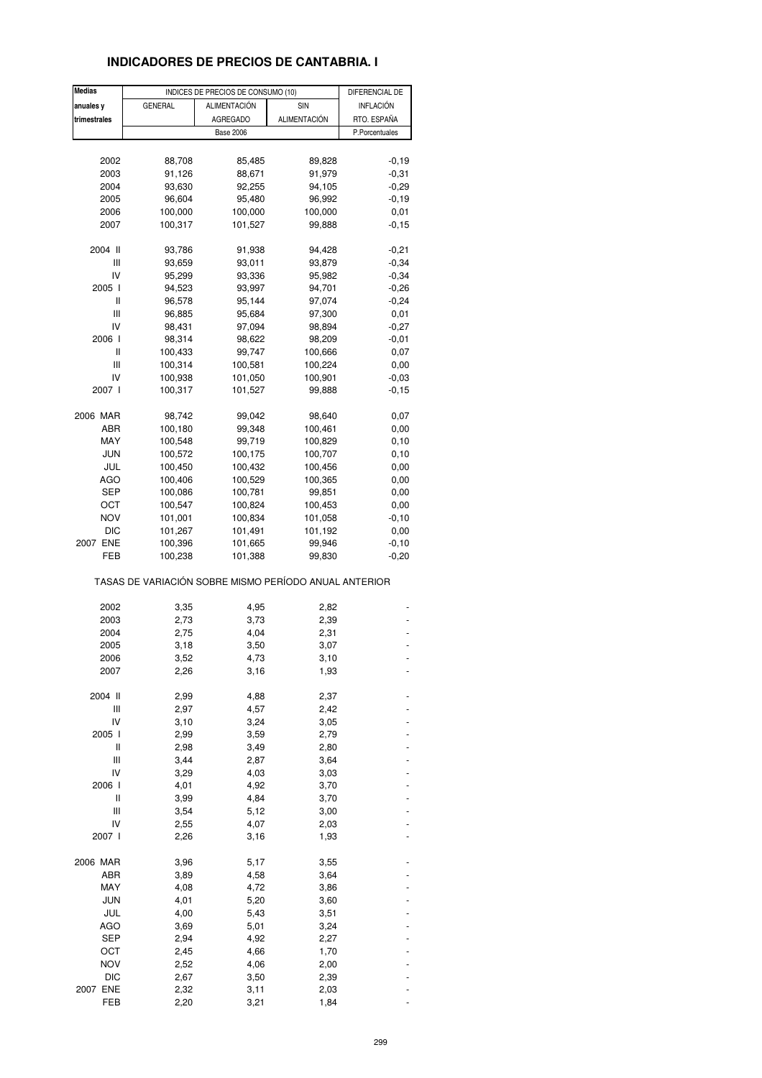## **INDICADORES DE PRECIOS DE CANTABRIA. I**

| Medias       |                                                       | INDICES DE PRECIOS DE CONSUMO (10) |                     | DIFERENCIAL DE |
|--------------|-------------------------------------------------------|------------------------------------|---------------------|----------------|
| anuales y    | <b>GENERAL</b>                                        | <b>ALIMENTACIÓN</b>                | SIN                 | INFLACIÓN      |
| trimestrales |                                                       | <b>AGREGADO</b>                    | <b>ALIMENTACIÓN</b> | RTO. ESPAÑA    |
|              |                                                       | <b>Base 2006</b>                   |                     | P.Porcentuales |
|              |                                                       |                                    |                     |                |
| 2002         | 88,708                                                | 85,485                             | 89,828              | $-0,19$        |
| 2003         | 91,126                                                | 88,671                             | 91,979              | $-0,31$        |
| 2004         | 93,630                                                | 92,255                             | 94,105              | $-0,29$        |
| 2005         | 96,604                                                | 95,480                             | 96,992              | $-0,19$        |
| 2006         | 100,000                                               | 100,000                            | 100,000             | 0,01           |
| 2007         | 100,317                                               | 101,527                            | 99,888              | $-0,15$        |
|              |                                                       |                                    |                     |                |
| 2004 II      | 93,786                                                | 91,938                             | 94,428              | $-0,21$        |
| Ш            | 93,659                                                | 93,011                             | 93,879              | $-0,34$        |
| IV           | 95,299                                                | 93,336                             | 95,982              | $-0,34$        |
| 2005 l       | 94,523                                                | 93,997                             | 94,701              | $-0,26$        |
| Ш            | 96,578                                                | 95,144                             | 97,074              | $-0,24$        |
| Ш            | 96,885                                                | 95,684                             | 97,300              | 0,01           |
| IV           | 98,431                                                | 97,094                             | 98,894              | $-0,27$        |
| 2006         | 98,314                                                | 98,622                             | 98,209              | $-0.01$        |
| Ш            | 100,433                                               | 99,747                             | 100,666             | 0,07           |
| Ш            | 100,314                                               | 100,581                            | 100,224             | 0,00           |
| IV           |                                                       |                                    | 100,901             | $-0,03$        |
|              | 100,938                                               | 101,050                            |                     |                |
| 2007 l       | 100,317                                               | 101,527                            | 99,888              | $-0,15$        |
| 2006 MAR     | 98,742                                                | 99,042                             | 98,640              | 0,07           |
| ABR          | 100,180                                               | 99,348                             | 100,461             | 0,00           |
| MAY          | 100,548                                               | 99,719                             | 100,829             | 0, 10          |
| <b>JUN</b>   | 100,572                                               | 100,175                            | 100,707             | 0,10           |
| JUL          | 100,450                                               | 100,432                            | 100,456             | 0,00           |
| AGO          | 100,406                                               | 100,529                            | 100,365             | 0,00           |
| SEP          | 100,086                                               | 100,781                            | 99,851              | 0,00           |
| ост          | 100,547                                               | 100,824                            |                     |                |
|              |                                                       |                                    | 100,453             | 0,00           |
| <b>NOV</b>   | 101,001                                               | 100,834                            | 101,058             | $-0,10$        |
| DIC          | 101,267                                               | 101,491                            | 101,192             | 0,00           |
| 2007 ENE     | 100,396                                               | 101,665                            | 99,946              | $-0,10$        |
| FEB          | 100,238                                               | 101,388                            | 99,830              | $-0,20$        |
|              | TASAS DE VARIACIÓN SOBRE MISMO PERÍODO ANUAL ANTERIOR |                                    |                     |                |
| 2002         | 3,35                                                  | 4,95                               | 2,82                |                |
| 2003         | 2,73                                                  | 3,73                               | 2,39                |                |
| 2004         | 2,75                                                  | 4,04                               | 2,31                |                |
| 2005         | 3,18                                                  | 3,50                               | 3,07                |                |
| 2006         | 3,52                                                  | 4,73                               | 3,10                |                |
| 2007         | 2,26                                                  | 3,16                               | 1,93                |                |
|              |                                                       |                                    |                     |                |
| 2004 II      | 2,99                                                  | 4,88                               | 2,37                |                |
| Ш            | 2,97                                                  | 4,57                               | 2,42                |                |
| IV           | 3,10                                                  | 3,24                               | 3,05                |                |
| 2005 l       | 2,99                                                  | 3,59                               | 2,79                |                |
| Ш            | 2,98                                                  | 3,49                               | 2,80                |                |
| Ш            | 3,44                                                  | 2,87                               | 3,64                |                |
| IV           | 3,29                                                  | 4,03                               | 3,03                |                |
| 2006 l       | 4,01                                                  | 4,92                               | 3,70                |                |
| Ш            | 3,99                                                  | 4,84                               | 3,70                |                |
| Ш            | 3,54                                                  | 5,12                               | 3,00                |                |
| IV           | 2,55                                                  | 4,07                               | 2,03                |                |
| 2007 l       | 2,26                                                  | 3,16                               | 1,93                |                |
|              |                                                       |                                    |                     |                |
| 2006 MAR     | 3,96                                                  | 5,17                               | 3,55                |                |
| ABR          | 3,89                                                  | 4,58                               | 3,64                |                |
| MAY          | 4,08                                                  | 4,72                               | 3,86                |                |
| <b>JUN</b>   | 4,01                                                  | 5,20                               | 3,60                |                |
| JUL          | 4,00                                                  | 5,43                               | 3,51                |                |
| <b>AGO</b>   | 3,69                                                  | 5,01                               | 3,24                |                |
| SEP          | 2,94                                                  | 4,92                               | 2,27                |                |
| ост          | 2,45                                                  | 4,66                               | 1,70                |                |
| <b>NOV</b>   | 2,52                                                  | 4,06                               | 2,00                |                |
| <b>DIC</b>   | 2,67                                                  | 3,50                               | 2,39                |                |
| 2007 ENE     | 2,32                                                  | 3,11                               | 2,03                |                |
| FEB          | 2,20                                                  | 3,21                               | 1,84                |                |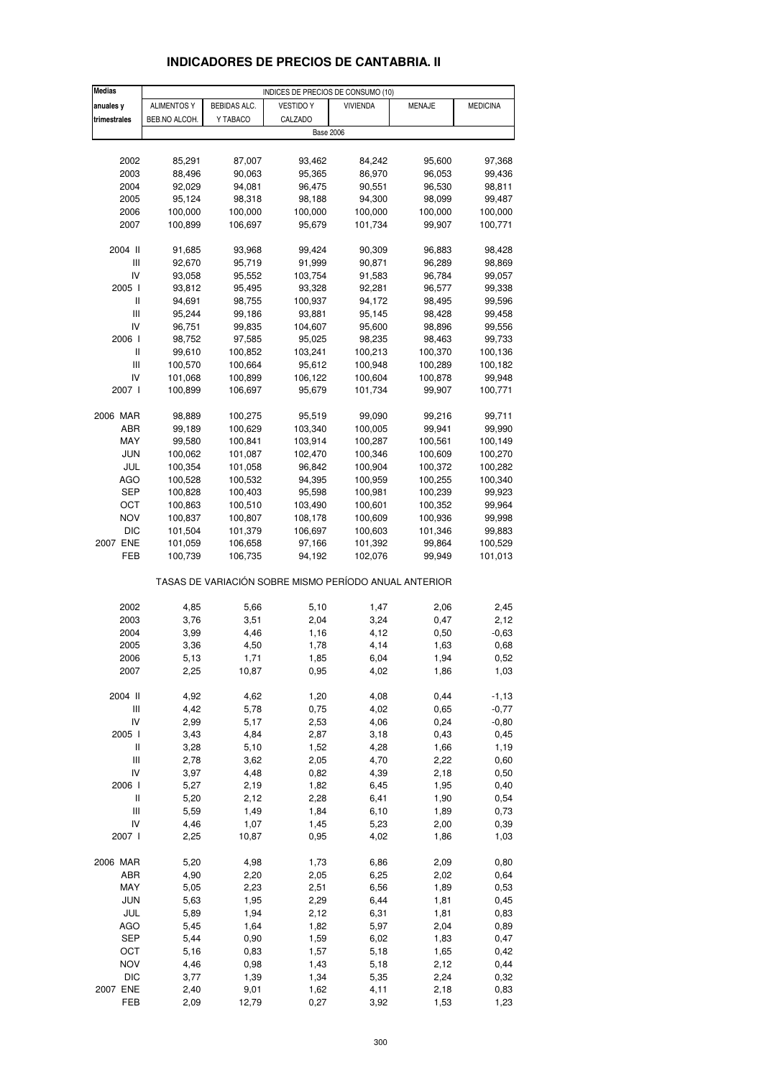| <b>Medias</b>              |                    |                    | INDICES DE PRECIOS DE CONSUMO (10)                    |                    |                    |                    |
|----------------------------|--------------------|--------------------|-------------------------------------------------------|--------------------|--------------------|--------------------|
| anuales y                  | <b>ALIMENTOS Y</b> | BEBIDAS ALC.       | <b>VESTIDO Y</b>                                      | <b>VIVIENDA</b>    | MENAJE             | <b>MEDICINA</b>    |
| trimestrales               | BEB.NO ALCOH.      | Y TABACO           | CALZADO                                               |                    |                    |                    |
|                            |                    |                    | <b>Base 2006</b>                                      |                    |                    |                    |
|                            |                    |                    |                                                       |                    |                    |                    |
| 2002                       | 85,291             | 87,007             | 93,462                                                | 84,242             | 95,600             | 97,368             |
| 2003                       | 88,496             | 90,063             | 95,365                                                | 86,970             | 96,053             | 99,436             |
| 2004                       | 92,029             | 94,081             | 96,475                                                | 90,551             | 96,530             | 98,811             |
| 2005                       | 95,124             | 98,318             | 98,188                                                | 94,300             | 98,099             | 99,487             |
| 2006                       | 100,000            | 100,000            | 100,000                                               | 100,000            | 100,000            | 100,000            |
| 2007                       | 100,899            | 106,697            | 95,679                                                | 101,734            | 99,907             | 100,771            |
| 2004 II                    | 91,685             | 93,968             | 99,424                                                | 90,309             | 96,883             | 98,428             |
| Ш                          | 92,670             | 95,719             | 91,999                                                | 90,871             | 96,289             | 98,869             |
| IV                         | 93,058             | 95,552             | 103,754                                               | 91,583             | 96,784             | 99,057             |
| 2005 l                     | 93,812             | 95,495             | 93,328                                                | 92,281             | 96,577             | 99,338             |
| Ш                          | 94,691             | 98,755             | 100,937                                               | 94,172             | 98,495             | 99,596             |
| Ш                          | 95,244             | 99,186             | 93,881                                                | 95,145             | 98,428             | 99,458             |
| IV                         | 96,751             | 99,835             | 104,607                                               | 95,600             | 98,896             | 99,556             |
| 2006                       | 98,752             | 97,585             | 95,025                                                | 98,235             | 98,463             | 99,733             |
| $\mathsf{I}$               | 99,610             | 100,852            | 103,241                                               | 100,213            | 100,370            | 100,136            |
| Ш<br>IV                    | 100,570            | 100,664            | 95,612<br>106,122                                     | 100,948            | 100,289<br>100,878 | 100,182            |
| 2007 l                     | 101,068<br>100,899 | 100,899<br>106,697 | 95,679                                                | 100,604<br>101,734 | 99,907             | 99,948<br>100,771  |
|                            |                    |                    |                                                       |                    |                    |                    |
| 2006 MAR                   | 98,889             | 100,275            | 95,519                                                | 99,090             | 99,216             | 99,711             |
| ABR                        | 99,189             | 100,629            | 103,340                                               | 100,005            | 99,941             | 99,990             |
| MAY                        | 99,580             | 100,841            | 103,914                                               | 100,287            | 100,561            | 100,149            |
| <b>JUN</b>                 | 100,062            | 101,087            | 102,470                                               | 100,346            | 100,609            | 100,270            |
| JUL                        | 100,354            | 101,058            | 96,842                                                | 100,904            | 100,372            | 100,282            |
| AGO                        | 100,528            | 100,532            | 94,395                                                | 100,959            | 100,255            | 100,340            |
| SEP                        | 100,828            | 100,403            | 95,598                                                | 100,981            | 100,239            | 99,923             |
| ОСТ                        | 100,863            | 100,510            | 103,490                                               | 100,601            | 100,352            | 99,964             |
| <b>NOV</b>                 | 100,837            | 100,807            | 108,178                                               | 100,609            | 100,936            | 99,998             |
| DIC                        | 101,504            | 101,379            | 106,697                                               | 100,603            | 101,346            | 99,883             |
| 2007 ENE                   | 101,059            | 106,658            | 97,166                                                | 101,392            | 99,864             | 100,529            |
| FEB                        | 100,739            | 106,735            | 94,192                                                | 102,076            | 99,949             | 101,013            |
|                            |                    |                    | TASAS DE VARIACIÓN SOBRE MISMO PERÍODO ANUAL ANTERIOR |                    |                    |                    |
| 2002                       | 4,85               | 5,66               | 5,10                                                  | 1,47               | 2,06               | 2,45               |
| 2003                       | 3,76               | 3,51               | 2,04                                                  | 3,24               | 0,47               | 2,12               |
| 2004                       | 3,99               | 4,46               | 1,16                                                  | 4,12               | 0,50               | $-0,63$            |
| 2005                       | 3,36               | 4,50               | 1,78                                                  | 4,14               | 1,63               | 0,68               |
| 2006                       | 5,13               | 1,71               | 1,85                                                  | 6,04               | 1,94               | 0,52               |
| 2007                       | 2,25               | 10,87              | 0,95                                                  | 4,02               | 1,86               | 1,03               |
|                            |                    |                    |                                                       |                    |                    |                    |
| 2004 II<br>Ш               | 4,92<br>4,42       | 4,62<br>5,78       | 1,20<br>0,75                                          | 4,08<br>4,02       | 0,44<br>0,65       | $-1,13$<br>$-0,77$ |
| IV                         | 2,99               | 5,17               | 2,53                                                  | 4,06               | 0,24               | $-0,80$            |
| 2005 l                     | 3,43               | 4,84               | 2,87                                                  | 3,18               | 0,43               | 0,45               |
| $\ensuremath{\mathsf{II}}$ | 3,28               | 5,10               | 1,52                                                  | 4,28               | 1,66               | 1,19               |
| Ш                          | 2,78               | 3,62               | 2,05                                                  | 4,70               | 2,22               | 0,60               |
| IV                         | 3,97               | 4,48               | 0,82                                                  | 4,39               | 2,18               | 0,50               |
| 2006 l                     | 5,27               | 2,19               | 1,82                                                  | 6,45               | 1,95               | 0,40               |
| $\ensuremath{\mathsf{II}}$ | 5,20               | 2,12               | 2,28                                                  | 6,41               | 1,90               | 0,54               |
| Ш                          | 5,59               | 1,49               | 1,84                                                  | 6, 10              | 1,89               | 0,73               |
| IV                         | 4,46               | 1,07               | 1,45                                                  | 5,23               | 2,00               | 0,39               |
| 2007 l                     | 2,25               | 10,87              | 0,95                                                  | 4,02               | 1,86               | 1,03               |
| 2006 MAR                   | 5,20               | 4,98               | 1,73                                                  | 6,86               | 2,09               | 0,80               |
| ABR                        | 4,90               | 2,20               | 2,05                                                  | 6,25               | 2,02               | 0,64               |
| MAY                        | 5,05               | 2,23               | 2,51                                                  | 6,56               | 1,89               | 0,53               |
| <b>JUN</b>                 | 5,63               | 1,95               | 2,29                                                  | 6,44               | 1,81               | 0,45               |
| JUL                        | 5,89               | 1,94               | 2,12                                                  | 6,31               | 1,81               | 0,83               |
| <b>AGO</b>                 | 5,45               | 1,64               | 1,82                                                  | 5,97               | 2,04               | 0,89               |
| <b>SEP</b>                 | 5,44               | 0,90               | 1,59                                                  | 6,02               | 1,83               | 0,47               |
| OCT                        | 5,16               | 0,83               | 1,57                                                  | 5,18               | 1,65               | 0,42               |
| <b>NOV</b>                 | 4,46               | 0,98               | 1,43                                                  | 5,18               | 2,12               | 0,44               |
| <b>DIC</b><br>2007 ENE     | 3,77<br>2,40       | 1,39<br>9,01       | 1,34<br>1,62                                          | 5,35<br>4,11       | 2,24<br>2,18       | 0,32<br>0,83       |
| FEB                        | 2,09               | 12,79              | 0,27                                                  | 3,92               | 1,53               | 1,23               |
|                            |                    |                    |                                                       |                    |                    |                    |

## **INDICADORES DE PRECIOS DE CANTABRIA. II**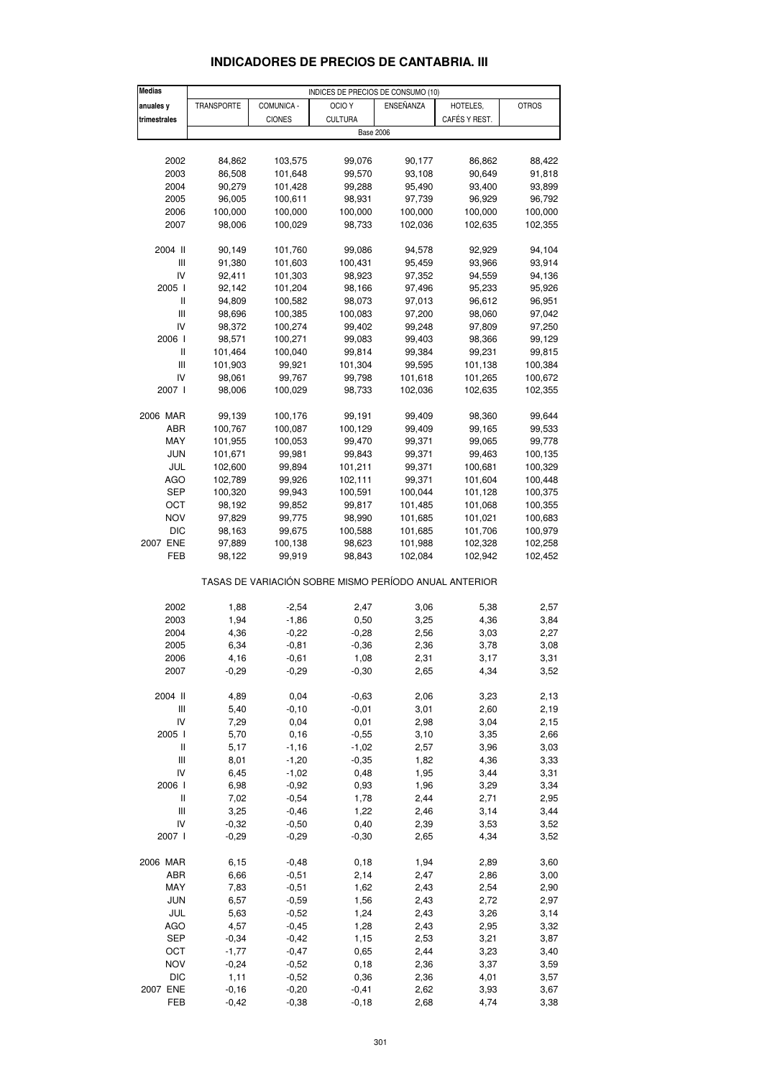| <b>Medias</b>                                         | INDICES DE PRECIOS DE CONSUMO (10) |               |                   |           |               |              |  |  |  |  |  |
|-------------------------------------------------------|------------------------------------|---------------|-------------------|-----------|---------------|--------------|--|--|--|--|--|
| anuales y                                             | TRANSPORTE                         | COMUNICA -    | OCIO <sub>Y</sub> | ENSEÑANZA | HOTELES,      | <b>OTROS</b> |  |  |  |  |  |
| trimestrales                                          |                                    | <b>CIONES</b> | <b>CULTURA</b>    |           | CAFÉS Y REST. |              |  |  |  |  |  |
|                                                       |                                    |               | <b>Base 2006</b>  |           |               |              |  |  |  |  |  |
|                                                       |                                    |               |                   |           |               |              |  |  |  |  |  |
| 2002                                                  | 84,862                             | 103,575       | 99,076            | 90,177    | 86,862        | 88,422       |  |  |  |  |  |
| 2003                                                  | 86,508                             | 101,648       | 99,570            | 93,108    | 90,649        | 91,818       |  |  |  |  |  |
| 2004                                                  | 90,279                             | 101,428       | 99,288            | 95,490    | 93,400        | 93,899       |  |  |  |  |  |
|                                                       | 96,005                             | 100,611       | 98,931            |           | 96,929        | 96,792       |  |  |  |  |  |
| 2005                                                  |                                    |               |                   | 97,739    |               |              |  |  |  |  |  |
| 2006                                                  | 100,000                            | 100,000       | 100,000           | 100,000   | 100,000       | 100,000      |  |  |  |  |  |
| 2007                                                  | 98,006                             | 100,029       | 98,733            | 102,036   | 102,635       | 102,355      |  |  |  |  |  |
| 2004 II                                               | 90,149                             | 101,760       | 99,086            | 94,578    | 92,929        | 94,104       |  |  |  |  |  |
| Ш                                                     | 91,380                             | 101,603       | 100,431           | 95,459    | 93,966        | 93,914       |  |  |  |  |  |
| IV                                                    | 92,411                             | 101,303       | 98,923            | 97,352    | 94,559        | 94,136       |  |  |  |  |  |
| 2005 l                                                | 92,142                             | 101,204       | 98,166            | 97,496    | 95,233        | 95,926       |  |  |  |  |  |
| Ш                                                     |                                    |               |                   |           |               |              |  |  |  |  |  |
|                                                       | 94,809                             | 100,582       | 98,073            | 97,013    | 96,612        | 96,951       |  |  |  |  |  |
| $\mathbf{III}$                                        | 98,696                             | 100,385       | 100,083           | 97,200    | 98,060        | 97,042       |  |  |  |  |  |
| IV                                                    | 98,372                             | 100,274       | 99,402            | 99,248    | 97,809        | 97,250       |  |  |  |  |  |
| 2006                                                  | 98,571                             | 100,271       | 99,083            | 99,403    | 98,366        | 99,129       |  |  |  |  |  |
| Ш                                                     | 101,464                            | 100,040       | 99,814            | 99,384    | 99,231        | 99,815       |  |  |  |  |  |
| $\mathbf{III}$                                        | 101,903                            | 99,921        | 101,304           | 99,595    | 101,138       | 100,384      |  |  |  |  |  |
| IV                                                    | 98,061                             | 99,767        | 99,798            | 101,618   | 101,265       | 100,672      |  |  |  |  |  |
| 2007 l                                                | 98,006                             | 100,029       | 98,733            | 102,036   | 102,635       | 102,355      |  |  |  |  |  |
|                                                       |                                    |               |                   |           |               |              |  |  |  |  |  |
| 2006 MAR                                              | 99,139                             | 100,176       | 99,191            | 99,409    | 98,360        | 99,644       |  |  |  |  |  |
| ABR                                                   | 100,767                            | 100,087       | 100,129           | 99,409    | 99,165        | 99,533       |  |  |  |  |  |
| MAY                                                   | 101,955                            | 100,053       | 99,470            | 99,371    | 99,065        | 99,778       |  |  |  |  |  |
| <b>JUN</b>                                            | 101,671                            | 99,981        | 99,843            | 99,371    | 99,463        | 100,135      |  |  |  |  |  |
| JUL                                                   | 102,600                            | 99,894        | 101,211           | 99,371    | 100,681       | 100,329      |  |  |  |  |  |
| <b>AGO</b>                                            | 102,789                            | 99,926        | 102,111           | 99,371    | 101,604       | 100,448      |  |  |  |  |  |
| <b>SEP</b>                                            | 100,320                            | 99,943        | 100,591           | 100,044   | 101,128       | 100,375      |  |  |  |  |  |
| ОСТ                                                   | 98,192                             | 99,852        | 99,817            | 101,485   | 101,068       | 100,355      |  |  |  |  |  |
| NOV                                                   | 97,829                             | 99,775        | 98,990            | 101,685   | 101,021       | 100,683      |  |  |  |  |  |
| <b>DIC</b>                                            | 98,163                             | 99,675        | 100,588           | 101,685   | 101,706       | 100,979      |  |  |  |  |  |
| 2007 ENE                                              | 97,889                             | 100,138       | 98,623            | 101,988   | 102,328       | 102,258      |  |  |  |  |  |
| FEB                                                   | 98,122                             | 99,919        | 98,843            | 102,084   | 102,942       | 102,452      |  |  |  |  |  |
|                                                       |                                    |               |                   |           |               |              |  |  |  |  |  |
| TASAS DE VARIACIÓN SOBRE MISMO PERÍODO ANUAL ANTERIOR |                                    |               |                   |           |               |              |  |  |  |  |  |
| 2002                                                  | 1,88                               | $-2,54$       | 2,47              | 3,06      | 5,38          | 2,57         |  |  |  |  |  |
| 2003                                                  | 1,94                               | $-1,86$       | 0,50              | 3,25      | 4,36          | 3,84         |  |  |  |  |  |
|                                                       | 4,36                               |               |                   |           |               |              |  |  |  |  |  |
| 2004                                                  |                                    | $-0,22$       | $-0,28$           | 2,56      | 3,03          | 2,27         |  |  |  |  |  |
| 2005                                                  | 6,34                               | $-0,81$       | $-0,36$           | 2,36      | 3,78          | 3,08         |  |  |  |  |  |
| 2006                                                  | 4,16                               | $-0,61$       | 1,08              | 2,31      | 3,17          | 3,31         |  |  |  |  |  |
| 2007                                                  | $-0,29$                            | $-0,29$       | $-0,30$           | 2,65      | 4,34          | 3,52         |  |  |  |  |  |
| 2004 II                                               |                                    |               |                   |           |               |              |  |  |  |  |  |
|                                                       | 4,89                               | 0,04          | $-0,63$           | 2,06      | 3,23          | 2,13         |  |  |  |  |  |
| Ш                                                     | 5,40                               | $-0, 10$      | $-0,01$           | 3,01      | 2,60          | 2,19         |  |  |  |  |  |
| IV                                                    | 7,29                               | 0,04          | 0,01              | 2,98      | 3,04          | 2,15         |  |  |  |  |  |
| 2005 l                                                | 5,70                               | 0, 16         | $-0,55$           | 3,10      | 3,35          | 2,66         |  |  |  |  |  |
| Ш                                                     | 5,17                               | $-1,16$       | $-1,02$           | 2,57      | 3,96          | 3,03         |  |  |  |  |  |
| $\mathop{\rm III}\nolimits$                           | 8,01                               | $-1,20$       | $-0,35$           | 1,82      | 4,36          | 3,33         |  |  |  |  |  |
| IV                                                    | 6,45                               | $-1,02$       | 0,48              | 1,95      | 3,44          | 3,31         |  |  |  |  |  |
| 2006 l                                                | 6,98                               | $-0,92$       | 0,93              | 1,96      | 3,29          | 3,34         |  |  |  |  |  |
| Ш                                                     | 7,02                               | $-0,54$       | 1,78              | 2,44      | 2,71          | 2,95         |  |  |  |  |  |
| $\mathbf{III}$                                        | 3,25                               | $-0,46$       | 1,22              | 2,46      | 3,14          | 3,44         |  |  |  |  |  |
| IV                                                    | $-0,32$                            | $-0,50$       | 0,40              | 2,39      | 3,53          | 3,52         |  |  |  |  |  |
| 2007 l                                                | $-0,29$                            | $-0,29$       | $-0,30$           | 2,65      | 4,34          | 3,52         |  |  |  |  |  |
|                                                       |                                    |               |                   |           |               |              |  |  |  |  |  |
| 2006 MAR                                              | 6,15                               | $-0,48$       | 0,18              | 1,94      | 2,89          | 3,60         |  |  |  |  |  |
| ABR                                                   | 6,66                               | $-0,51$       | 2,14              | 2,47      | 2,86          | 3,00         |  |  |  |  |  |
| MAY                                                   | 7,83                               | $-0,51$       | 1,62              | 2,43      | 2,54          | 2,90         |  |  |  |  |  |
| <b>JUN</b>                                            | 6,57                               | $-0,59$       | 1,56              | 2,43      | 2,72          | 2,97         |  |  |  |  |  |
| JUL                                                   | 5,63                               | $-0,52$       | 1,24              | 2,43      | 3,26          | 3,14         |  |  |  |  |  |
| <b>AGO</b>                                            | 4,57                               | $-0,45$       | 1,28              | 2,43      | 2,95          | 3,32         |  |  |  |  |  |
| <b>SEP</b>                                            | $-0,34$                            | $-0,42$       | 1,15              | 2,53      | 3,21          | 3,87         |  |  |  |  |  |
| OCT                                                   | $-1,77$                            | $-0,47$       | 0,65              | 2,44      | 3,23          | 3,40         |  |  |  |  |  |
| <b>NOV</b>                                            | $-0,24$                            | $-0,52$       | 0, 18             | 2,36      | 3,37          | 3,59         |  |  |  |  |  |
| <b>DIC</b>                                            | 1,11                               | $-0,52$       | 0,36              | 2,36      | 4,01          | 3,57         |  |  |  |  |  |
| 2007 ENE                                              | $-0,16$                            | $-0,20$       | $-0,41$           | 2,62      | 3,93          | 3,67         |  |  |  |  |  |

#### **INDICADORES DE PRECIOS DE CANTABRIA. III**

FEB -0,42 -0,38 -0,18 2,68 4,74 3,38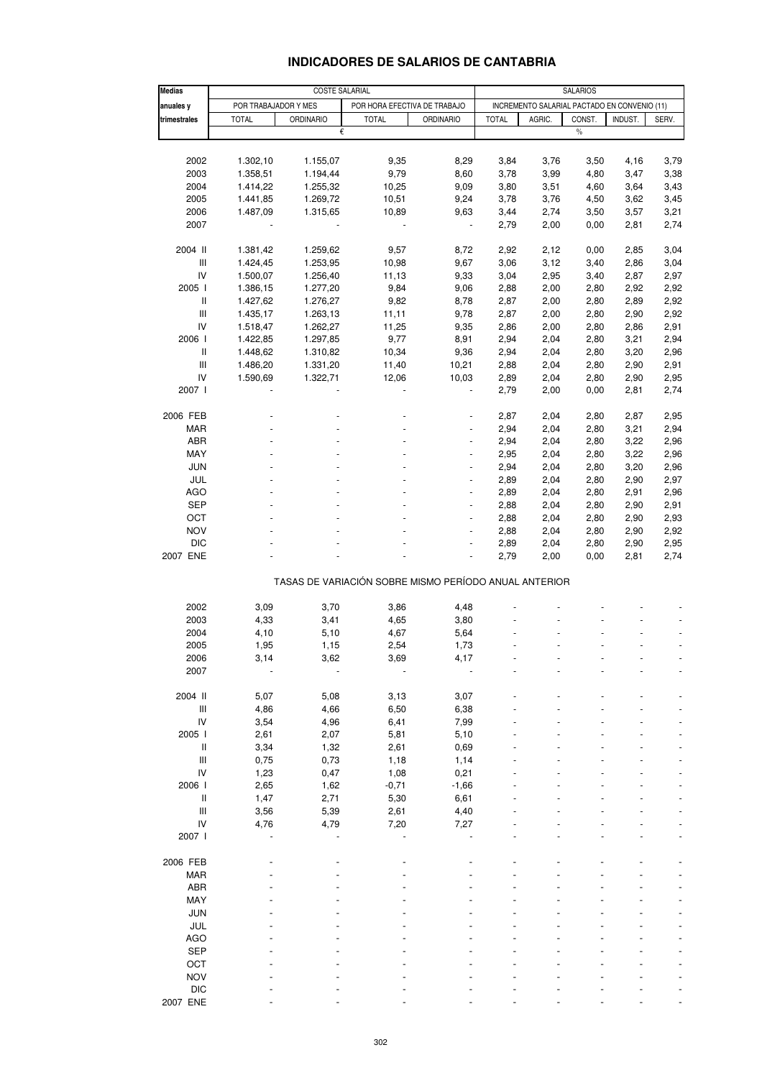# **INDICADORES DE SALARIOS DE CANTABRIA**

| <b>Medias</b>                      |                      | <b>SALARIOS</b>  |                              |                                                       |              |        |               |         |              |
|------------------------------------|----------------------|------------------|------------------------------|-------------------------------------------------------|--------------|--------|---------------|---------|--------------|
| anuales y                          | POR TRABAJADOR Y MES |                  | POR HORA EFECTIVA DE TRABAJO | INCREMENTO SALARIAL PACTADO EN CONVENIO (11)          |              |        |               |         |              |
| trimestrales                       | <b>TOTAL</b>         | <b>ORDINARIO</b> | <b>TOTAL</b>                 | <b>ORDINARIO</b>                                      | <b>TOTAL</b> | AGRIC. | CONST.        | INDUST. | SERV.        |
|                                    |                      | €                |                              |                                                       |              |        | $\frac{0}{0}$ |         |              |
|                                    |                      |                  |                              |                                                       |              |        |               |         |              |
| 2002                               | 1.302,10             | 1.155,07         | 9,35                         | 8,29                                                  | 3,84         | 3,76   | 3,50          | 4,16    | 3,79         |
| 2003                               | 1.358,51             | 1.194,44         | 9,79                         | 8,60                                                  | 3,78         | 3,99   | 4,80          | 3,47    | 3,38         |
| 2004                               | 1.414,22             | 1.255,32         | 10,25                        | 9,09                                                  | 3,80         | 3,51   | 4,60          | 3,64    | 3,43         |
| 2005                               | 1.441,85             | 1.269,72         | 10,51                        | 9,24                                                  | 3,78         | 3,76   | 4,50          | 3,62    | 3,45         |
| 2006                               | 1.487,09             | 1.315,65         | 10,89                        | 9,63                                                  | 3,44         | 2,74   | 3,50          | 3,57    | 3,21         |
| 2007                               |                      |                  |                              |                                                       | 2,79         | 2,00   | 0,00          | 2,81    | 2,74         |
|                                    |                      |                  |                              |                                                       |              |        |               |         |              |
| 2004 II                            | 1.381,42             | 1.259,62         | 9,57                         | 8,72                                                  | 2,92         | 2,12   | 0,00          | 2,85    | 3,04         |
| Ш                                  | 1.424,45             | 1.253,95         | 10,98                        | 9,67                                                  | 3,06         | 3,12   | 3,40          | 2,86    | 3,04         |
| IV                                 | 1.500,07             | 1.256,40         | 11,13                        | 9,33                                                  | 3,04         | 2,95   | 3,40          | 2,87    | 2,97         |
| 2005                               | 1.386,15             | 1.277,20         | 9,84                         | 9,06                                                  | 2,88         | 2,00   | 2,80          | 2,92    | 2,92         |
| Ш                                  | 1.427,62             | 1.276,27         | 9,82                         | 8,78                                                  | 2,87         | 2,00   | 2,80          | 2,89    | 2,92         |
| $\ensuremath{\mathsf{III}}\xspace$ | 1.435,17             | 1.263,13         | 11,11                        | 9,78                                                  | 2,87         | 2,00   | 2,80          | 2,90    | 2,92         |
| ${\sf IV}$                         | 1.518,47             | 1.262,27         | 11,25                        | 9,35                                                  | 2,86         | 2,00   | 2,80          | 2,86    | 2,91         |
| 2006                               | 1.422,85             | 1.297,85         | 9,77                         | 8,91                                                  | 2,94         | 2,04   | 2,80          | 3,21    | 2,94         |
| $\ensuremath{\mathsf{II}}$         | 1.448,62             | 1.310,82         | 10,34                        | 9,36                                                  | 2,94         | 2,04   | 2,80          | 3,20    | 2,96         |
| $\ensuremath{\mathsf{III}}\xspace$ | 1.486,20             | 1.331,20         | 11,40                        | 10,21                                                 | 2,88         | 2,04   | 2,80          | 2,90    | 2,91         |
| IV                                 | 1.590,69             | 1.322,71         | 12,06                        | 10,03                                                 | 2,89         | 2,04   | 2,80          | 2,90    | 2,95         |
| 2007 l                             |                      |                  |                              |                                                       | 2,79         | 2,00   | 0,00          | 2,81    | 2,74         |
|                                    |                      |                  |                              |                                                       |              |        |               |         |              |
| 2006 FEB                           |                      |                  |                              |                                                       | 2,87         | 2,04   | 2,80          | 2,87    | 2,95         |
| <b>MAR</b>                         |                      |                  |                              |                                                       | 2,94         | 2,04   | 2,80          | 3,21    | 2,94         |
| ABR                                |                      |                  |                              | $\overline{a}$                                        | 2,94         | 2,04   | 2,80          | 3,22    | 2,96         |
| MAY                                |                      |                  |                              |                                                       | 2,95         | 2,04   | 2,80          | 3,22    | 2,96         |
| <b>JUN</b>                         |                      |                  |                              |                                                       | 2,94         | 2,04   | 2,80          | 3,20    |              |
| JUL                                |                      |                  | ÷,                           | $\overline{a}$                                        | 2,89         | 2,04   | 2,80          | 2,90    | 2,96<br>2,97 |
|                                    |                      |                  |                              |                                                       |              |        |               |         |              |
| AGO                                |                      |                  |                              | $\frac{1}{2}$                                         | 2,89         | 2,04   | 2,80          | 2,91    | 2,96         |
| <b>SEP</b>                         |                      |                  |                              |                                                       | 2,88         | 2,04   | 2,80          | 2,90    | 2,91         |
| OCT                                |                      |                  |                              | $\overline{a}$                                        | 2,88         | 2,04   | 2,80          | 2,90    | 2,93         |
| <b>NOV</b>                         |                      |                  |                              |                                                       | 2,88         | 2,04   | 2,80          | 2,90    | 2,92         |
| <b>DIC</b>                         |                      |                  |                              |                                                       | 2,89         | 2,04   | 2,80          | 2,90    | 2,95         |
| 2007 ENE                           |                      |                  |                              | $\overline{a}$                                        | 2,79         | 2,00   | 0,00          | 2,81    | 2,74         |
|                                    |                      |                  |                              | TASAS DE VARIACIÓN SOBRE MISMO PERÍODO ANUAL ANTERIOR |              |        |               |         |              |
|                                    |                      |                  |                              |                                                       |              |        |               |         |              |
| 2002                               | 3,09                 | 3,70             | 3,86                         | 4,48                                                  |              |        |               |         |              |
| 2003                               | 4,33                 | 3,41             | 4,65                         | 3,80                                                  |              |        |               |         |              |
| 2004                               | 4,10                 | 5,10             | 4,67                         | 5,64                                                  |              |        |               |         |              |
| 2005                               | 1,95                 | 1,15             | 2,54                         | 1,73                                                  |              |        |               |         |              |
| 2006                               | 3,14                 | 3,62             | 3,69                         | 4,17                                                  |              |        |               |         |              |
| 2007                               |                      |                  |                              |                                                       |              |        |               |         |              |
|                                    |                      |                  |                              |                                                       |              |        |               |         |              |
| 2004 II                            | 5,07                 | 5,08             | 3,13                         | 3,07                                                  |              |        |               |         |              |
| Ш                                  | 4,86                 | 4,66             | 6,50                         | 6,38                                                  |              |        |               |         |              |
| IV                                 | 3,54                 | 4,96             | 6,41                         | 7,99                                                  |              |        |               |         |              |
| 2005 l                             | 2,61                 | 2,07             | 5,81                         | 5,10                                                  |              |        |               |         |              |
| Ш                                  | 3,34                 | 1,32             | 2,61                         | 0,69                                                  |              |        |               |         |              |
| $\mathbf{III}$                     | 0,75                 | 0,73             | 1,18                         | 1,14                                                  |              |        |               |         |              |
| IV                                 | 1,23                 | 0,47             | 1,08                         | 0,21                                                  |              |        |               |         |              |
| 2006 l                             | 2,65                 | 1,62             | $-0,71$                      | $-1,66$                                               |              |        |               |         |              |
| Ш                                  | 1,47                 | 2,71             | 5,30                         | 6,61                                                  |              |        |               |         |              |
| Ш                                  | 3,56                 | 5,39             | 2,61                         | 4,40                                                  |              |        |               |         |              |
| IV                                 | 4,76                 | 4,79             | 7,20                         | 7,27                                                  |              |        |               |         |              |
| 2007 l                             |                      |                  |                              |                                                       |              |        |               |         |              |
|                                    |                      |                  |                              |                                                       |              |        |               |         |              |
| 2006 FEB                           |                      |                  |                              |                                                       |              |        |               |         |              |
| <b>MAR</b>                         |                      |                  |                              |                                                       |              |        |               |         |              |
| ABR                                |                      |                  |                              |                                                       |              |        |               |         |              |
| MAY                                |                      |                  |                              |                                                       |              |        |               |         |              |
| <b>JUN</b>                         |                      |                  |                              |                                                       |              |        |               |         |              |
| JUL                                |                      |                  |                              |                                                       |              |        |               |         |              |
| <b>AGO</b>                         |                      |                  |                              |                                                       |              |        |               |         |              |
| <b>SEP</b>                         |                      |                  |                              |                                                       |              |        |               |         |              |
| OCT                                |                      |                  |                              |                                                       |              |        |               |         |              |
| <b>NOV</b>                         |                      |                  |                              |                                                       |              |        |               |         |              |
| <b>DIC</b>                         |                      |                  |                              |                                                       |              |        |               |         |              |
| 2007 ENE                           |                      |                  |                              |                                                       |              |        |               |         |              |
|                                    |                      |                  |                              |                                                       |              |        |               |         |              |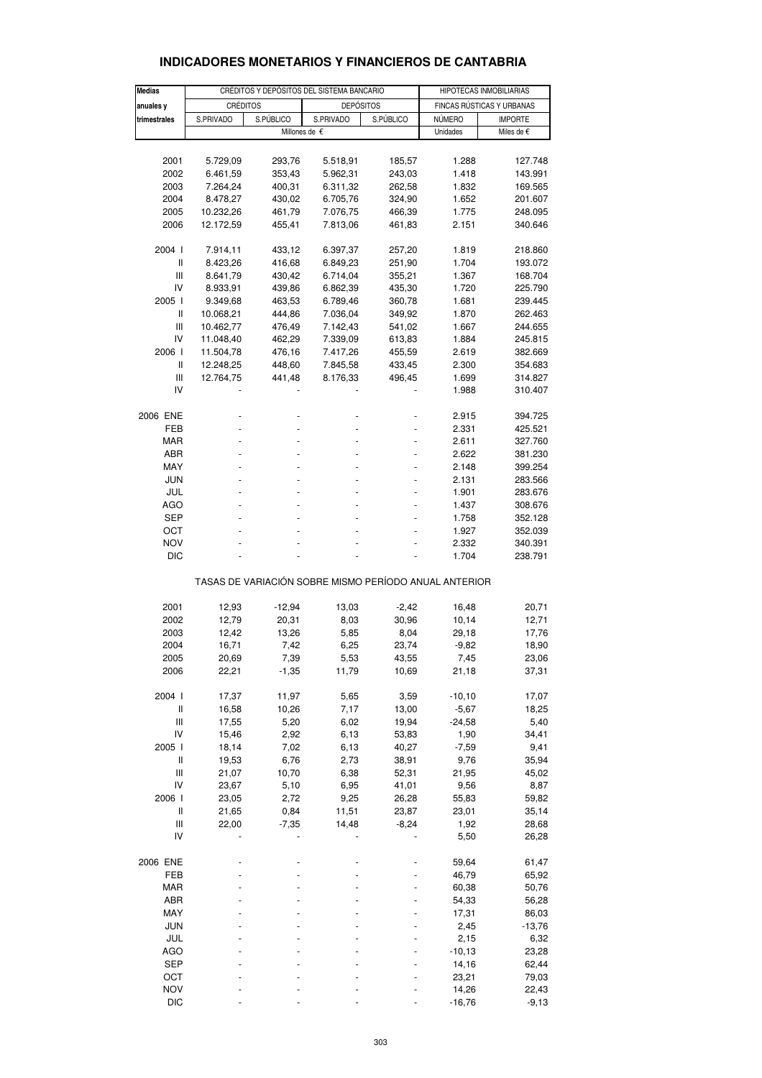| <b>Medias</b>                         |           |           | CRÉDITOS Y DEPÓSITOS DEL SISTEMA BANCARIO             |           | HIPOTECAS INMOBILIARIAS   |                |  |
|---------------------------------------|-----------|-----------|-------------------------------------------------------|-----------|---------------------------|----------------|--|
| anuales y                             |           | CRÉDITOS  | <b>DEPÓSITOS</b>                                      |           | FINCAS RÚSTICAS Y URBANAS |                |  |
| trimestrales                          | S.PRIVADO | S.PÚBLICO | S.PRIVADO                                             | S.PÚBLICO | NÚMERO                    | <b>IMPORTE</b> |  |
|                                       |           |           | Millones de €                                         |           | Unidades                  | Miles de €     |  |
|                                       |           |           |                                                       |           |                           |                |  |
| 2001                                  | 5.729,09  | 293,76    | 5.518,91                                              | 185,57    | 1.288                     | 127.748        |  |
| 2002                                  | 6.461,59  | 353,43    | 5.962,31                                              | 243,03    | 1.418                     | 143.991        |  |
| 2003                                  |           |           |                                                       |           |                           |                |  |
|                                       | 7.264,24  | 400,31    | 6.311,32                                              | 262,58    | 1.832                     | 169.565        |  |
| 2004                                  | 8.478,27  | 430,02    | 6.705,76                                              | 324,90    | 1.652                     | 201.607        |  |
| 2005                                  | 10.232,26 | 461,79    | 7.076,75                                              | 466,39    | 1.775                     | 248.095        |  |
| 2006                                  | 12.172,59 | 455,41    | 7.813,06                                              | 461,83    | 2.151                     | 340.646        |  |
| 2004 l                                | 7.914,11  | 433,12    | 6.397,37                                              | 257,20    | 1.819                     | 218.860        |  |
| Ш                                     | 8.423,26  | 416,68    | 6.849,23                                              | 251,90    | 1.704                     | 193.072        |  |
| Ш                                     | 8.641,79  | 430,42    | 6.714,04                                              | 355,21    | 1.367                     | 168.704        |  |
| IV                                    | 8.933,91  | 439,86    | 6.862,39                                              | 435,30    | 1.720                     | 225.790        |  |
| 2005                                  |           |           |                                                       |           |                           |                |  |
|                                       | 9.349,68  | 463,53    | 6.789,46                                              | 360,78    | 1.681                     | 239.445        |  |
| $\mathbf{I}$                          | 10.068,21 | 444,86    | 7.036,04                                              | 349,92    | 1.870                     | 262.463        |  |
| Ш                                     | 10.462,77 | 476,49    | 7.142,43                                              | 541,02    | 1.667                     | 244.655        |  |
| IV                                    | 11.048,40 | 462,29    | 7.339,09                                              | 613,83    | 1.884                     | 245.815        |  |
| 2006                                  | 11.504,78 | 476,16    | 7.417,26                                              | 455,59    | 2.619                     | 382.669        |  |
| Ш                                     | 12.248,25 | 448,60    | 7.845,58                                              | 433,45    | 2.300                     | 354.683        |  |
| Ш                                     | 12.764,75 | 441,48    | 8.176,33                                              | 496,45    | 1.699                     | 314.827        |  |
| IV                                    |           |           |                                                       |           | 1.988                     | 310.407        |  |
| 2006 ENE                              |           |           |                                                       |           | 2.915                     | 394.725        |  |
| FEB                                   |           |           |                                                       |           | 2.331                     | 425.521        |  |
| <b>MAR</b>                            |           |           |                                                       |           | 2.611                     |                |  |
|                                       |           |           |                                                       |           |                           | 327.760        |  |
| ABR                                   |           |           |                                                       |           | 2.622                     | 381.230        |  |
| MAY                                   |           |           |                                                       |           | 2.148                     | 399.254        |  |
| JUN                                   | ٠         |           |                                                       |           | 2.131                     | 283.566        |  |
| JUL                                   |           |           |                                                       |           | 1.901                     | 283.676        |  |
| <b>AGO</b>                            |           |           |                                                       |           | 1.437                     | 308.676        |  |
| SEP                                   | ٠         |           |                                                       |           | 1.758                     | 352.128        |  |
| ОСТ                                   |           |           |                                                       |           | 1.927                     | 352.039        |  |
| <b>NOV</b>                            |           |           |                                                       |           | 2.332                     | 340.391        |  |
| DIC                                   |           |           |                                                       |           | 1.704                     | 238.791        |  |
|                                       |           |           | TASAS DE VARIACIÓN SOBRE MISMO PERÍODO ANUAL ANTERIOR |           |                           |                |  |
|                                       |           |           |                                                       |           |                           |                |  |
| 2001                                  | 12,93     | $-12,94$  | 13,03                                                 | $-2,42$   | 16,48                     | 20,71          |  |
| 2002                                  | 12,79     | 20,31     | 8,03                                                  | 30,96     | 10,14                     | 12,71          |  |
| 2003                                  | 12,42     | 13,26     | 5,85                                                  | 8,04      | 29,18                     | 17,76          |  |
| 2004                                  | 16,71     | 7,42      | 6,25                                                  | 23,74     | $-9,82$                   | 18,90          |  |
| 2005                                  | 20,69     | 7,39      | 5,53                                                  | 43,55     | 7,45                      | 23,06          |  |
| 2006                                  | 22,21     | $-1,35$   | 11,79                                                 | 10,69     | 21,18                     | 37,31          |  |
| 2004 l                                | 17,37     | 11,97     | 5,65                                                  | 3,59      | $-10, 10$                 | 17,07          |  |
| $\ensuremath{\mathsf{II}}$            | 16,58     |           | 7,17                                                  |           | $-5,67$                   |                |  |
| $\mathbf{III}$                        | 17,55     | 10,26     |                                                       | 13,00     |                           | 18,25          |  |
|                                       |           | 5,20      | 6,02                                                  | 19,94     | $-24,58$                  | 5,40           |  |
| IV                                    | 15,46     | 2,92      | 6,13                                                  | 53,83     | 1,90                      | 34,41          |  |
| 2005 l                                | 18,14     | 7,02      | 6,13                                                  | 40,27     | $-7,59$                   | 9,41           |  |
| Ш                                     | 19,53     | 6,76      | 2,73                                                  | 38,91     | 9,76                      | 35,94          |  |
| $\begin{array}{c} \hline \end{array}$ | 21,07     | 10,70     | 6,38                                                  | 52,31     | 21,95                     | 45,02          |  |
| IV                                    | 23,67     | 5,10      | 6,95                                                  | 41,01     | 9,56                      | 8,87           |  |
| 2006 l                                | 23,05     | 2,72      | 9,25                                                  | 26,28     | 55,83                     | 59,82          |  |
| $\ensuremath{\mathsf{II}}$            | 21,65     | 0,84      | 11,51                                                 | 23,87     | 23,01                     | 35,14          |  |
| $\mathsf{III}$                        | 22,00     | $-7,35$   | 14,48                                                 | $-8,24$   | 1,92                      | 28,68          |  |
| IV                                    |           |           |                                                       |           | 5,50                      | 26,28          |  |
| 2006 ENE                              |           |           |                                                       |           | 59,64                     | 61,47          |  |
|                                       |           |           |                                                       |           |                           |                |  |
| FEB                                   |           |           |                                                       |           | 46,79                     | 65,92          |  |
| <b>MAR</b>                            |           |           |                                                       |           | 60,38                     | 50,76          |  |
| ABR                                   |           |           |                                                       |           | 54,33                     | 56,28          |  |
| MAY                                   |           |           |                                                       |           | 17,31                     | 86,03          |  |
| <b>JUN</b>                            |           |           |                                                       |           | 2,45                      | $-13,76$       |  |
| JUL                                   |           |           |                                                       |           | 2,15                      | 6,32           |  |
| AGO                                   |           |           |                                                       |           | $-10, 13$                 | 23,28          |  |
| <b>SEP</b>                            |           |           |                                                       |           | 14,16                     | 62,44          |  |
| ОСТ                                   |           |           |                                                       |           | 23,21                     | 79,03          |  |
| <b>NOV</b>                            |           |           |                                                       |           | 14,26                     | 22,43          |  |
| <b>DIC</b>                            |           |           |                                                       |           | $-16,76$                  | $-9,13$        |  |

### **INDICADORES MONETARIOS Y FINANCIEROS DE CANTABRIA**